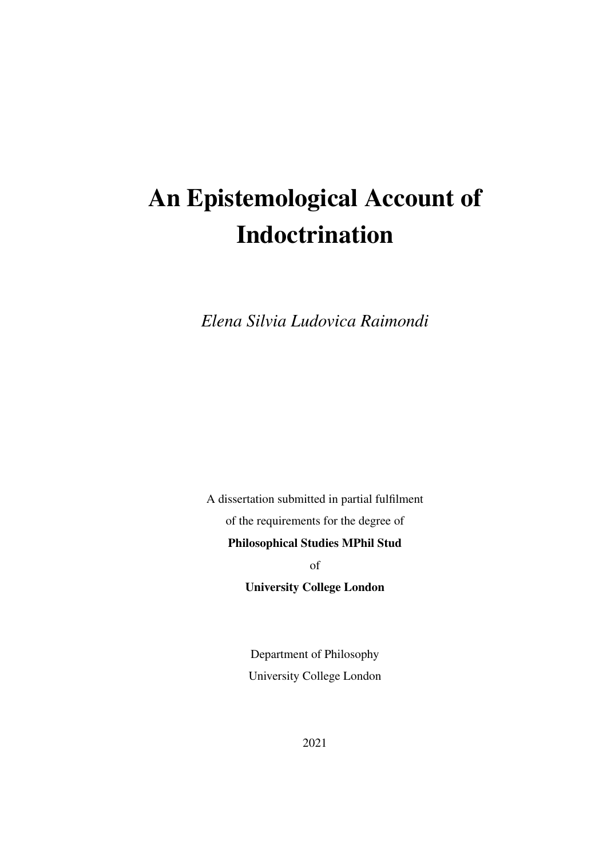# An Epistemological Account of Indoctrination

*Elena Silvia Ludovica Raimondi*

A dissertation submitted in partial fulfilment of the requirements for the degree of Philosophical Studies MPhil Stud of University College London

> Department of Philosophy University College London

> > 2021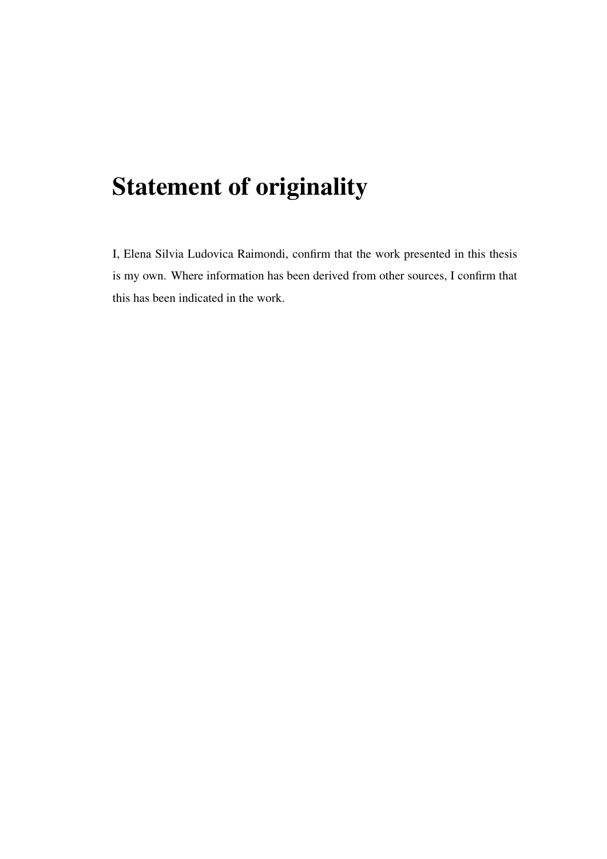## Statement of originality

I, Elena Silvia Ludovica Raimondi, confirm that the work presented in this thesis is my own. Where information has been derived from other sources, I confirm that this has been indicated in the work.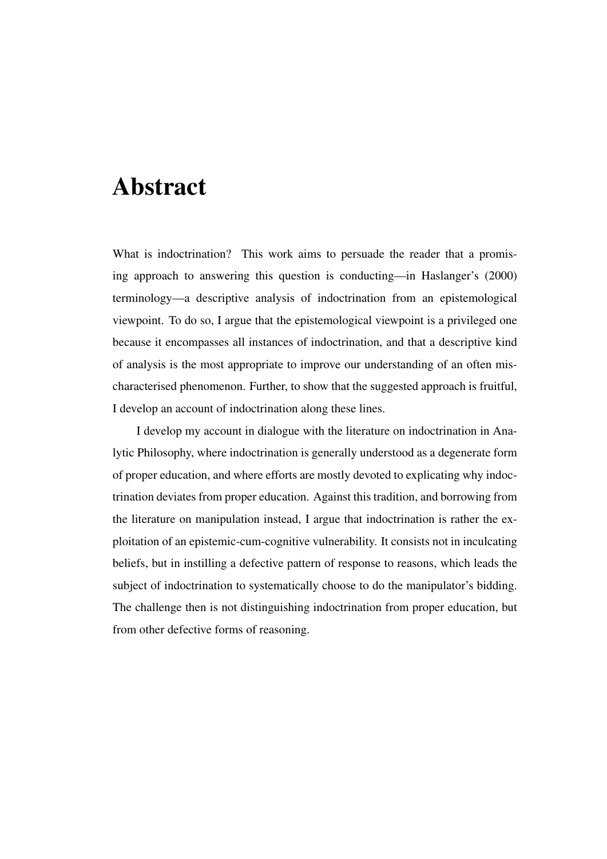## Abstract

What is indoctrination? This work aims to persuade the reader that a promising approach to answering this question is conducting—in [Haslanger'](#page-105-0)s [\(2000\)](#page-105-0) terminology—a descriptive analysis of indoctrination from an epistemological viewpoint. To do so, I argue that the epistemological viewpoint is a privileged one because it encompasses all instances of indoctrination, and that a descriptive kind of analysis is the most appropriate to improve our understanding of an often mischaracterised phenomenon. Further, to show that the suggested approach is fruitful, I develop an account of indoctrination along these lines.

I develop my account in dialogue with the literature on indoctrination in Analytic Philosophy, where indoctrination is generally understood as a degenerate form of proper education, and where efforts are mostly devoted to explicating why indoctrination deviates from proper education. Against this tradition, and borrowing from the literature on manipulation instead, I argue that indoctrination is rather the exploitation of an epistemic-cum-cognitive vulnerability. It consists not in inculcating beliefs, but in instilling a defective pattern of response to reasons, which leads the subject of indoctrination to systematically choose to do the manipulator's bidding. The challenge then is not distinguishing indoctrination from proper education, but from other defective forms of reasoning.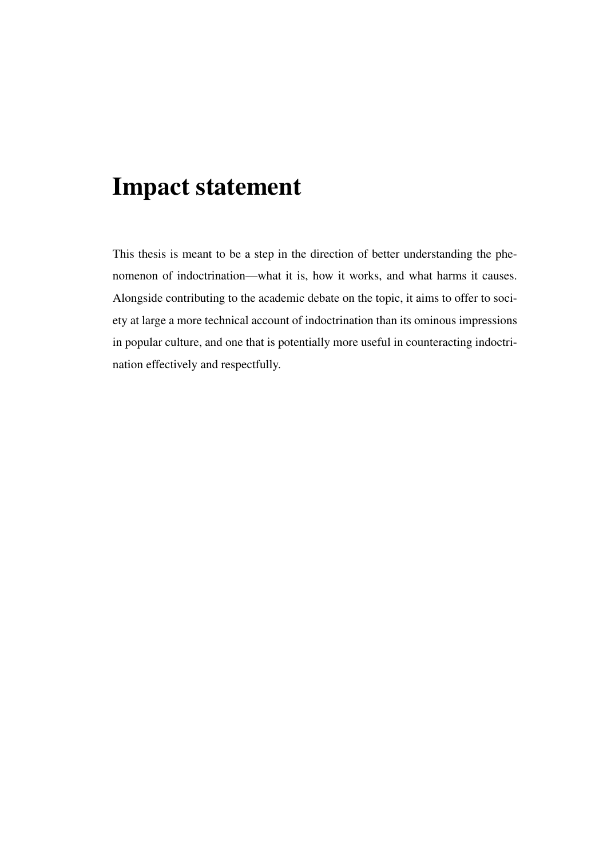## Impact statement

This thesis is meant to be a step in the direction of better understanding the phenomenon of indoctrination—what it is, how it works, and what harms it causes. Alongside contributing to the academic debate on the topic, it aims to offer to society at large a more technical account of indoctrination than its ominous impressions in popular culture, and one that is potentially more useful in counteracting indoctrination effectively and respectfully.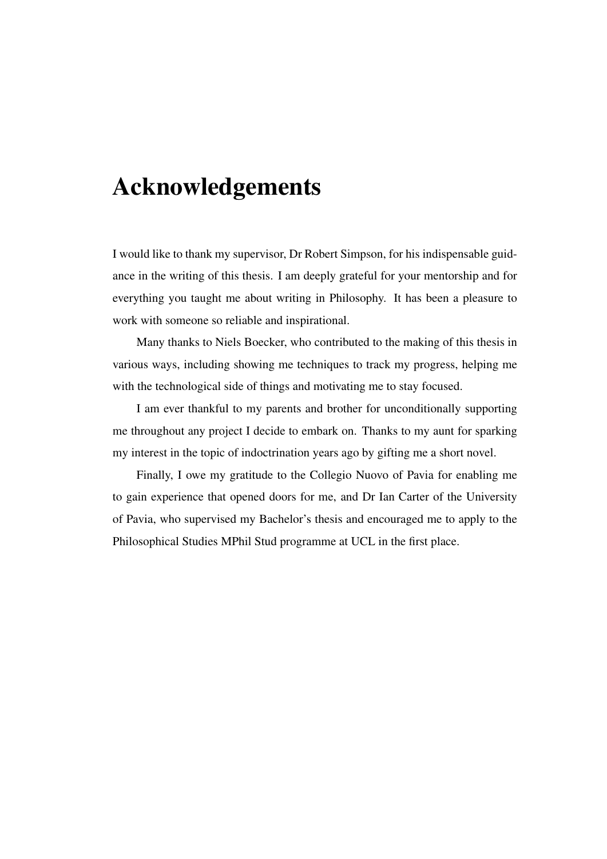## Acknowledgements

I would like to thank my supervisor, Dr Robert Simpson, for his indispensable guidance in the writing of this thesis. I am deeply grateful for your mentorship and for everything you taught me about writing in Philosophy. It has been a pleasure to work with someone so reliable and inspirational.

Many thanks to Niels Boecker, who contributed to the making of this thesis in various ways, including showing me techniques to track my progress, helping me with the technological side of things and motivating me to stay focused.

I am ever thankful to my parents and brother for unconditionally supporting me throughout any project I decide to embark on. Thanks to my aunt for sparking my interest in the topic of indoctrination years ago by gifting me a short novel.

Finally, I owe my gratitude to the Collegio Nuovo of Pavia for enabling me to gain experience that opened doors for me, and Dr Ian Carter of the University of Pavia, who supervised my Bachelor's thesis and encouraged me to apply to the Philosophical Studies MPhil Stud programme at UCL in the first place.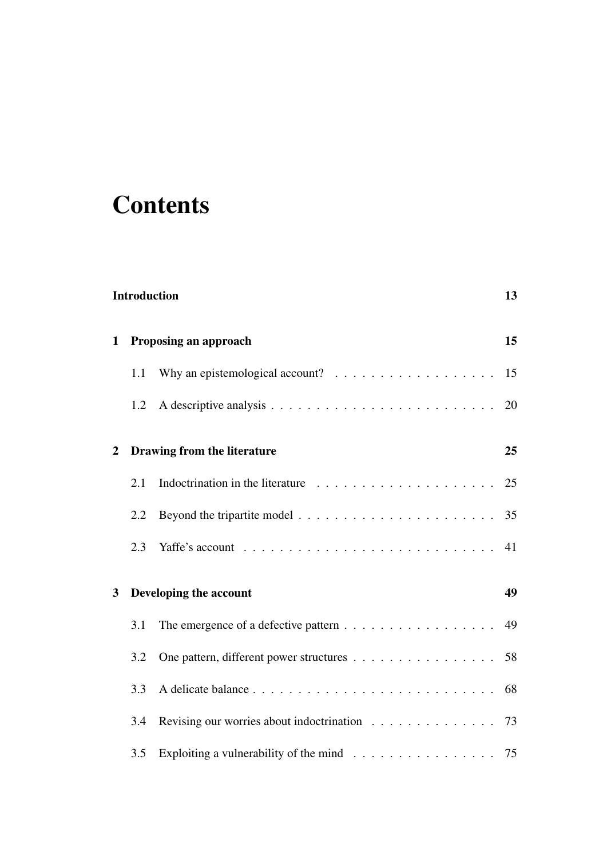## **Contents**

|                | <b>Introduction</b> |                                                                                        |    |  |
|----------------|---------------------|----------------------------------------------------------------------------------------|----|--|
| 1              |                     | 15<br>Proposing an approach                                                            |    |  |
|                | 1.1                 | Why an epistemological account? $\ldots \ldots \ldots \ldots \ldots \ldots$            | 15 |  |
|                | 1.2                 |                                                                                        | 20 |  |
| $\overline{2}$ |                     | Drawing from the literature                                                            | 25 |  |
|                | 2.1                 | Indoctrination in the literature $\ldots \ldots \ldots \ldots \ldots \ldots \ldots 25$ |    |  |
|                | 2.2                 |                                                                                        | 35 |  |
|                | 2.3                 |                                                                                        | 41 |  |
| 3              |                     | Developing the account                                                                 | 49 |  |
|                | 3.1                 |                                                                                        | 49 |  |
|                | 3.2                 | One pattern, different power structures 58                                             |    |  |
|                | 3.3                 |                                                                                        | 68 |  |
|                | 3.4                 | Revising our worries about indoctrination $\ldots \ldots \ldots \ldots \ldots$ 73      |    |  |
|                | 3.5                 | Exploiting a vulnerability of the mind $\ldots \ldots \ldots \ldots \ldots \ldots$ 75  |    |  |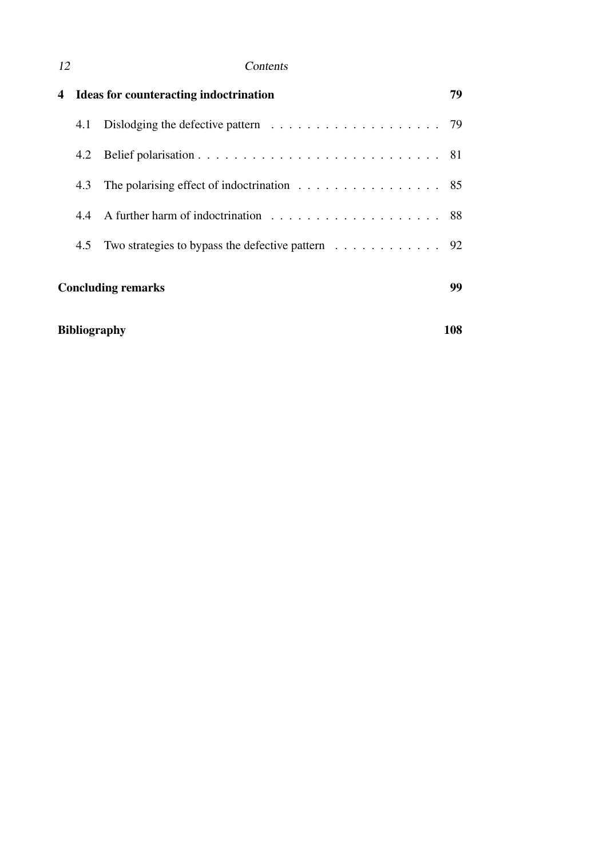### 12 Contents

| 4                               | Ideas for counteracting indoctrination |                                                                                        |  |  |  |
|---------------------------------|----------------------------------------|----------------------------------------------------------------------------------------|--|--|--|
|                                 | 4.1                                    | Dislodging the defective pattern $\ldots \ldots \ldots \ldots \ldots \ldots \ldots$ 79 |  |  |  |
|                                 | 4.2                                    |                                                                                        |  |  |  |
|                                 | 4.3                                    | The polarising effect of indoctrination $\ldots \ldots \ldots \ldots \ldots$ 85        |  |  |  |
|                                 | 4.4                                    |                                                                                        |  |  |  |
|                                 | 4.5                                    | Two strategies to bypass the defective pattern $\ldots \ldots \ldots \ldots$ 92        |  |  |  |
| <b>Concluding remarks</b><br>99 |                                        |                                                                                        |  |  |  |
|                                 | <b>Bibliography</b><br>108             |                                                                                        |  |  |  |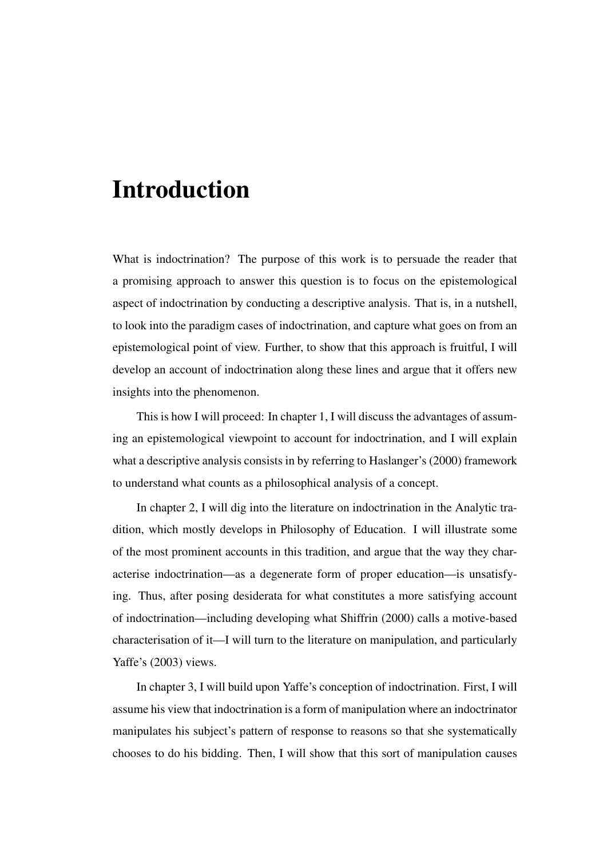## <span id="page-12-0"></span>Introduction

What is indoctrination? The purpose of this work is to persuade the reader that a promising approach to answer this question is to focus on the epistemological aspect of indoctrination by conducting a descriptive analysis. That is, in a nutshell, to look into the paradigm cases of indoctrination, and capture what goes on from an epistemological point of view. Further, to show that this approach is fruitful, I will develop an account of indoctrination along these lines and argue that it offers new insights into the phenomenon.

This is how I will proceed: In [chapter 1,](#page-14-0) I will discuss the advantages of assuming an epistemological viewpoint to account for indoctrination, and I will explain what a descriptive analysis consists in by referring to [Haslanger'](#page-105-0)s [\(2000\)](#page-105-0) framework to understand what counts as a philosophical analysis of a concept.

In [chapter 2,](#page-24-0) I will dig into the literature on indoctrination in the Analytic tradition, which mostly develops in Philosophy of Education. I will illustrate some of the most prominent accounts in this tradition, and argue that the way they characterise indoctrination—as a degenerate form of proper education—is unsatisfying. Thus, after posing desiderata for what constitutes a more satisfying account of indoctrination—including developing what [Shiffrin](#page-107-0) [\(2000\)](#page-107-0) calls a motive-based characterisation of it—I will turn to the literature on manipulation, and particularly [Yaffe'](#page-107-1)s [\(2003\)](#page-107-1) views.

In [chapter 3,](#page-48-0) I will build upon Yaffe's conception of indoctrination. First, I will assume his view that indoctrination is a form of manipulation where an indoctrinator manipulates his subject's pattern of response to reasons so that she systematically chooses to do his bidding. Then, I will show that this sort of manipulation causes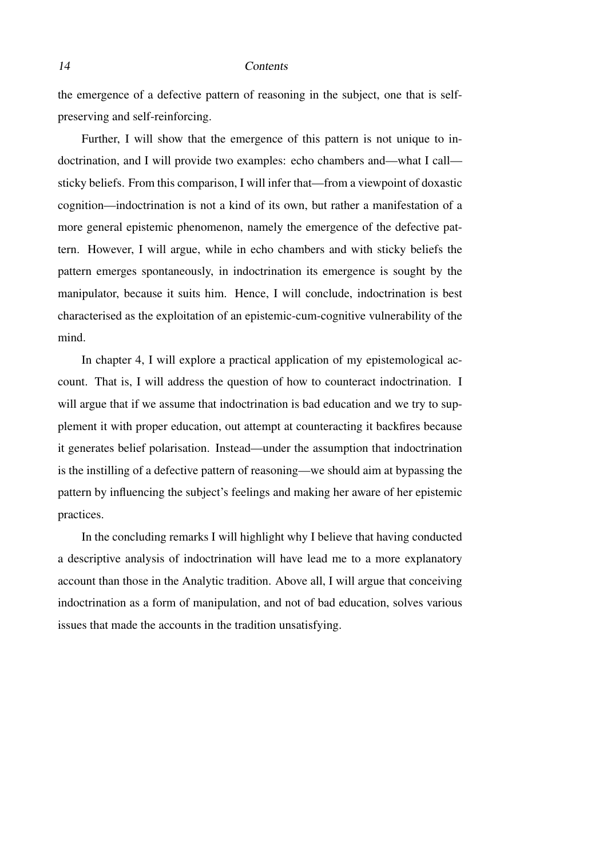#### 14 Contents

the emergence of a defective pattern of reasoning in the subject, one that is selfpreserving and self-reinforcing.

Further, I will show that the emergence of this pattern is not unique to indoctrination, and I will provide two examples: echo chambers and—what I call sticky beliefs. From this comparison, I will infer that—from a viewpoint of doxastic cognition—indoctrination is not a kind of its own, but rather a manifestation of a more general epistemic phenomenon, namely the emergence of the defective pattern. However, I will argue, while in echo chambers and with sticky beliefs the pattern emerges spontaneously, in indoctrination its emergence is sought by the manipulator, because it suits him. Hence, I will conclude, indoctrination is best characterised as the exploitation of an epistemic-cum-cognitive vulnerability of the mind.

In [chapter 4,](#page-78-0) I will explore a practical application of my epistemological account. That is, I will address the question of how to counteract indoctrination. I will argue that if we assume that indoctrination is bad education and we try to supplement it with proper education, out attempt at counteracting it backfires because it generates belief polarisation. Instead—under the assumption that indoctrination is the instilling of a defective pattern of reasoning—we should aim at bypassing the pattern by influencing the subject's feelings and making her aware of her epistemic practices.

In the [concluding remarks](#page-98-0) I will highlight why I believe that having conducted a descriptive analysis of indoctrination will have lead me to a more explanatory account than those in the Analytic tradition. Above all, I will argue that conceiving indoctrination as a form of manipulation, and not of bad education, solves various issues that made the accounts in the tradition unsatisfying.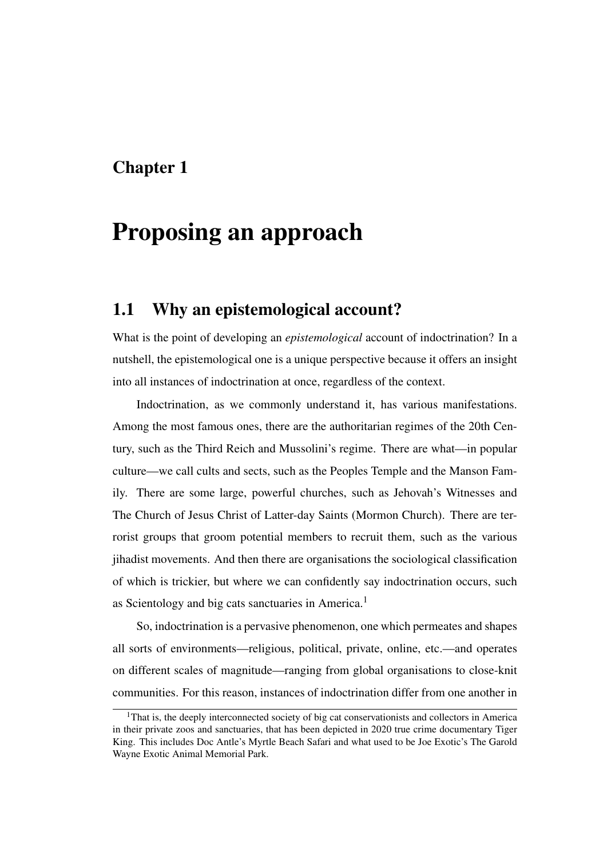### <span id="page-14-0"></span>Chapter 1

## Proposing an approach

### <span id="page-14-1"></span>1.1 Why an epistemological account?

What is the point of developing an *epistemological* account of indoctrination? In a nutshell, the epistemological one is a unique perspective because it offers an insight into all instances of indoctrination at once, regardless of the context.

Indoctrination, as we commonly understand it, has various manifestations. Among the most famous ones, there are the authoritarian regimes of the 20th Century, such as the Third Reich and Mussolini's regime. There are what—in popular culture—we call cults and sects, such as the Peoples Temple and the Manson Family. There are some large, powerful churches, such as Jehovah's Witnesses and The Church of Jesus Christ of Latter-day Saints (Mormon Church). There are terrorist groups that groom potential members to recruit them, such as the various jihadist movements. And then there are organisations the sociological classification of which is trickier, but where we can confidently say indoctrination occurs, such as Scientology and big cats sanctuaries in America.<sup>[1](#page-14-2)</sup>

So, indoctrination is a pervasive phenomenon, one which permeates and shapes all sorts of environments—religious, political, private, online, etc.—and operates on different scales of magnitude—ranging from global organisations to close-knit communities. For this reason, instances of indoctrination differ from one another in

<span id="page-14-2"></span><sup>&</sup>lt;sup>1</sup>That is, the deeply interconnected society of big cat conservationists and collectors in America in their private zoos and sanctuaries, that has been depicted in 2020 true crime documentary Tiger King. This includes Doc Antle's Myrtle Beach Safari and what used to be Joe Exotic's The Garold Wayne Exotic Animal Memorial Park.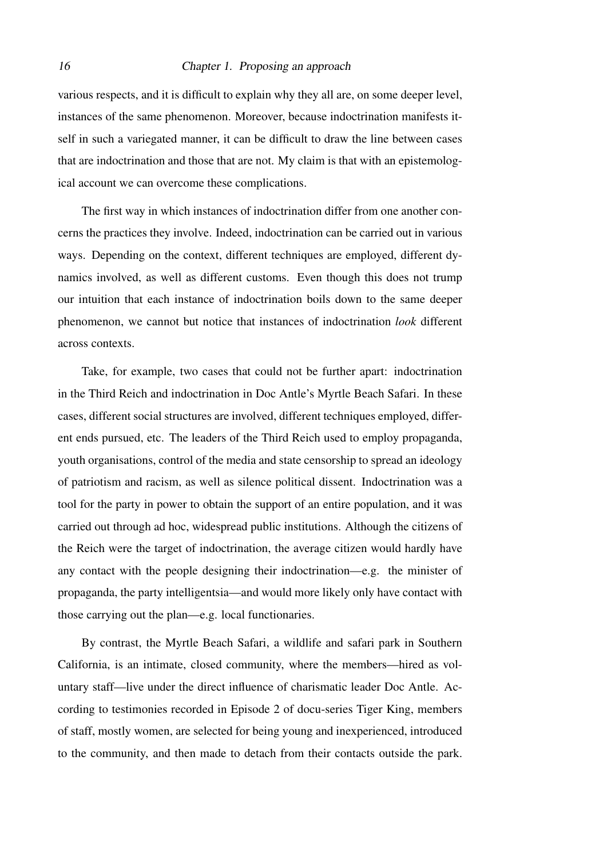#### 16 Chapter 1. Proposing an approach

various respects, and it is difficult to explain why they all are, on some deeper level, instances of the same phenomenon. Moreover, because indoctrination manifests itself in such a variegated manner, it can be difficult to draw the line between cases that are indoctrination and those that are not. My claim is that with an epistemological account we can overcome these complications.

The first way in which instances of indoctrination differ from one another concerns the practices they involve. Indeed, indoctrination can be carried out in various ways. Depending on the context, different techniques are employed, different dynamics involved, as well as different customs. Even though this does not trump our intuition that each instance of indoctrination boils down to the same deeper phenomenon, we cannot but notice that instances of indoctrination *look* different across contexts.

Take, for example, two cases that could not be further apart: indoctrination in the Third Reich and indoctrination in Doc Antle's Myrtle Beach Safari. In these cases, different social structures are involved, different techniques employed, different ends pursued, etc. The leaders of the Third Reich used to employ propaganda, youth organisations, control of the media and state censorship to spread an ideology of patriotism and racism, as well as silence political dissent. Indoctrination was a tool for the party in power to obtain the support of an entire population, and it was carried out through ad hoc, widespread public institutions. Although the citizens of the Reich were the target of indoctrination, the average citizen would hardly have any contact with the people designing their indoctrination—e.g. the minister of propaganda, the party intelligentsia—and would more likely only have contact with those carrying out the plan—e.g. local functionaries.

By contrast, the Myrtle Beach Safari, a wildlife and safari park in Southern California, is an intimate, closed community, where the members—hired as voluntary staff—live under the direct influence of charismatic leader Doc Antle. According to testimonies recorded in Episode 2 of docu-series Tiger King, members of staff, mostly women, are selected for being young and inexperienced, introduced to the community, and then made to detach from their contacts outside the park.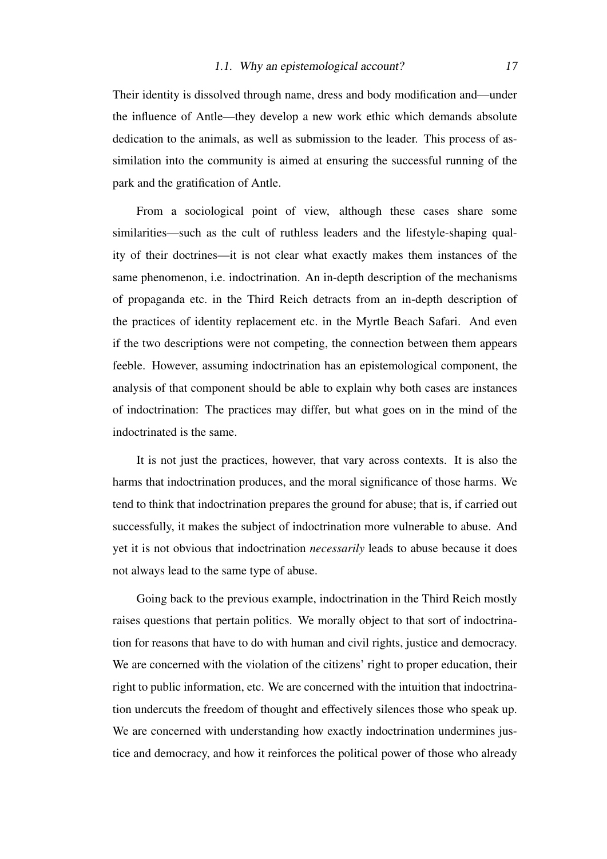Their identity is dissolved through name, dress and body modification and—under the influence of Antle—they develop a new work ethic which demands absolute dedication to the animals, as well as submission to the leader. This process of assimilation into the community is aimed at ensuring the successful running of the park and the gratification of Antle.

From a sociological point of view, although these cases share some similarities—such as the cult of ruthless leaders and the lifestyle-shaping quality of their doctrines—it is not clear what exactly makes them instances of the same phenomenon, i.e. indoctrination. An in-depth description of the mechanisms of propaganda etc. in the Third Reich detracts from an in-depth description of the practices of identity replacement etc. in the Myrtle Beach Safari. And even if the two descriptions were not competing, the connection between them appears feeble. However, assuming indoctrination has an epistemological component, the analysis of that component should be able to explain why both cases are instances of indoctrination: The practices may differ, but what goes on in the mind of the indoctrinated is the same.

It is not just the practices, however, that vary across contexts. It is also the harms that indoctrination produces, and the moral significance of those harms. We tend to think that indoctrination prepares the ground for abuse; that is, if carried out successfully, it makes the subject of indoctrination more vulnerable to abuse. And yet it is not obvious that indoctrination *necessarily* leads to abuse because it does not always lead to the same type of abuse.

Going back to the previous example, indoctrination in the Third Reich mostly raises questions that pertain politics. We morally object to that sort of indoctrination for reasons that have to do with human and civil rights, justice and democracy. We are concerned with the violation of the citizens' right to proper education, their right to public information, etc. We are concerned with the intuition that indoctrination undercuts the freedom of thought and effectively silences those who speak up. We are concerned with understanding how exactly indoctrination undermines justice and democracy, and how it reinforces the political power of those who already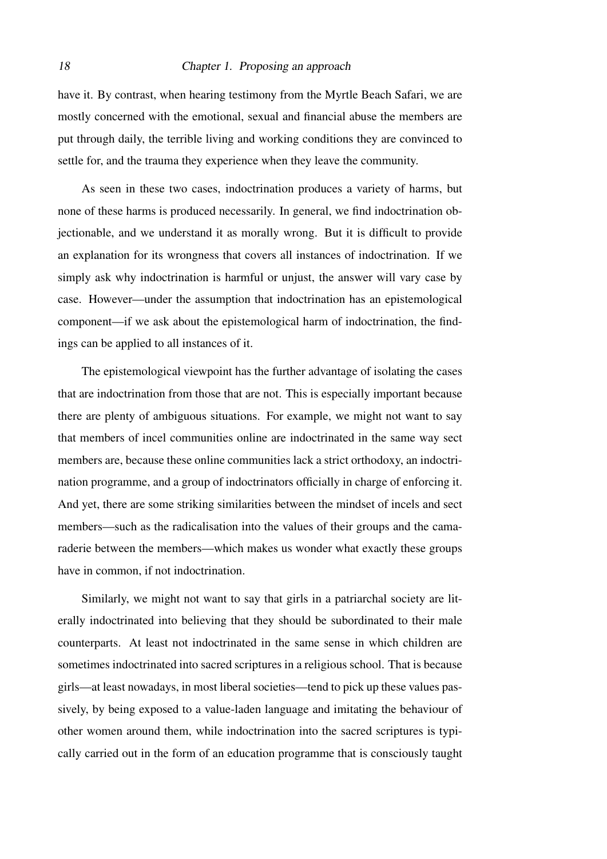#### 18 Chapter 1. Proposing an approach

have it. By contrast, when hearing testimony from the Myrtle Beach Safari, we are mostly concerned with the emotional, sexual and financial abuse the members are put through daily, the terrible living and working conditions they are convinced to settle for, and the trauma they experience when they leave the community.

As seen in these two cases, indoctrination produces a variety of harms, but none of these harms is produced necessarily. In general, we find indoctrination objectionable, and we understand it as morally wrong. But it is difficult to provide an explanation for its wrongness that covers all instances of indoctrination. If we simply ask why indoctrination is harmful or unjust, the answer will vary case by case. However—under the assumption that indoctrination has an epistemological component—if we ask about the epistemological harm of indoctrination, the findings can be applied to all instances of it.

The epistemological viewpoint has the further advantage of isolating the cases that are indoctrination from those that are not. This is especially important because there are plenty of ambiguous situations. For example, we might not want to say that members of incel communities online are indoctrinated in the same way sect members are, because these online communities lack a strict orthodoxy, an indoctrination programme, and a group of indoctrinators officially in charge of enforcing it. And yet, there are some striking similarities between the mindset of incels and sect members—such as the radicalisation into the values of their groups and the camaraderie between the members—which makes us wonder what exactly these groups have in common, if not indoctrination.

Similarly, we might not want to say that girls in a patriarchal society are literally indoctrinated into believing that they should be subordinated to their male counterparts. At least not indoctrinated in the same sense in which children are sometimes indoctrinated into sacred scriptures in a religious school. That is because girls—at least nowadays, in most liberal societies—tend to pick up these values passively, by being exposed to a value-laden language and imitating the behaviour of other women around them, while indoctrination into the sacred scriptures is typically carried out in the form of an education programme that is consciously taught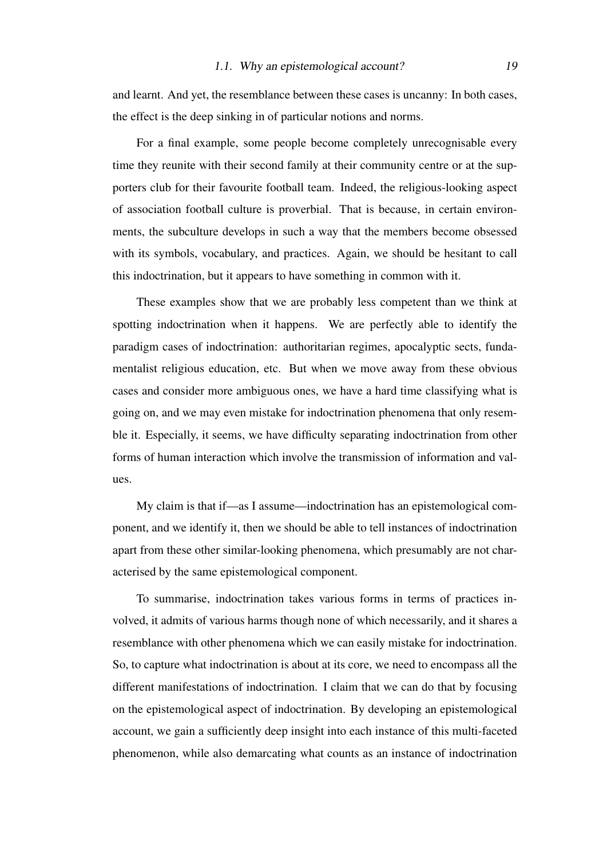and learnt. And yet, the resemblance between these cases is uncanny: In both cases, the effect is the deep sinking in of particular notions and norms.

For a final example, some people become completely unrecognisable every time they reunite with their second family at their community centre or at the supporters club for their favourite football team. Indeed, the religious-looking aspect of association football culture is proverbial. That is because, in certain environments, the subculture develops in such a way that the members become obsessed with its symbols, vocabulary, and practices. Again, we should be hesitant to call this indoctrination, but it appears to have something in common with it.

These examples show that we are probably less competent than we think at spotting indoctrination when it happens. We are perfectly able to identify the paradigm cases of indoctrination: authoritarian regimes, apocalyptic sects, fundamentalist religious education, etc. But when we move away from these obvious cases and consider more ambiguous ones, we have a hard time classifying what is going on, and we may even mistake for indoctrination phenomena that only resemble it. Especially, it seems, we have difficulty separating indoctrination from other forms of human interaction which involve the transmission of information and values.

My claim is that if—as I assume—indoctrination has an epistemological component, and we identify it, then we should be able to tell instances of indoctrination apart from these other similar-looking phenomena, which presumably are not characterised by the same epistemological component.

To summarise, indoctrination takes various forms in terms of practices involved, it admits of various harms though none of which necessarily, and it shares a resemblance with other phenomena which we can easily mistake for indoctrination. So, to capture what indoctrination is about at its core, we need to encompass all the different manifestations of indoctrination. I claim that we can do that by focusing on the epistemological aspect of indoctrination. By developing an epistemological account, we gain a sufficiently deep insight into each instance of this multi-faceted phenomenon, while also demarcating what counts as an instance of indoctrination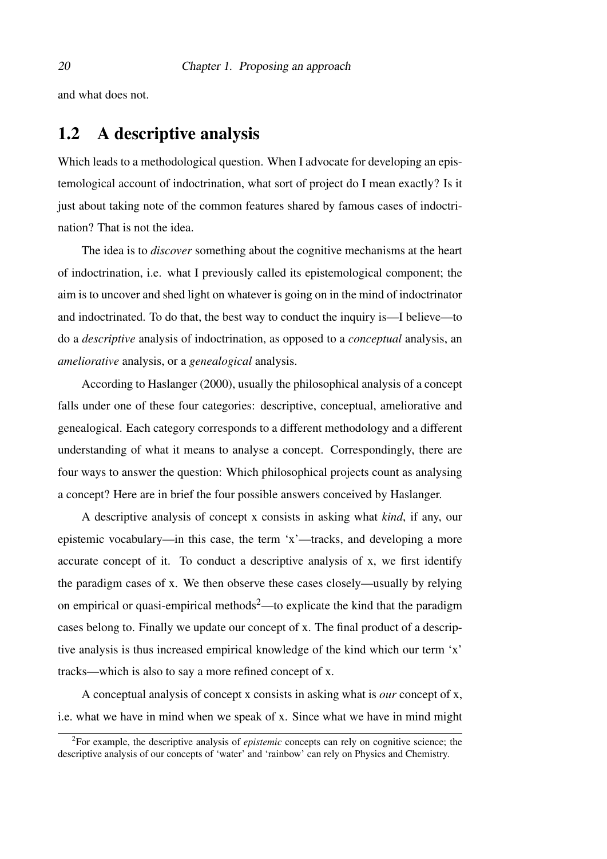<span id="page-19-0"></span>and what does not.

### 1.2 A descriptive analysis

Which leads to a methodological question. When I advocate for developing an epistemological account of indoctrination, what sort of project do I mean exactly? Is it just about taking note of the common features shared by famous cases of indoctrination? That is not the idea.

The idea is to *discover* something about the cognitive mechanisms at the heart of indoctrination, i.e. what I previously called its epistemological component; the aim is to uncover and shed light on whatever is going on in the mind of indoctrinator and indoctrinated. To do that, the best way to conduct the inquiry is—I believe—to do a *descriptive* analysis of indoctrination, as opposed to a *conceptual* analysis, an *ameliorative* analysis, or a *genealogical* analysis.

According to [Haslanger](#page-105-0) [\(2000\)](#page-105-0), usually the philosophical analysis of a concept falls under one of these four categories: descriptive, conceptual, ameliorative and genealogical. Each category corresponds to a different methodology and a different understanding of what it means to analyse a concept. Correspondingly, there are four ways to answer the question: Which philosophical projects count as analysing a concept? Here are in brief the four possible answers conceived by Haslanger.

A descriptive analysis of concept x consists in asking what *kind*, if any, our epistemic vocabulary—in this case, the term 'x'—tracks, and developing a more accurate concept of it. To conduct a descriptive analysis of x, we first identify the paradigm cases of x. We then observe these cases closely—usually by relying on empirical or quasi-empirical methods<sup>[2](#page-19-1)</sup>—to explicate the kind that the paradigm cases belong to. Finally we update our concept of x. The final product of a descriptive analysis is thus increased empirical knowledge of the kind which our term 'x' tracks—which is also to say a more refined concept of x.

A conceptual analysis of concept x consists in asking what is *our* concept of x, i.e. what we have in mind when we speak of x. Since what we have in mind might

<span id="page-19-1"></span><sup>2</sup>For example, the descriptive analysis of *epistemic* concepts can rely on cognitive science; the descriptive analysis of our concepts of 'water' and 'rainbow' can rely on Physics and Chemistry.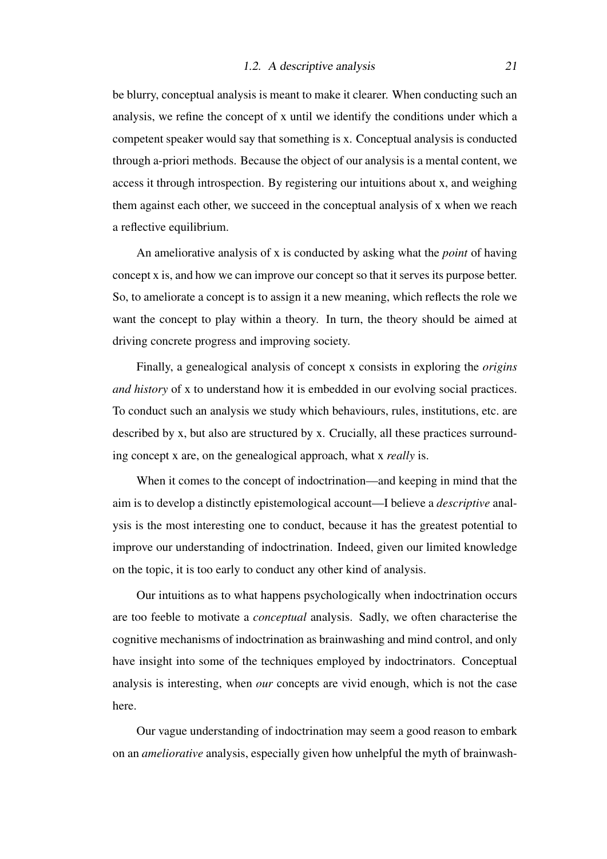be blurry, conceptual analysis is meant to make it clearer. When conducting such an analysis, we refine the concept of x until we identify the conditions under which a competent speaker would say that something is x. Conceptual analysis is conducted through a-priori methods. Because the object of our analysis is a mental content, we access it through introspection. By registering our intuitions about x, and weighing them against each other, we succeed in the conceptual analysis of x when we reach a reflective equilibrium.

An ameliorative analysis of x is conducted by asking what the *point* of having concept x is, and how we can improve our concept so that it serves its purpose better. So, to ameliorate a concept is to assign it a new meaning, which reflects the role we want the concept to play within a theory. In turn, the theory should be aimed at driving concrete progress and improving society.

Finally, a genealogical analysis of concept x consists in exploring the *origins and history* of x to understand how it is embedded in our evolving social practices. To conduct such an analysis we study which behaviours, rules, institutions, etc. are described by x, but also are structured by x. Crucially, all these practices surrounding concept x are, on the genealogical approach, what x *really* is.

When it comes to the concept of indoctrination—and keeping in mind that the aim is to develop a distinctly epistemological account—I believe a *descriptive* analysis is the most interesting one to conduct, because it has the greatest potential to improve our understanding of indoctrination. Indeed, given our limited knowledge on the topic, it is too early to conduct any other kind of analysis.

Our intuitions as to what happens psychologically when indoctrination occurs are too feeble to motivate a *conceptual* analysis. Sadly, we often characterise the cognitive mechanisms of indoctrination as brainwashing and mind control, and only have insight into some of the techniques employed by indoctrinators. Conceptual analysis is interesting, when *our* concepts are vivid enough, which is not the case here.

Our vague understanding of indoctrination may seem a good reason to embark on an *ameliorative* analysis, especially given how unhelpful the myth of brainwash-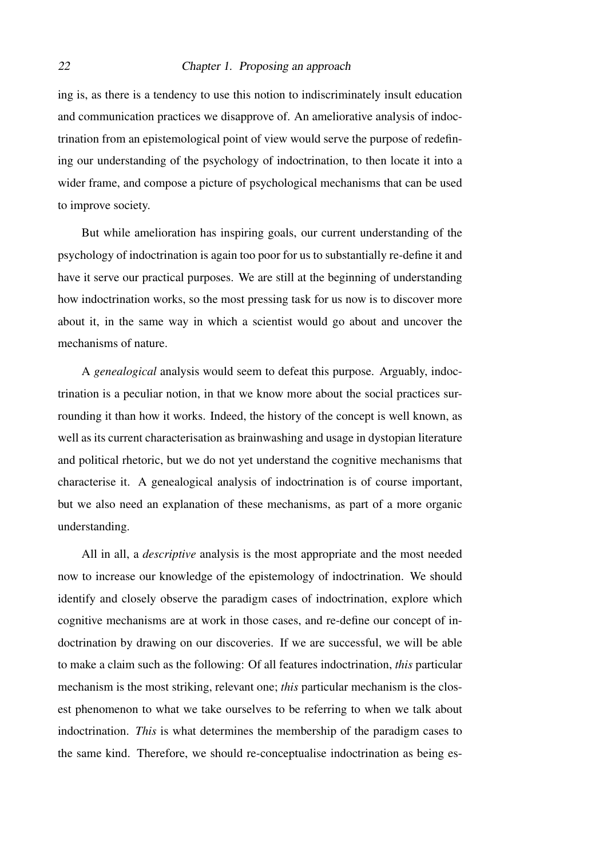#### 22 Chapter 1. Proposing an approach

ing is, as there is a tendency to use this notion to indiscriminately insult education and communication practices we disapprove of. An ameliorative analysis of indoctrination from an epistemological point of view would serve the purpose of redefining our understanding of the psychology of indoctrination, to then locate it into a wider frame, and compose a picture of psychological mechanisms that can be used to improve society.

But while amelioration has inspiring goals, our current understanding of the psychology of indoctrination is again too poor for us to substantially re-define it and have it serve our practical purposes. We are still at the beginning of understanding how indoctrination works, so the most pressing task for us now is to discover more about it, in the same way in which a scientist would go about and uncover the mechanisms of nature.

A *genealogical* analysis would seem to defeat this purpose. Arguably, indoctrination is a peculiar notion, in that we know more about the social practices surrounding it than how it works. Indeed, the history of the concept is well known, as well as its current characterisation as brainwashing and usage in dystopian literature and political rhetoric, but we do not yet understand the cognitive mechanisms that characterise it. A genealogical analysis of indoctrination is of course important, but we also need an explanation of these mechanisms, as part of a more organic understanding.

All in all, a *descriptive* analysis is the most appropriate and the most needed now to increase our knowledge of the epistemology of indoctrination. We should identify and closely observe the paradigm cases of indoctrination, explore which cognitive mechanisms are at work in those cases, and re-define our concept of indoctrination by drawing on our discoveries. If we are successful, we will be able to make a claim such as the following: Of all features indoctrination, *this* particular mechanism is the most striking, relevant one; *this* particular mechanism is the closest phenomenon to what we take ourselves to be referring to when we talk about indoctrination. *This* is what determines the membership of the paradigm cases to the same kind. Therefore, we should re-conceptualise indoctrination as being es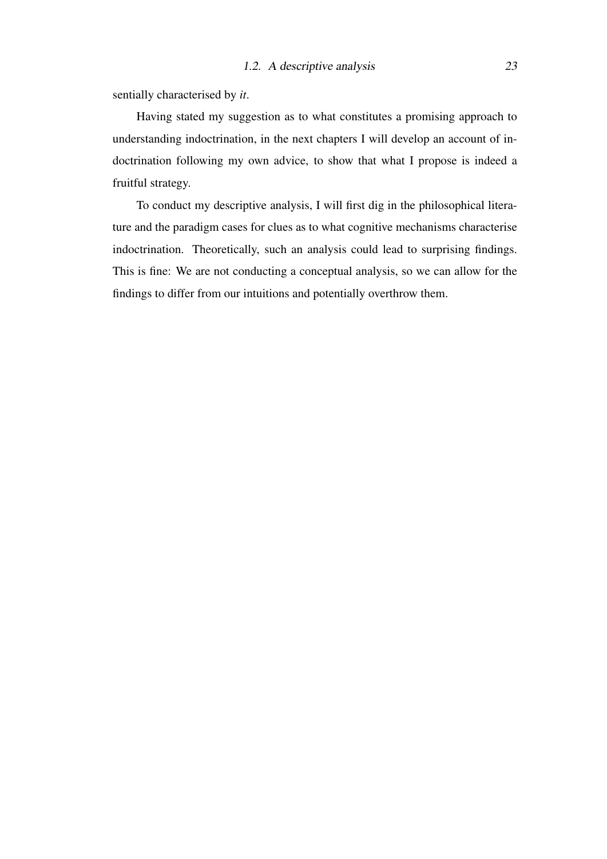sentially characterised by *it*.

Having stated my suggestion as to what constitutes a promising approach to understanding indoctrination, in the next chapters I will develop an account of indoctrination following my own advice, to show that what I propose is indeed a fruitful strategy.

To conduct my descriptive analysis, I will first dig in the philosophical literature and the paradigm cases for clues as to what cognitive mechanisms characterise indoctrination. Theoretically, such an analysis could lead to surprising findings. This is fine: We are not conducting a conceptual analysis, so we can allow for the findings to differ from our intuitions and potentially overthrow them.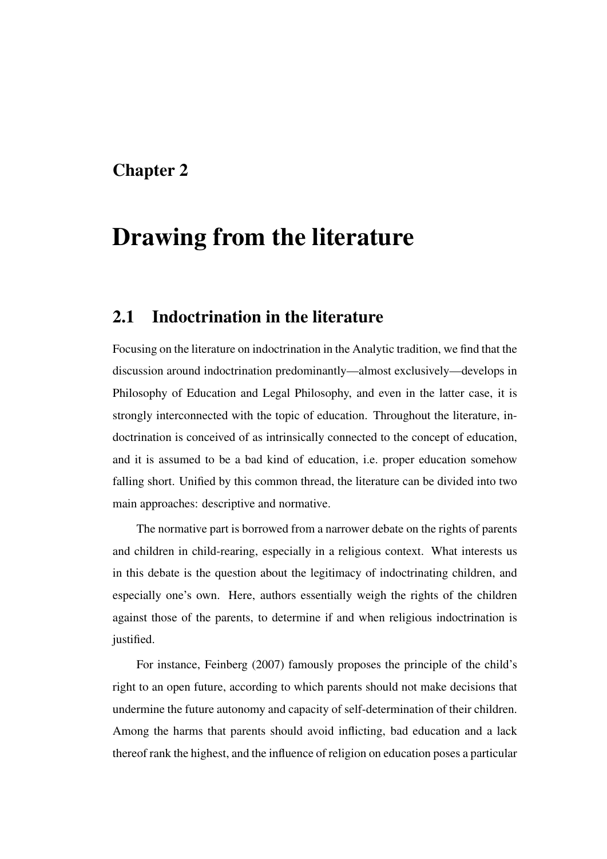### <span id="page-24-0"></span>Chapter 2

## Drawing from the literature

### <span id="page-24-1"></span>2.1 Indoctrination in the literature

Focusing on the literature on indoctrination in the Analytic tradition, we find that the discussion around indoctrination predominantly—almost exclusively—develops in Philosophy of Education and Legal Philosophy, and even in the latter case, it is strongly interconnected with the topic of education. Throughout the literature, indoctrination is conceived of as intrinsically connected to the concept of education, and it is assumed to be a bad kind of education, i.e. proper education somehow falling short. Unified by this common thread, the literature can be divided into two main approaches: descriptive and normative.

The normative part is borrowed from a narrower debate on the rights of parents and children in child-rearing, especially in a religious context. What interests us in this debate is the question about the legitimacy of indoctrinating children, and especially one's own. Here, authors essentially weigh the rights of the children against those of the parents, to determine if and when religious indoctrination is justified.

For instance, [Feinberg](#page-104-1) [\(2007\)](#page-104-1) famously proposes the principle of the child's right to an open future, according to which parents should not make decisions that undermine the future autonomy and capacity of self-determination of their children. Among the harms that parents should avoid inflicting, bad education and a lack thereof rank the highest, and the influence of religion on education poses a particular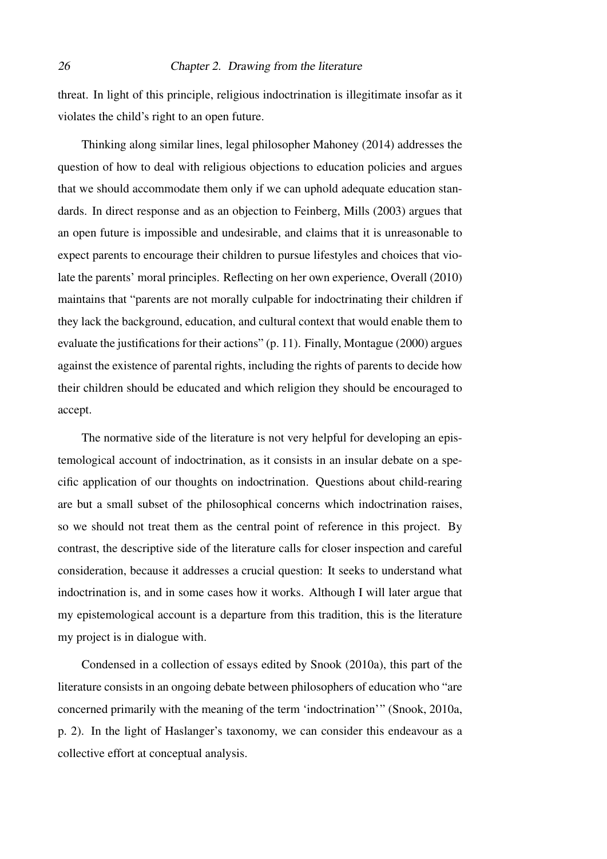threat. In light of this principle, religious indoctrination is illegitimate insofar as it violates the child's right to an open future.

Thinking along similar lines, legal philosopher [Mahoney](#page-106-0) [\(2014\)](#page-106-0) addresses the question of how to deal with religious objections to education policies and argues that we should accommodate them only if we can uphold adequate education standards. In direct response and as an objection to Feinberg, [Mills](#page-106-1) [\(2003\)](#page-106-1) argues that an open future is impossible and undesirable, and claims that it is unreasonable to expect parents to encourage their children to pursue lifestyles and choices that violate the parents' moral principles. Reflecting on her own experience, [Overall](#page-106-2) [\(2010\)](#page-106-2) maintains that "parents are not morally culpable for indoctrinating their children if they lack the background, education, and cultural context that would enable them to evaluate the justifications for their actions" (p. 11). Finally, [Montague](#page-106-3) [\(2000\)](#page-106-3) argues against the existence of parental rights, including the rights of parents to decide how their children should be educated and which religion they should be encouraged to accept.

The normative side of the literature is not very helpful for developing an epistemological account of indoctrination, as it consists in an insular debate on a specific application of our thoughts on indoctrination. Questions about child-rearing are but a small subset of the philosophical concerns which indoctrination raises, so we should not treat them as the central point of reference in this project. By contrast, the descriptive side of the literature calls for closer inspection and careful consideration, because it addresses a crucial question: It seeks to understand what indoctrination is, and in some cases how it works. Although I will later argue that my epistemological account is a departure from this tradition, this is the literature my project is in dialogue with.

Condensed in a collection of essays edited by [Snook](#page-107-2) [\(2010a\)](#page-107-2), this part of the literature consists in an ongoing debate between philosophers of education who "are concerned primarily with the meaning of the term 'indoctrination'" [\(Snook, 2010a,](#page-107-2) p. 2). In the light of Haslanger's taxonomy, we can consider this endeavour as a collective effort at conceptual analysis.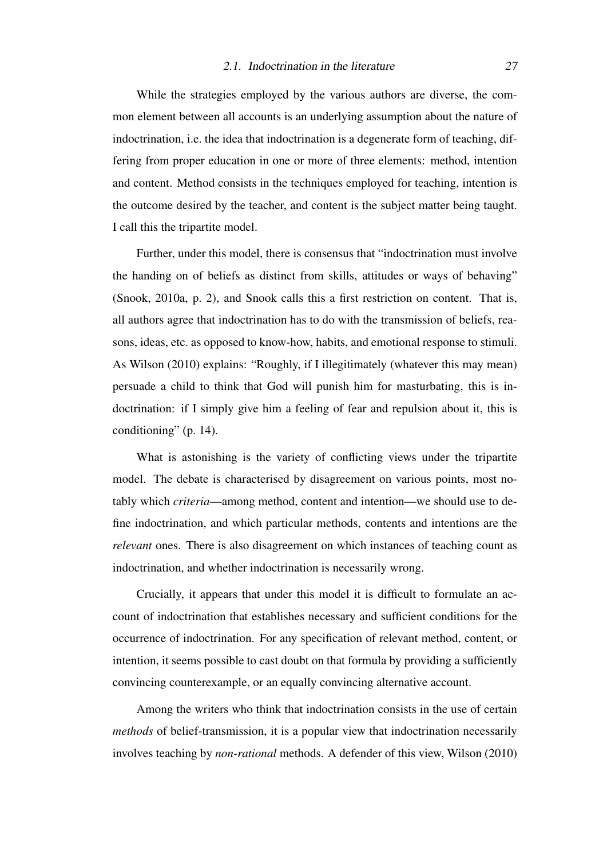#### 2.1. Indoctrination in the literature 27

While the strategies employed by the various authors are diverse, the common element between all accounts is an underlying assumption about the nature of indoctrination, i.e. the idea that indoctrination is a degenerate form of teaching, differing from proper education in one or more of three elements: method, intention and content. Method consists in the techniques employed for teaching, intention is the outcome desired by the teacher, and content is the subject matter being taught. I call this the tripartite model.

Further, under this model, there is consensus that "indoctrination must involve the handing on of beliefs as distinct from skills, attitudes or ways of behaving" [\(Snook, 2010a,](#page-107-2) p. 2), and Snook calls this a first restriction on content. That is, all authors agree that indoctrination has to do with the transmission of beliefs, reasons, ideas, etc. as opposed to know-how, habits, and emotional response to stimuli. As [Wilson](#page-107-3) [\(2010\)](#page-107-3) explains: "Roughly, if I illegitimately (whatever this may mean) persuade a child to think that God will punish him for masturbating, this is indoctrination: if I simply give him a feeling of fear and repulsion about it, this is conditioning" (p. 14).

What is astonishing is the variety of conflicting views under the tripartite model. The debate is characterised by disagreement on various points, most notably which *criteria*—among method, content and intention—we should use to define indoctrination, and which particular methods, contents and intentions are the *relevant* ones. There is also disagreement on which instances of teaching count as indoctrination, and whether indoctrination is necessarily wrong.

Crucially, it appears that under this model it is difficult to formulate an account of indoctrination that establishes necessary and sufficient conditions for the occurrence of indoctrination. For any specification of relevant method, content, or intention, it seems possible to cast doubt on that formula by providing a sufficiently convincing counterexample, or an equally convincing alternative account.

Among the writers who think that indoctrination consists in the use of certain *methods* of belief-transmission, it is a popular view that indoctrination necessarily involves teaching by *non-rational* methods. A defender of this view, [Wilson](#page-107-3) [\(2010\)](#page-107-3)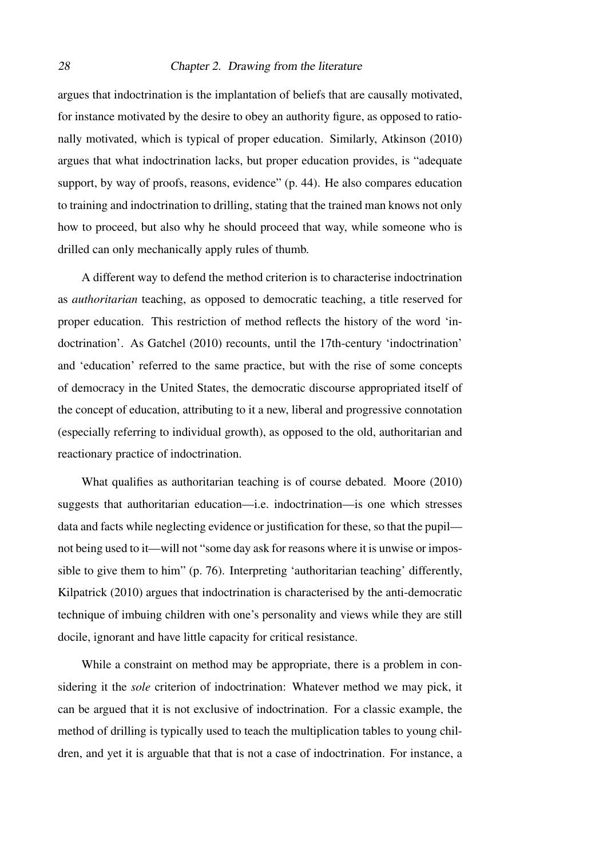#### 28 Chapter 2. Drawing from the literature

argues that indoctrination is the implantation of beliefs that are causally motivated, for instance motivated by the desire to obey an authority figure, as opposed to rationally motivated, which is typical of proper education. Similarly, [Atkinson](#page-104-2) [\(2010\)](#page-104-2) argues that what indoctrination lacks, but proper education provides, is "adequate support, by way of proofs, reasons, evidence" (p. 44). He also compares education to training and indoctrination to drilling, stating that the trained man knows not only how to proceed, but also why he should proceed that way, while someone who is drilled can only mechanically apply rules of thumb.

A different way to defend the method criterion is to characterise indoctrination as *authoritarian* teaching, as opposed to democratic teaching, a title reserved for proper education. This restriction of method reflects the history of the word 'indoctrination'. As [Gatchel](#page-105-1) [\(2010\)](#page-105-1) recounts, until the 17th-century 'indoctrination' and 'education' referred to the same practice, but with the rise of some concepts of democracy in the United States, the democratic discourse appropriated itself of the concept of education, attributing to it a new, liberal and progressive connotation (especially referring to individual growth), as opposed to the old, authoritarian and reactionary practice of indoctrination.

What qualifies as authoritarian teaching is of course debated. [Moore](#page-106-4) [\(2010\)](#page-106-4) suggests that authoritarian education—i.e. indoctrination—is one which stresses data and facts while neglecting evidence or justification for these, so that the pupil not being used to it—will not "some day ask for reasons where it is unwise or impossible to give them to him" (p. 76). Interpreting 'authoritarian teaching' differently, [Kilpatrick](#page-106-5) [\(2010\)](#page-106-5) argues that indoctrination is characterised by the anti-democratic technique of imbuing children with one's personality and views while they are still docile, ignorant and have little capacity for critical resistance.

While a constraint on method may be appropriate, there is a problem in considering it the *sole* criterion of indoctrination: Whatever method we may pick, it can be argued that it is not exclusive of indoctrination. For a classic example, the method of drilling is typically used to teach the multiplication tables to young children, and yet it is arguable that that is not a case of indoctrination. For instance, a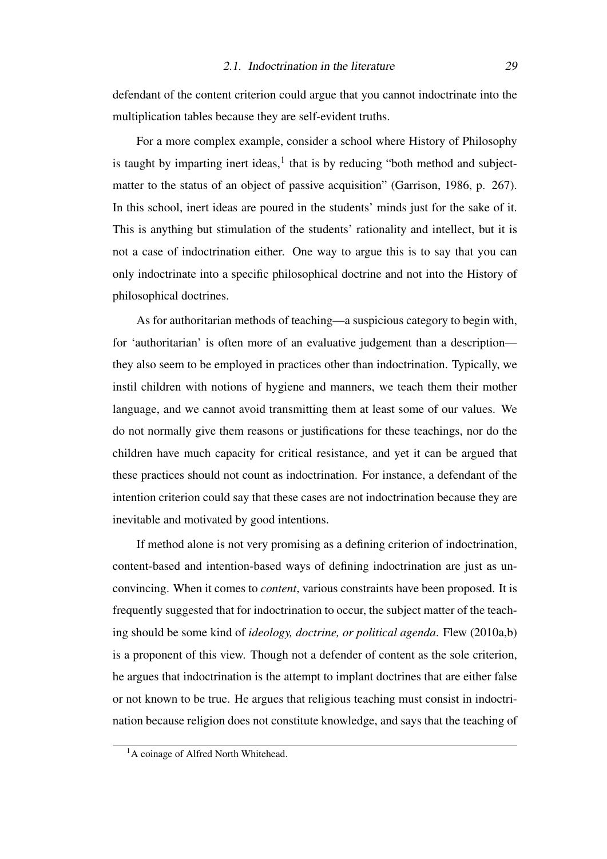defendant of the content criterion could argue that you cannot indoctrinate into the multiplication tables because they are self-evident truths.

For a more complex example, consider a school where History of Philosophy is taught by imparting inert ideas, $<sup>1</sup>$  $<sup>1</sup>$  $<sup>1</sup>$  that is by reducing "both method and subject-</sup> matter to the status of an object of passive acquisition" [\(Garrison, 1986,](#page-105-2) p. 267). In this school, inert ideas are poured in the students' minds just for the sake of it. This is anything but stimulation of the students' rationality and intellect, but it is not a case of indoctrination either. One way to argue this is to say that you can only indoctrinate into a specific philosophical doctrine and not into the History of philosophical doctrines.

As for authoritarian methods of teaching—a suspicious category to begin with, for 'authoritarian' is often more of an evaluative judgement than a description they also seem to be employed in practices other than indoctrination. Typically, we instil children with notions of hygiene and manners, we teach them their mother language, and we cannot avoid transmitting them at least some of our values. We do not normally give them reasons or justifications for these teachings, nor do the children have much capacity for critical resistance, and yet it can be argued that these practices should not count as indoctrination. For instance, a defendant of the intention criterion could say that these cases are not indoctrination because they are inevitable and motivated by good intentions.

If method alone is not very promising as a defining criterion of indoctrination, content-based and intention-based ways of defining indoctrination are just as unconvincing. When it comes to *content*, various constraints have been proposed. It is frequently suggested that for indoctrination to occur, the subject matter of the teaching should be some kind of *ideology, doctrine, or political agenda*. [Flew](#page-105-3) [\(2010a](#page-105-3)[,b\)](#page-105-4) is a proponent of this view. Though not a defender of content as the sole criterion, he argues that indoctrination is the attempt to implant doctrines that are either false or not known to be true. He argues that religious teaching must consist in indoctrination because religion does not constitute knowledge, and says that the teaching of

<span id="page-28-0"></span><sup>&</sup>lt;sup>1</sup>A coinage of Alfred North Whitehead.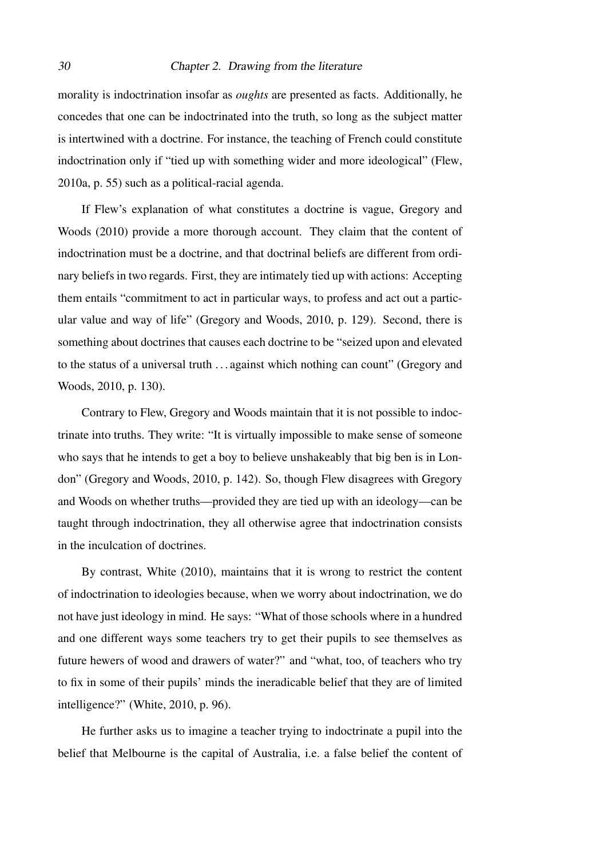#### 30 Chapter 2. Drawing from the literature

morality is indoctrination insofar as *oughts* are presented as facts. Additionally, he concedes that one can be indoctrinated into the truth, so long as the subject matter is intertwined with a doctrine. For instance, the teaching of French could constitute indoctrination only if "tied up with something wider and more ideological" [\(Flew,](#page-105-3) [2010a,](#page-105-3) p. 55) such as a political-racial agenda.

If Flew's explanation of what constitutes a doctrine is vague, [Gregory and](#page-105-5) [Woods](#page-105-5) [\(2010\)](#page-105-5) provide a more thorough account. They claim that the content of indoctrination must be a doctrine, and that doctrinal beliefs are different from ordinary beliefs in two regards. First, they are intimately tied up with actions: Accepting them entails "commitment to act in particular ways, to profess and act out a particular value and way of life" [\(Gregory and Woods, 2010,](#page-105-5) p. 129). Second, there is something about doctrines that causes each doctrine to be "seized upon and elevated to the status of a universal truth . . . against which nothing can count" [\(Gregory and](#page-105-5) [Woods, 2010,](#page-105-5) p. 130).

Contrary to Flew, Gregory and Woods maintain that it is not possible to indoctrinate into truths. They write: "It is virtually impossible to make sense of someone who says that he intends to get a boy to believe unshakeably that big ben is in London" [\(Gregory and Woods, 2010,](#page-105-5) p. 142). So, though Flew disagrees with Gregory and Woods on whether truths—provided they are tied up with an ideology—can be taught through indoctrination, they all otherwise agree that indoctrination consists in the inculcation of doctrines.

By contrast, [White](#page-107-4) [\(2010\)](#page-107-4), maintains that it is wrong to restrict the content of indoctrination to ideologies because, when we worry about indoctrination, we do not have just ideology in mind. He says: "What of those schools where in a hundred and one different ways some teachers try to get their pupils to see themselves as future hewers of wood and drawers of water?" and "what, too, of teachers who try to fix in some of their pupils' minds the ineradicable belief that they are of limited intelligence?" [\(White, 2010,](#page-107-4) p. 96).

He further asks us to imagine a teacher trying to indoctrinate a pupil into the belief that Melbourne is the capital of Australia, i.e. a false belief the content of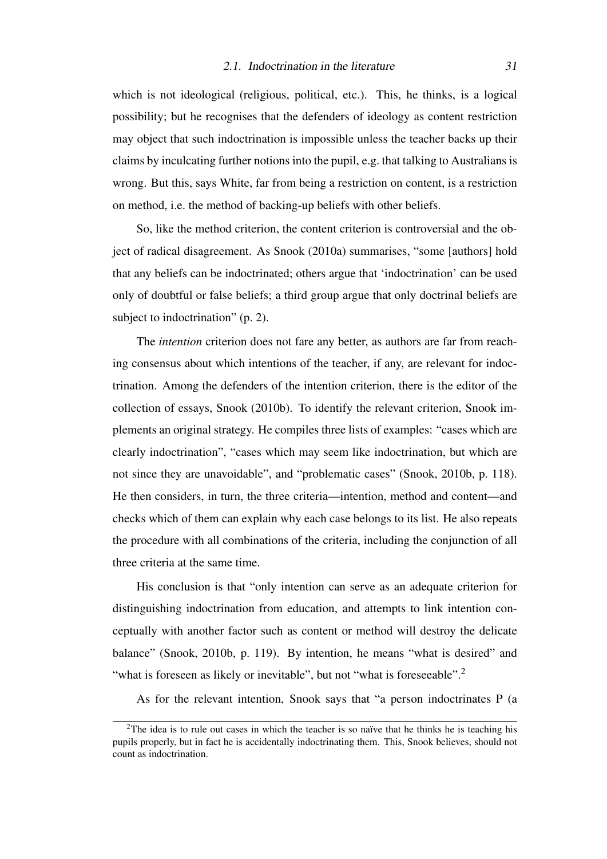which is not ideological (religious, political, etc.). This, he thinks, is a logical possibility; but he recognises that the defenders of ideology as content restriction may object that such indoctrination is impossible unless the teacher backs up their claims by inculcating further notions into the pupil, e.g. that talking to Australians is wrong. But this, says White, far from being a restriction on content, is a restriction on method, i.e. the method of backing-up beliefs with other beliefs.

So, like the method criterion, the content criterion is controversial and the object of radical disagreement. As [Snook](#page-107-2) [\(2010a\)](#page-107-2) summarises, "some [authors] hold that any beliefs can be indoctrinated; others argue that 'indoctrination' can be used only of doubtful or false beliefs; a third group argue that only doctrinal beliefs are subject to indoctrination" (p. 2).

The *intention* criterion does not fare any better, as authors are far from reaching consensus about which intentions of the teacher, if any, are relevant for indoctrination. Among the defenders of the intention criterion, there is the editor of the collection of essays, [Snook](#page-107-5) [\(2010b\)](#page-107-5). To identify the relevant criterion, Snook implements an original strategy. He compiles three lists of examples: "cases which are clearly indoctrination", "cases which may seem like indoctrination, but which are not since they are unavoidable", and "problematic cases" [\(Snook, 2010b,](#page-107-5) p. 118). He then considers, in turn, the three criteria—intention, method and content—and checks which of them can explain why each case belongs to its list. He also repeats the procedure with all combinations of the criteria, including the conjunction of all three criteria at the same time.

His conclusion is that "only intention can serve as an adequate criterion for distinguishing indoctrination from education, and attempts to link intention conceptually with another factor such as content or method will destroy the delicate balance" [\(Snook, 2010b,](#page-107-5) p. 119). By intention, he means "what is desired" and "what is foreseen as likely or inevitable", but not "what is foreseeable".<sup>[2](#page-30-0)</sup>

As for the relevant intention, Snook says that "a person indoctrinates P (a

<span id="page-30-0"></span> $2$ The idea is to rule out cases in which the teacher is so naïve that he thinks he is teaching his pupils properly, but in fact he is accidentally indoctrinating them. This, Snook believes, should not count as indoctrination.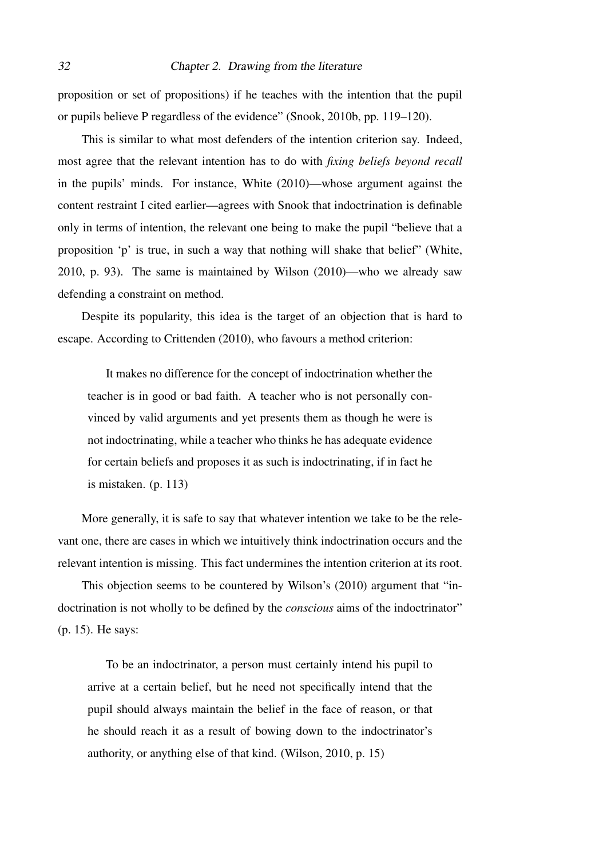proposition or set of propositions) if he teaches with the intention that the pupil or pupils believe P regardless of the evidence" [\(Snook, 2010b,](#page-107-5) pp. 119–120).

This is similar to what most defenders of the intention criterion say. Indeed, most agree that the relevant intention has to do with *fixing beliefs beyond recall* in the pupils' minds. For instance, [White](#page-107-4) [\(2010\)](#page-107-4)—whose argument against the content restraint I cited earlier—agrees with Snook that indoctrination is definable only in terms of intention, the relevant one being to make the pupil "believe that a proposition 'p' is true, in such a way that nothing will shake that belief" [\(White,](#page-107-4) [2010,](#page-107-4) p. 93). The same is maintained by [Wilson](#page-107-3) [\(2010\)](#page-107-3)—who we already saw defending a constraint on method.

Despite its popularity, this idea is the target of an objection that is hard to escape. According to [Crittenden](#page-104-3) [\(2010\)](#page-104-3), who favours a method criterion:

It makes no difference for the concept of indoctrination whether the teacher is in good or bad faith. A teacher who is not personally convinced by valid arguments and yet presents them as though he were is not indoctrinating, while a teacher who thinks he has adequate evidence for certain beliefs and proposes it as such is indoctrinating, if in fact he is mistaken. (p. 113)

More generally, it is safe to say that whatever intention we take to be the relevant one, there are cases in which we intuitively think indoctrination occurs and the relevant intention is missing. This fact undermines the intention criterion at its root.

This objection seems to be countered by [Wilson'](#page-107-3)s [\(2010\)](#page-107-3) argument that "indoctrination is not wholly to be defined by the *conscious* aims of the indoctrinator" (p. 15). He says:

To be an indoctrinator, a person must certainly intend his pupil to arrive at a certain belief, but he need not specifically intend that the pupil should always maintain the belief in the face of reason, or that he should reach it as a result of bowing down to the indoctrinator's authority, or anything else of that kind. [\(Wilson, 2010,](#page-107-3) p. 15)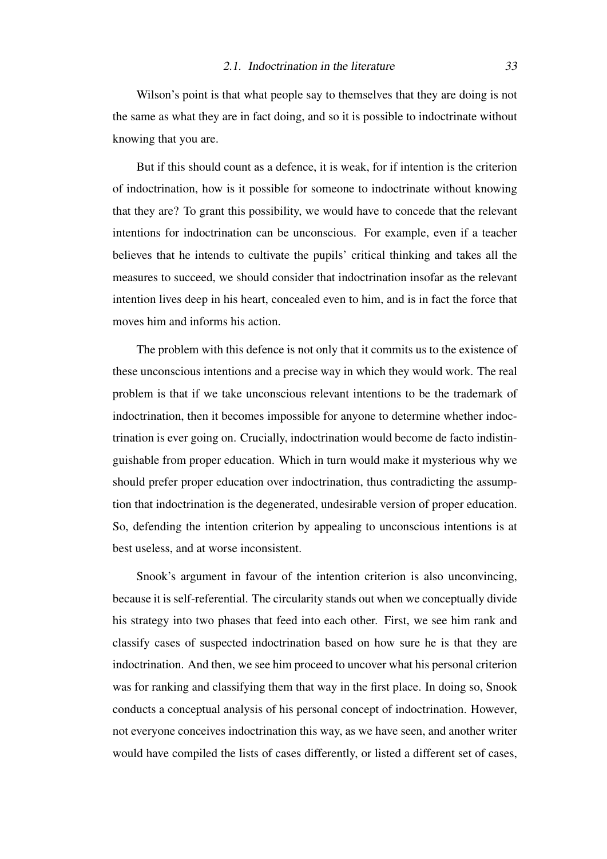Wilson's point is that what people say to themselves that they are doing is not the same as what they are in fact doing, and so it is possible to indoctrinate without knowing that you are.

But if this should count as a defence, it is weak, for if intention is the criterion of indoctrination, how is it possible for someone to indoctrinate without knowing that they are? To grant this possibility, we would have to concede that the relevant intentions for indoctrination can be unconscious. For example, even if a teacher believes that he intends to cultivate the pupils' critical thinking and takes all the measures to succeed, we should consider that indoctrination insofar as the relevant intention lives deep in his heart, concealed even to him, and is in fact the force that moves him and informs his action.

The problem with this defence is not only that it commits us to the existence of these unconscious intentions and a precise way in which they would work. The real problem is that if we take unconscious relevant intentions to be the trademark of indoctrination, then it becomes impossible for anyone to determine whether indoctrination is ever going on. Crucially, indoctrination would become de facto indistinguishable from proper education. Which in turn would make it mysterious why we should prefer proper education over indoctrination, thus contradicting the assumption that indoctrination is the degenerated, undesirable version of proper education. So, defending the intention criterion by appealing to unconscious intentions is at best useless, and at worse inconsistent.

Snook's argument in favour of the intention criterion is also unconvincing, because it is self-referential. The circularity stands out when we conceptually divide his strategy into two phases that feed into each other. First, we see him rank and classify cases of suspected indoctrination based on how sure he is that they are indoctrination. And then, we see him proceed to uncover what his personal criterion was for ranking and classifying them that way in the first place. In doing so, Snook conducts a conceptual analysis of his personal concept of indoctrination. However, not everyone conceives indoctrination this way, as we have seen, and another writer would have compiled the lists of cases differently, or listed a different set of cases,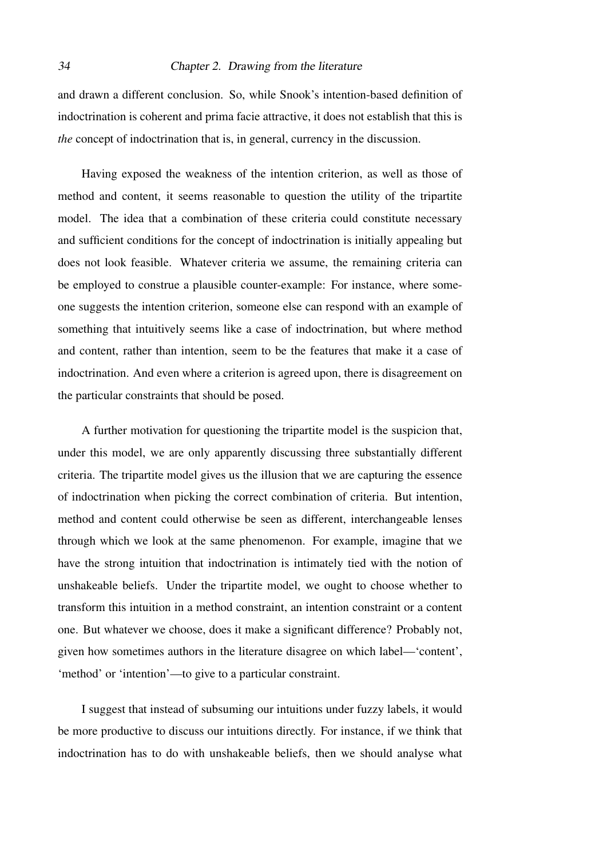#### 34 Chapter 2. Drawing from the literature

and drawn a different conclusion. So, while Snook's intention-based definition of indoctrination is coherent and prima facie attractive, it does not establish that this is *the* concept of indoctrination that is, in general, currency in the discussion.

Having exposed the weakness of the intention criterion, as well as those of method and content, it seems reasonable to question the utility of the tripartite model. The idea that a combination of these criteria could constitute necessary and sufficient conditions for the concept of indoctrination is initially appealing but does not look feasible. Whatever criteria we assume, the remaining criteria can be employed to construe a plausible counter-example: For instance, where someone suggests the intention criterion, someone else can respond with an example of something that intuitively seems like a case of indoctrination, but where method and content, rather than intention, seem to be the features that make it a case of indoctrination. And even where a criterion is agreed upon, there is disagreement on the particular constraints that should be posed.

A further motivation for questioning the tripartite model is the suspicion that, under this model, we are only apparently discussing three substantially different criteria. The tripartite model gives us the illusion that we are capturing the essence of indoctrination when picking the correct combination of criteria. But intention, method and content could otherwise be seen as different, interchangeable lenses through which we look at the same phenomenon. For example, imagine that we have the strong intuition that indoctrination is intimately tied with the notion of unshakeable beliefs. Under the tripartite model, we ought to choose whether to transform this intuition in a method constraint, an intention constraint or a content one. But whatever we choose, does it make a significant difference? Probably not, given how sometimes authors in the literature disagree on which label—'content', 'method' or 'intention'—to give to a particular constraint.

I suggest that instead of subsuming our intuitions under fuzzy labels, it would be more productive to discuss our intuitions directly. For instance, if we think that indoctrination has to do with unshakeable beliefs, then we should analyse what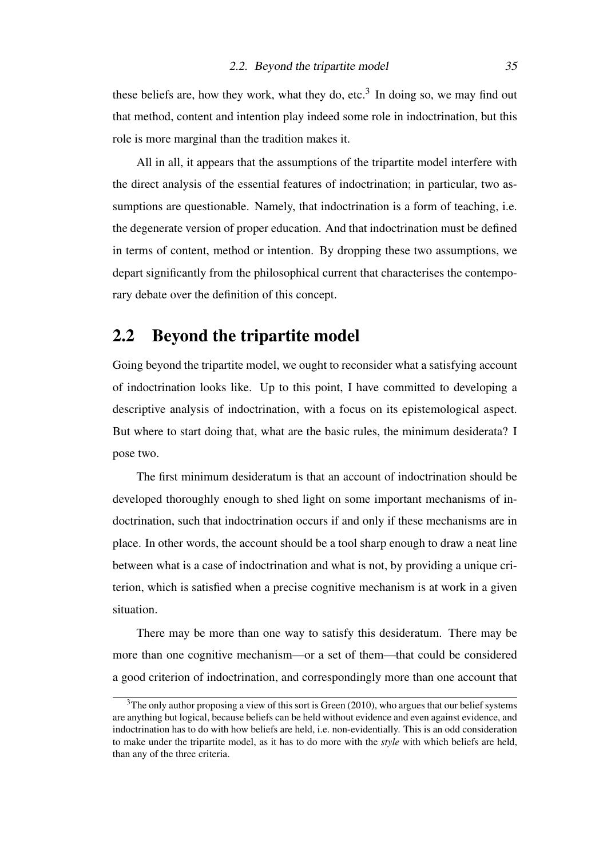these beliefs are, how they work, what they do, etc.<sup>[3](#page-34-1)</sup> In doing so, we may find out that method, content and intention play indeed some role in indoctrination, but this role is more marginal than the tradition makes it.

All in all, it appears that the assumptions of the tripartite model interfere with the direct analysis of the essential features of indoctrination; in particular, two assumptions are questionable. Namely, that indoctrination is a form of teaching, i.e. the degenerate version of proper education. And that indoctrination must be defined in terms of content, method or intention. By dropping these two assumptions, we depart significantly from the philosophical current that characterises the contemporary debate over the definition of this concept.

### <span id="page-34-0"></span>2.2 Beyond the tripartite model

Going beyond the tripartite model, we ought to reconsider what a satisfying account of indoctrination looks like. Up to this point, I have committed to developing a descriptive analysis of indoctrination, with a focus on its epistemological aspect. But where to start doing that, what are the basic rules, the minimum desiderata? I pose two.

The first minimum desideratum is that an account of indoctrination should be developed thoroughly enough to shed light on some important mechanisms of indoctrination, such that indoctrination occurs if and only if these mechanisms are in place. In other words, the account should be a tool sharp enough to draw a neat line between what is a case of indoctrination and what is not, by providing a unique criterion, which is satisfied when a precise cognitive mechanism is at work in a given situation.

There may be more than one way to satisfy this desideratum. There may be more than one cognitive mechanism—or a set of them—that could be considered a good criterion of indoctrination, and correspondingly more than one account that

<span id="page-34-1"></span> $3$ The only author proposing a view of this sort is [Green](#page-105-6) [\(2010\)](#page-105-6), who argues that our belief systems are anything but logical, because beliefs can be held without evidence and even against evidence, and indoctrination has to do with how beliefs are held, i.e. non-evidentially. This is an odd consideration to make under the tripartite model, as it has to do more with the *style* with which beliefs are held, than any of the three criteria.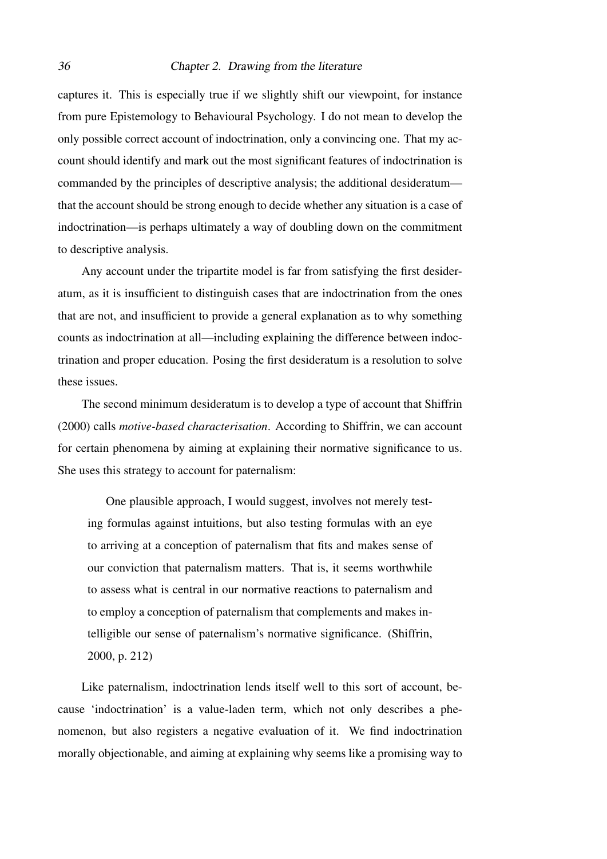#### 36 Chapter 2. Drawing from the literature

captures it. This is especially true if we slightly shift our viewpoint, for instance from pure Epistemology to Behavioural Psychology. I do not mean to develop the only possible correct account of indoctrination, only a convincing one. That my account should identify and mark out the most significant features of indoctrination is commanded by the principles of descriptive analysis; the additional desideratum that the account should be strong enough to decide whether any situation is a case of indoctrination—is perhaps ultimately a way of doubling down on the commitment to descriptive analysis.

Any account under the tripartite model is far from satisfying the first desideratum, as it is insufficient to distinguish cases that are indoctrination from the ones that are not, and insufficient to provide a general explanation as to why something counts as indoctrination at all—including explaining the difference between indoctrination and proper education. Posing the first desideratum is a resolution to solve these issues.

The second minimum desideratum is to develop a type of account that [Shiffrin](#page-107-0) [\(2000\)](#page-107-0) calls *motive-based characterisation*. According to Shiffrin, we can account for certain phenomena by aiming at explaining their normative significance to us. She uses this strategy to account for paternalism:

One plausible approach, I would suggest, involves not merely testing formulas against intuitions, but also testing formulas with an eye to arriving at a conception of paternalism that fits and makes sense of our conviction that paternalism matters. That is, it seems worthwhile to assess what is central in our normative reactions to paternalism and to employ a conception of paternalism that complements and makes intelligible our sense of paternalism's normative significance. [\(Shiffrin,](#page-107-0) [2000,](#page-107-0) p. 212)

Like paternalism, indoctrination lends itself well to this sort of account, because 'indoctrination' is a value-laden term, which not only describes a phenomenon, but also registers a negative evaluation of it. We find indoctrination morally objectionable, and aiming at explaining why seems like a promising way to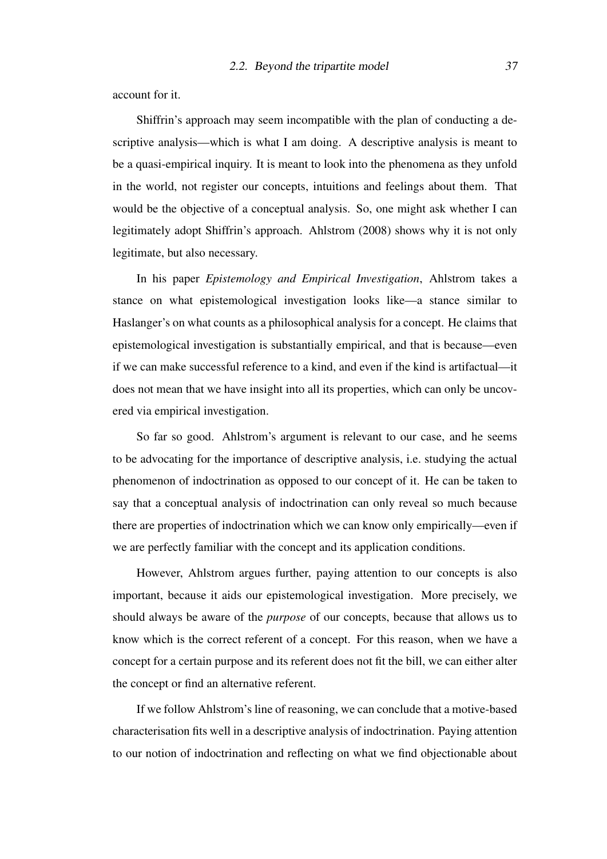account for it.

Shiffrin's approach may seem incompatible with the plan of conducting a descriptive analysis—which is what I am doing. A descriptive analysis is meant to be a quasi-empirical inquiry. It is meant to look into the phenomena as they unfold in the world, not register our concepts, intuitions and feelings about them. That would be the objective of a conceptual analysis. So, one might ask whether I can legitimately adopt Shiffrin's approach. [Ahlstrom](#page-104-0) [\(2008\)](#page-104-0) shows why it is not only legitimate, but also necessary.

In his paper *Epistemology and Empirical Investigation*, Ahlstrom takes a stance on what epistemological investigation looks like—a stance similar to Haslanger's on what counts as a philosophical analysis for a concept. He claims that epistemological investigation is substantially empirical, and that is because—even if we can make successful reference to a kind, and even if the kind is artifactual—it does not mean that we have insight into all its properties, which can only be uncovered via empirical investigation.

So far so good. Ahlstrom's argument is relevant to our case, and he seems to be advocating for the importance of descriptive analysis, i.e. studying the actual phenomenon of indoctrination as opposed to our concept of it. He can be taken to say that a conceptual analysis of indoctrination can only reveal so much because there are properties of indoctrination which we can know only empirically—even if we are perfectly familiar with the concept and its application conditions.

However, Ahlstrom argues further, paying attention to our concepts is also important, because it aids our epistemological investigation. More precisely, we should always be aware of the *purpose* of our concepts, because that allows us to know which is the correct referent of a concept. For this reason, when we have a concept for a certain purpose and its referent does not fit the bill, we can either alter the concept or find an alternative referent.

If we follow Ahlstrom's line of reasoning, we can conclude that a motive-based characterisation fits well in a descriptive analysis of indoctrination. Paying attention to our notion of indoctrination and reflecting on what we find objectionable about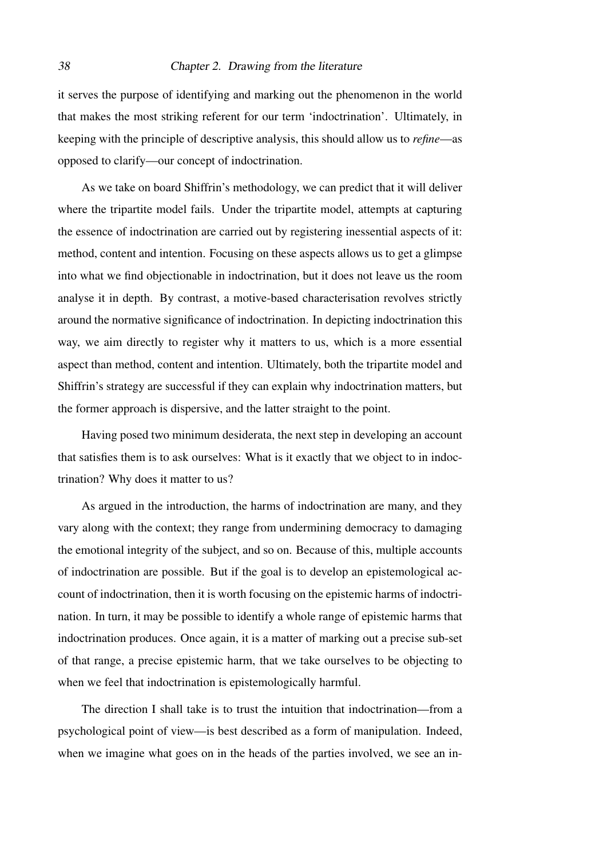### 38 Chapter 2. Drawing from the literature

it serves the purpose of identifying and marking out the phenomenon in the world that makes the most striking referent for our term 'indoctrination'. Ultimately, in keeping with the principle of descriptive analysis, this should allow us to *refine*—as opposed to clarify—our concept of indoctrination.

As we take on board Shiffrin's methodology, we can predict that it will deliver where the tripartite model fails. Under the tripartite model, attempts at capturing the essence of indoctrination are carried out by registering inessential aspects of it: method, content and intention. Focusing on these aspects allows us to get a glimpse into what we find objectionable in indoctrination, but it does not leave us the room analyse it in depth. By contrast, a motive-based characterisation revolves strictly around the normative significance of indoctrination. In depicting indoctrination this way, we aim directly to register why it matters to us, which is a more essential aspect than method, content and intention. Ultimately, both the tripartite model and Shiffrin's strategy are successful if they can explain why indoctrination matters, but the former approach is dispersive, and the latter straight to the point.

Having posed two minimum desiderata, the next step in developing an account that satisfies them is to ask ourselves: What is it exactly that we object to in indoctrination? Why does it matter to us?

As argued in the introduction, the harms of indoctrination are many, and they vary along with the context; they range from undermining democracy to damaging the emotional integrity of the subject, and so on. Because of this, multiple accounts of indoctrination are possible. But if the goal is to develop an epistemological account of indoctrination, then it is worth focusing on the epistemic harms of indoctrination. In turn, it may be possible to identify a whole range of epistemic harms that indoctrination produces. Once again, it is a matter of marking out a precise sub-set of that range, a precise epistemic harm, that we take ourselves to be objecting to when we feel that indoctrination is epistemologically harmful.

The direction I shall take is to trust the intuition that indoctrination—from a psychological point of view—is best described as a form of manipulation. Indeed, when we imagine what goes on in the heads of the parties involved, we see an in-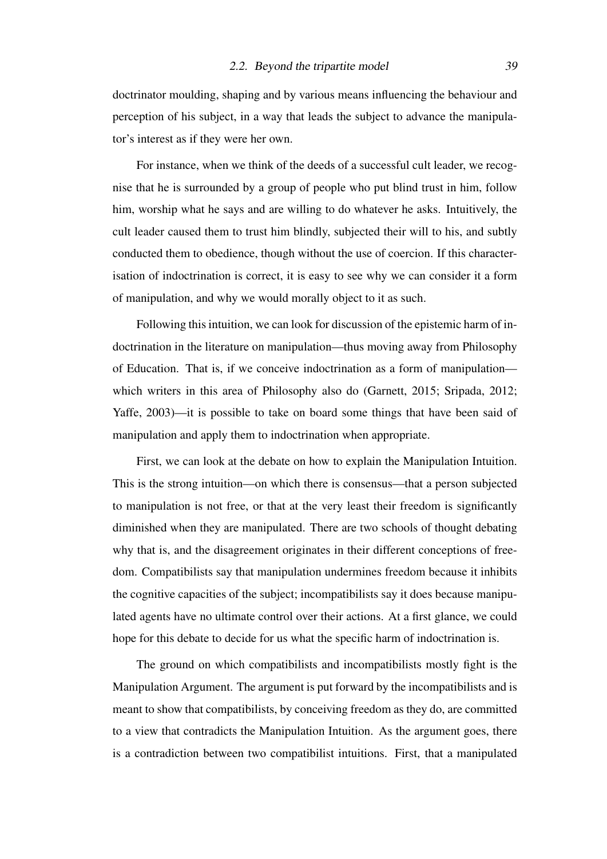doctrinator moulding, shaping and by various means influencing the behaviour and perception of his subject, in a way that leads the subject to advance the manipulator's interest as if they were her own.

For instance, when we think of the deeds of a successful cult leader, we recognise that he is surrounded by a group of people who put blind trust in him, follow him, worship what he says and are willing to do whatever he asks. Intuitively, the cult leader caused them to trust him blindly, subjected their will to his, and subtly conducted them to obedience, though without the use of coercion. If this characterisation of indoctrination is correct, it is easy to see why we can consider it a form of manipulation, and why we would morally object to it as such.

Following this intuition, we can look for discussion of the epistemic harm of indoctrination in the literature on manipulation—thus moving away from Philosophy of Education. That is, if we conceive indoctrination as a form of manipulation which writers in this area of Philosophy also do [\(Garnett, 2015;](#page-105-0) [Sripada, 2012;](#page-107-0) [Yaffe, 2003\)](#page-107-1)—it is possible to take on board some things that have been said of manipulation and apply them to indoctrination when appropriate.

First, we can look at the debate on how to explain the Manipulation Intuition. This is the strong intuition—on which there is consensus—that a person subjected to manipulation is not free, or that at the very least their freedom is significantly diminished when they are manipulated. There are two schools of thought debating why that is, and the disagreement originates in their different conceptions of freedom. Compatibilists say that manipulation undermines freedom because it inhibits the cognitive capacities of the subject; incompatibilists say it does because manipulated agents have no ultimate control over their actions. At a first glance, we could hope for this debate to decide for us what the specific harm of indoctrination is.

The ground on which compatibilists and incompatibilists mostly fight is the Manipulation Argument. The argument is put forward by the incompatibilists and is meant to show that compatibilists, by conceiving freedom as they do, are committed to a view that contradicts the Manipulation Intuition. As the argument goes, there is a contradiction between two compatibilist intuitions. First, that a manipulated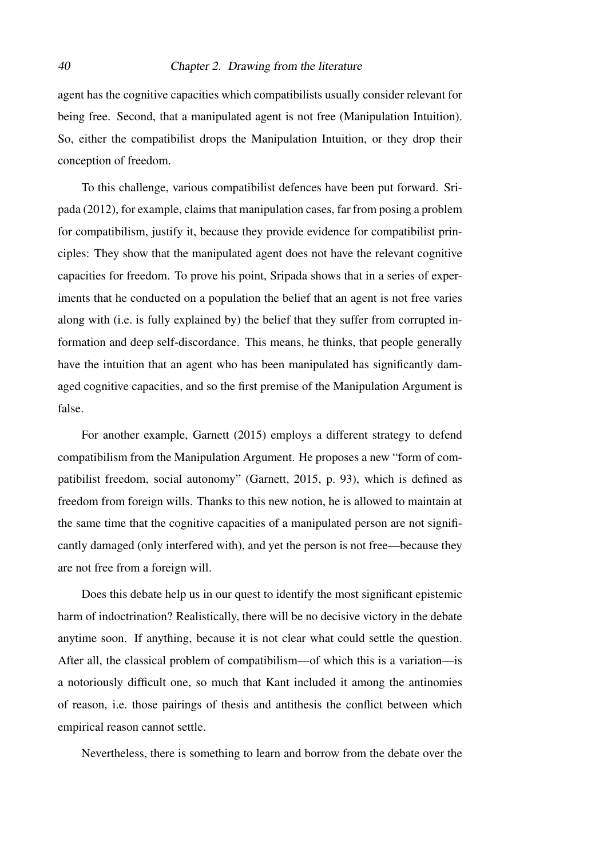### 40 Chapter 2. Drawing from the literature

agent has the cognitive capacities which compatibilists usually consider relevant for being free. Second, that a manipulated agent is not free (Manipulation Intuition). So, either the compatibilist drops the Manipulation Intuition, or they drop their conception of freedom.

To this challenge, various compatibilist defences have been put forward. [Sri](#page-107-0)[pada](#page-107-0) [\(2012\)](#page-107-0), for example, claims that manipulation cases, far from posing a problem for compatibilism, justify it, because they provide evidence for compatibilist principles: They show that the manipulated agent does not have the relevant cognitive capacities for freedom. To prove his point, Sripada shows that in a series of experiments that he conducted on a population the belief that an agent is not free varies along with (i.e. is fully explained by) the belief that they suffer from corrupted information and deep self-discordance. This means, he thinks, that people generally have the intuition that an agent who has been manipulated has significantly damaged cognitive capacities, and so the first premise of the Manipulation Argument is false.

For another example, [Garnett](#page-105-0) [\(2015\)](#page-105-0) employs a different strategy to defend compatibilism from the Manipulation Argument. He proposes a new "form of compatibilist freedom, social autonomy" [\(Garnett, 2015,](#page-105-0) p. 93), which is defined as freedom from foreign wills. Thanks to this new notion, he is allowed to maintain at the same time that the cognitive capacities of a manipulated person are not significantly damaged (only interfered with), and yet the person is not free—because they are not free from a foreign will.

Does this debate help us in our quest to identify the most significant epistemic harm of indoctrination? Realistically, there will be no decisive victory in the debate anytime soon. If anything, because it is not clear what could settle the question. After all, the classical problem of compatibilism—of which this is a variation—is a notoriously difficult one, so much that Kant included it among the antinomies of reason, i.e. those pairings of thesis and antithesis the conflict between which empirical reason cannot settle.

Nevertheless, there is something to learn and borrow from the debate over the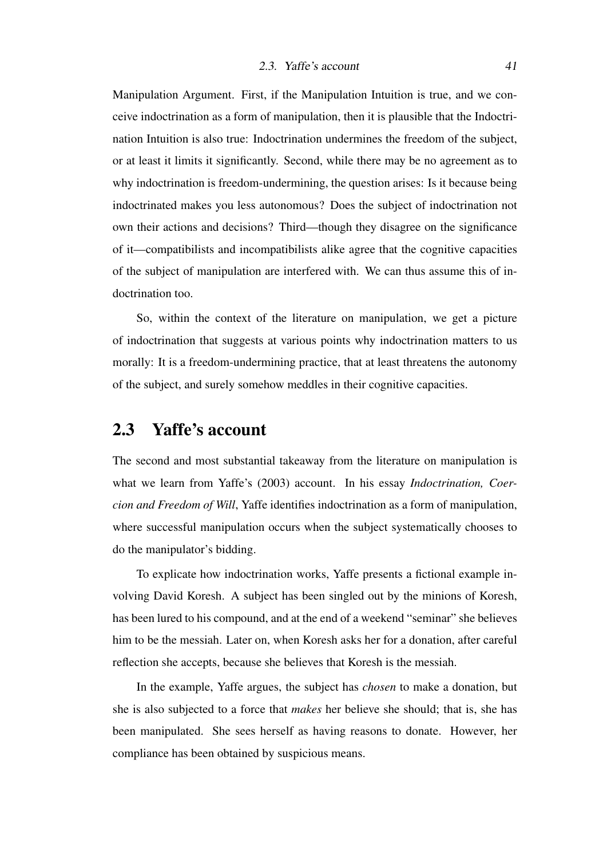Manipulation Argument. First, if the Manipulation Intuition is true, and we conceive indoctrination as a form of manipulation, then it is plausible that the Indoctrination Intuition is also true: Indoctrination undermines the freedom of the subject, or at least it limits it significantly. Second, while there may be no agreement as to why indoctrination is freedom-undermining, the question arises: Is it because being indoctrinated makes you less autonomous? Does the subject of indoctrination not own their actions and decisions? Third—though they disagree on the significance of it—compatibilists and incompatibilists alike agree that the cognitive capacities of the subject of manipulation are interfered with. We can thus assume this of indoctrination too.

So, within the context of the literature on manipulation, we get a picture of indoctrination that suggests at various points why indoctrination matters to us morally: It is a freedom-undermining practice, that at least threatens the autonomy of the subject, and surely somehow meddles in their cognitive capacities.

# 2.3 Yaffe's account

The second and most substantial takeaway from the literature on manipulation is what we learn from [Yaffe'](#page-107-1)s [\(2003\)](#page-107-1) account. In his essay *Indoctrination, Coercion and Freedom of Will*, Yaffe identifies indoctrination as a form of manipulation, where successful manipulation occurs when the subject systematically chooses to do the manipulator's bidding.

To explicate how indoctrination works, Yaffe presents a fictional example involving David Koresh. A subject has been singled out by the minions of Koresh, has been lured to his compound, and at the end of a weekend "seminar" she believes him to be the messiah. Later on, when Koresh asks her for a donation, after careful reflection she accepts, because she believes that Koresh is the messiah.

In the example, Yaffe argues, the subject has *chosen* to make a donation, but she is also subjected to a force that *makes* her believe she should; that is, she has been manipulated. She sees herself as having reasons to donate. However, her compliance has been obtained by suspicious means.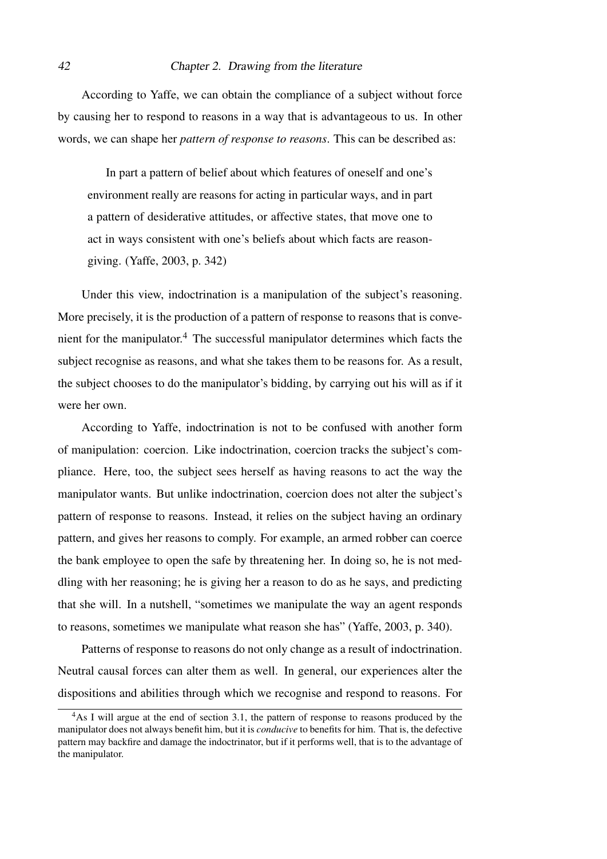### 42 Chapter 2. Drawing from the literature

According to Yaffe, we can obtain the compliance of a subject without force by causing her to respond to reasons in a way that is advantageous to us. In other words, we can shape her *pattern of response to reasons*. This can be described as:

In part a pattern of belief about which features of oneself and one's environment really are reasons for acting in particular ways, and in part a pattern of desiderative attitudes, or affective states, that move one to act in ways consistent with one's beliefs about which facts are reasongiving. [\(Yaffe, 2003,](#page-107-1) p. 342)

Under this view, indoctrination is a manipulation of the subject's reasoning. More precisely, it is the production of a pattern of response to reasons that is conve-nient for the manipulator.<sup>[4](#page-41-0)</sup> The successful manipulator determines which facts the subject recognise as reasons, and what she takes them to be reasons for. As a result, the subject chooses to do the manipulator's bidding, by carrying out his will as if it were her own.

According to Yaffe, indoctrination is not to be confused with another form of manipulation: coercion. Like indoctrination, coercion tracks the subject's compliance. Here, too, the subject sees herself as having reasons to act the way the manipulator wants. But unlike indoctrination, coercion does not alter the subject's pattern of response to reasons. Instead, it relies on the subject having an ordinary pattern, and gives her reasons to comply. For example, an armed robber can coerce the bank employee to open the safe by threatening her. In doing so, he is not meddling with her reasoning; he is giving her a reason to do as he says, and predicting that she will. In a nutshell, "sometimes we manipulate the way an agent responds to reasons, sometimes we manipulate what reason she has" [\(Yaffe, 2003,](#page-107-1) p. 340).

Patterns of response to reasons do not only change as a result of indoctrination. Neutral causal forces can alter them as well. In general, our experiences alter the dispositions and abilities through which we recognise and respond to reasons. For

<span id="page-41-0"></span><sup>&</sup>lt;sup>4</sup>As I will argue at the end of section 3.1, the pattern of response to reasons produced by the manipulator does not always benefit him, but it is *conducive* to benefits for him. That is, the defective pattern may backfire and damage the indoctrinator, but if it performs well, that is to the advantage of the manipulator.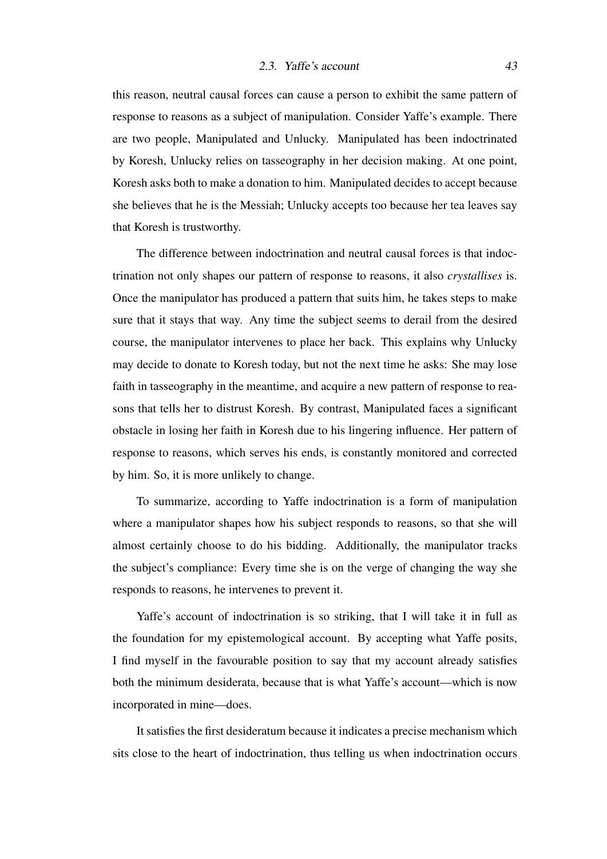this reason, neutral causal forces can cause a person to exhibit the same pattern of response to reasons as a subject of manipulation. Consider Yaffe's example. There are two people, Manipulated and Unlucky. Manipulated has been indoctrinated by Koresh, Unlucky relies on tasseography in her decision making. At one point, Koresh asks both to make a donation to him. Manipulated decides to accept because she believes that he is the Messiah; Unlucky accepts too because her tea leaves say that Koresh is trustworthy.

The difference between indoctrination and neutral causal forces is that indoctrination not only shapes our pattern of response to reasons, it also *crystallises* is. Once the manipulator has produced a pattern that suits him, he takes steps to make sure that it stays that way. Any time the subject seems to derail from the desired course, the manipulator intervenes to place her back. This explains why Unlucky may decide to donate to Koresh today, but not the next time he asks: She may lose faith in tasseography in the meantime, and acquire a new pattern of response to reasons that tells her to distrust Koresh. By contrast, Manipulated faces a significant obstacle in losing her faith in Koresh due to his lingering influence. Her pattern of response to reasons, which serves his ends, is constantly monitored and corrected by him. So, it is more unlikely to change.

To summarize, according to Yaffe indoctrination is a form of manipulation where a manipulator shapes how his subject responds to reasons, so that she will almost certainly choose to do his bidding. Additionally, the manipulator tracks the subject's compliance: Every time she is on the verge of changing the way she responds to reasons, he intervenes to prevent it.

Yaffe's account of indoctrination is so striking, that I will take it in full as the foundation for my epistemological account. By accepting what Yaffe posits, I find myself in the favourable position to say that my account already satisfies both the minimum desiderata, because that is what Yaffe's account—which is now incorporated in mine—does.

It satisfies the first desideratum because it indicates a precise mechanism which sits close to the heart of indoctrination, thus telling us when indoctrination occurs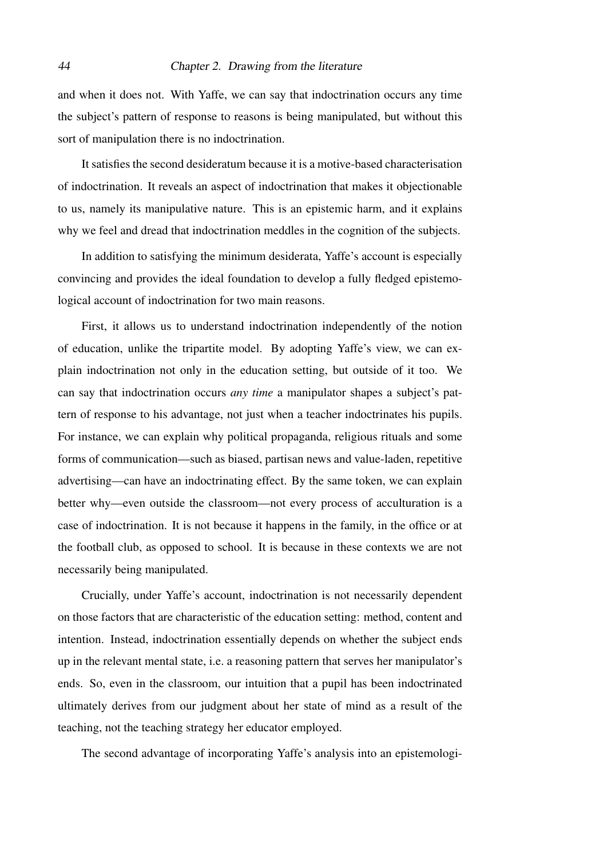### 44 Chapter 2. Drawing from the literature

and when it does not. With Yaffe, we can say that indoctrination occurs any time the subject's pattern of response to reasons is being manipulated, but without this sort of manipulation there is no indoctrination.

It satisfies the second desideratum because it is a motive-based characterisation of indoctrination. It reveals an aspect of indoctrination that makes it objectionable to us, namely its manipulative nature. This is an epistemic harm, and it explains why we feel and dread that indoctrination meddles in the cognition of the subjects.

In addition to satisfying the minimum desiderata, Yaffe's account is especially convincing and provides the ideal foundation to develop a fully fledged epistemological account of indoctrination for two main reasons.

First, it allows us to understand indoctrination independently of the notion of education, unlike the tripartite model. By adopting Yaffe's view, we can explain indoctrination not only in the education setting, but outside of it too. We can say that indoctrination occurs *any time* a manipulator shapes a subject's pattern of response to his advantage, not just when a teacher indoctrinates his pupils. For instance, we can explain why political propaganda, religious rituals and some forms of communication—such as biased, partisan news and value-laden, repetitive advertising—can have an indoctrinating effect. By the same token, we can explain better why—even outside the classroom—not every process of acculturation is a case of indoctrination. It is not because it happens in the family, in the office or at the football club, as opposed to school. It is because in these contexts we are not necessarily being manipulated.

Crucially, under Yaffe's account, indoctrination is not necessarily dependent on those factors that are characteristic of the education setting: method, content and intention. Instead, indoctrination essentially depends on whether the subject ends up in the relevant mental state, i.e. a reasoning pattern that serves her manipulator's ends. So, even in the classroom, our intuition that a pupil has been indoctrinated ultimately derives from our judgment about her state of mind as a result of the teaching, not the teaching strategy her educator employed.

The second advantage of incorporating Yaffe's analysis into an epistemologi-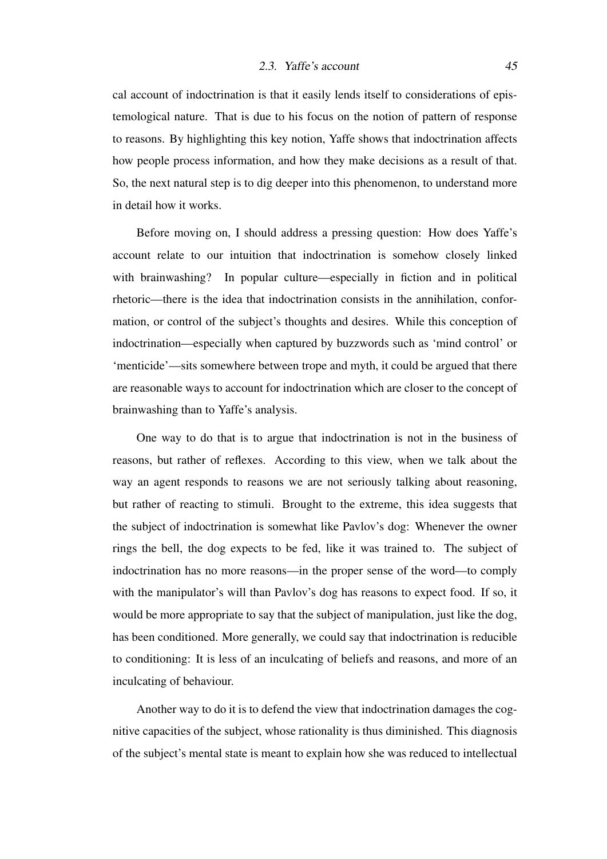cal account of indoctrination is that it easily lends itself to considerations of epistemological nature. That is due to his focus on the notion of pattern of response to reasons. By highlighting this key notion, Yaffe shows that indoctrination affects how people process information, and how they make decisions as a result of that. So, the next natural step is to dig deeper into this phenomenon, to understand more in detail how it works.

Before moving on, I should address a pressing question: How does Yaffe's account relate to our intuition that indoctrination is somehow closely linked with brainwashing? In popular culture—especially in fiction and in political rhetoric—there is the idea that indoctrination consists in the annihilation, conformation, or control of the subject's thoughts and desires. While this conception of indoctrination—especially when captured by buzzwords such as 'mind control' or 'menticide'—sits somewhere between trope and myth, it could be argued that there are reasonable ways to account for indoctrination which are closer to the concept of brainwashing than to Yaffe's analysis.

One way to do that is to argue that indoctrination is not in the business of reasons, but rather of reflexes. According to this view, when we talk about the way an agent responds to reasons we are not seriously talking about reasoning, but rather of reacting to stimuli. Brought to the extreme, this idea suggests that the subject of indoctrination is somewhat like Pavlov's dog: Whenever the owner rings the bell, the dog expects to be fed, like it was trained to. The subject of indoctrination has no more reasons—in the proper sense of the word—to comply with the manipulator's will than Pavlov's dog has reasons to expect food. If so, it would be more appropriate to say that the subject of manipulation, just like the dog, has been conditioned. More generally, we could say that indoctrination is reducible to conditioning: It is less of an inculcating of beliefs and reasons, and more of an inculcating of behaviour.

Another way to do it is to defend the view that indoctrination damages the cognitive capacities of the subject, whose rationality is thus diminished. This diagnosis of the subject's mental state is meant to explain how she was reduced to intellectual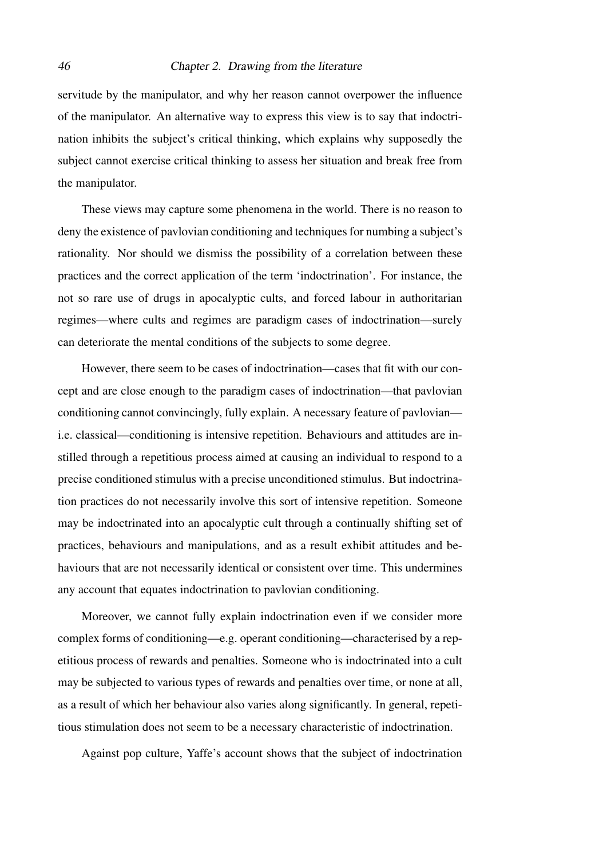servitude by the manipulator, and why her reason cannot overpower the influence of the manipulator. An alternative way to express this view is to say that indoctrination inhibits the subject's critical thinking, which explains why supposedly the subject cannot exercise critical thinking to assess her situation and break free from the manipulator.

These views may capture some phenomena in the world. There is no reason to deny the existence of pavlovian conditioning and techniques for numbing a subject's rationality. Nor should we dismiss the possibility of a correlation between these practices and the correct application of the term 'indoctrination'. For instance, the not so rare use of drugs in apocalyptic cults, and forced labour in authoritarian regimes—where cults and regimes are paradigm cases of indoctrination—surely can deteriorate the mental conditions of the subjects to some degree.

However, there seem to be cases of indoctrination—cases that fit with our concept and are close enough to the paradigm cases of indoctrination—that pavlovian conditioning cannot convincingly, fully explain. A necessary feature of pavlovian i.e. classical—conditioning is intensive repetition. Behaviours and attitudes are instilled through a repetitious process aimed at causing an individual to respond to a precise conditioned stimulus with a precise unconditioned stimulus. But indoctrination practices do not necessarily involve this sort of intensive repetition. Someone may be indoctrinated into an apocalyptic cult through a continually shifting set of practices, behaviours and manipulations, and as a result exhibit attitudes and behaviours that are not necessarily identical or consistent over time. This undermines any account that equates indoctrination to pavlovian conditioning.

Moreover, we cannot fully explain indoctrination even if we consider more complex forms of conditioning—e.g. operant conditioning—characterised by a repetitious process of rewards and penalties. Someone who is indoctrinated into a cult may be subjected to various types of rewards and penalties over time, or none at all, as a result of which her behaviour also varies along significantly. In general, repetitious stimulation does not seem to be a necessary characteristic of indoctrination.

Against pop culture, Yaffe's account shows that the subject of indoctrination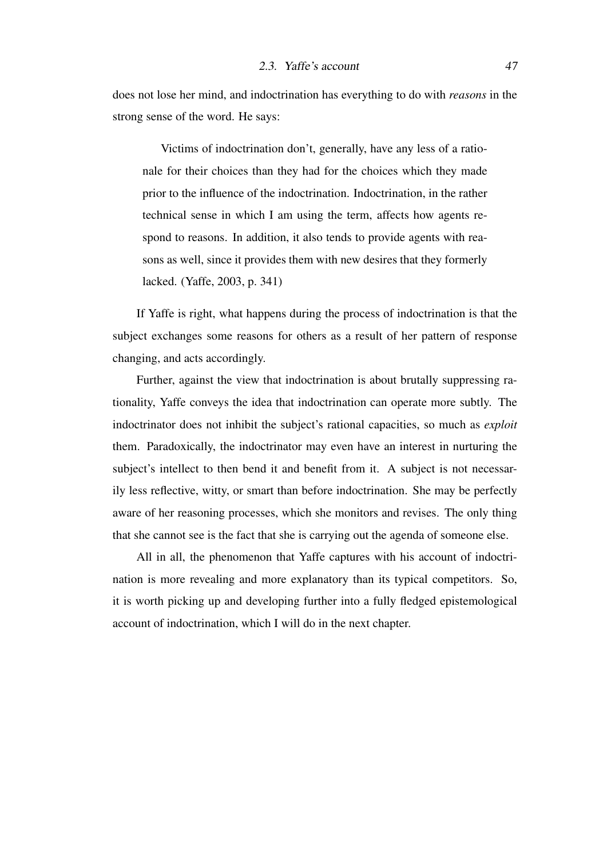does not lose her mind, and indoctrination has everything to do with *reasons* in the strong sense of the word. He says:

Victims of indoctrination don't, generally, have any less of a rationale for their choices than they had for the choices which they made prior to the influence of the indoctrination. Indoctrination, in the rather technical sense in which I am using the term, affects how agents respond to reasons. In addition, it also tends to provide agents with reasons as well, since it provides them with new desires that they formerly lacked. [\(Yaffe, 2003,](#page-107-1) p. 341)

If Yaffe is right, what happens during the process of indoctrination is that the subject exchanges some reasons for others as a result of her pattern of response changing, and acts accordingly.

Further, against the view that indoctrination is about brutally suppressing rationality, Yaffe conveys the idea that indoctrination can operate more subtly. The indoctrinator does not inhibit the subject's rational capacities, so much as *exploit* them. Paradoxically, the indoctrinator may even have an interest in nurturing the subject's intellect to then bend it and benefit from it. A subject is not necessarily less reflective, witty, or smart than before indoctrination. She may be perfectly aware of her reasoning processes, which she monitors and revises. The only thing that she cannot see is the fact that she is carrying out the agenda of someone else.

All in all, the phenomenon that Yaffe captures with his account of indoctrination is more revealing and more explanatory than its typical competitors. So, it is worth picking up and developing further into a fully fledged epistemological account of indoctrination, which I will do in the next chapter.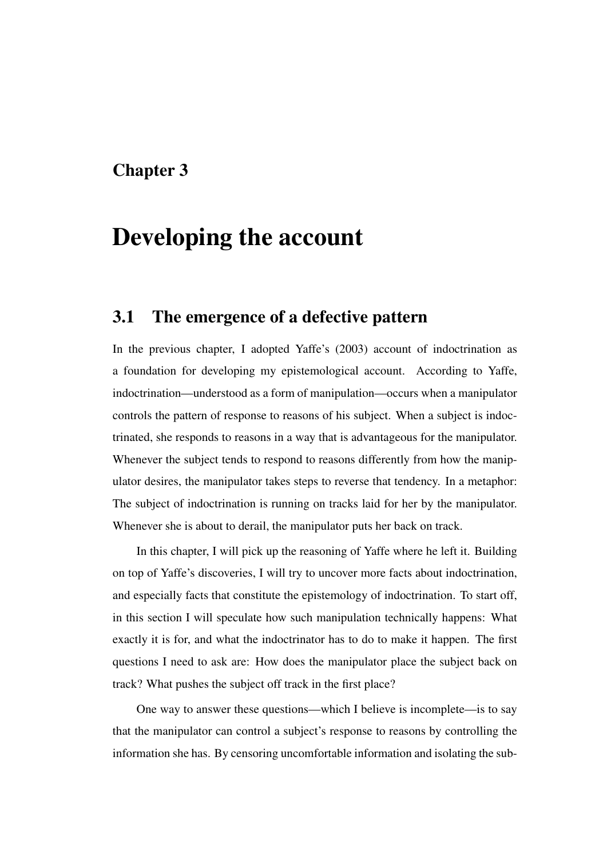# Chapter 3

# Developing the account

# 3.1 The emergence of a defective pattern

In the previous chapter, I adopted [Yaffe'](#page-107-1)s [\(2003\)](#page-107-1) account of indoctrination as a foundation for developing my epistemological account. According to Yaffe, indoctrination—understood as a form of manipulation—occurs when a manipulator controls the pattern of response to reasons of his subject. When a subject is indoctrinated, she responds to reasons in a way that is advantageous for the manipulator. Whenever the subject tends to respond to reasons differently from how the manipulator desires, the manipulator takes steps to reverse that tendency. In a metaphor: The subject of indoctrination is running on tracks laid for her by the manipulator. Whenever she is about to derail, the manipulator puts her back on track.

In this chapter, I will pick up the reasoning of Yaffe where he left it. Building on top of Yaffe's discoveries, I will try to uncover more facts about indoctrination, and especially facts that constitute the epistemology of indoctrination. To start off, in this section I will speculate how such manipulation technically happens: What exactly it is for, and what the indoctrinator has to do to make it happen. The first questions I need to ask are: How does the manipulator place the subject back on track? What pushes the subject off track in the first place?

One way to answer these questions—which I believe is incomplete—is to say that the manipulator can control a subject's response to reasons by controlling the information she has. By censoring uncomfortable information and isolating the sub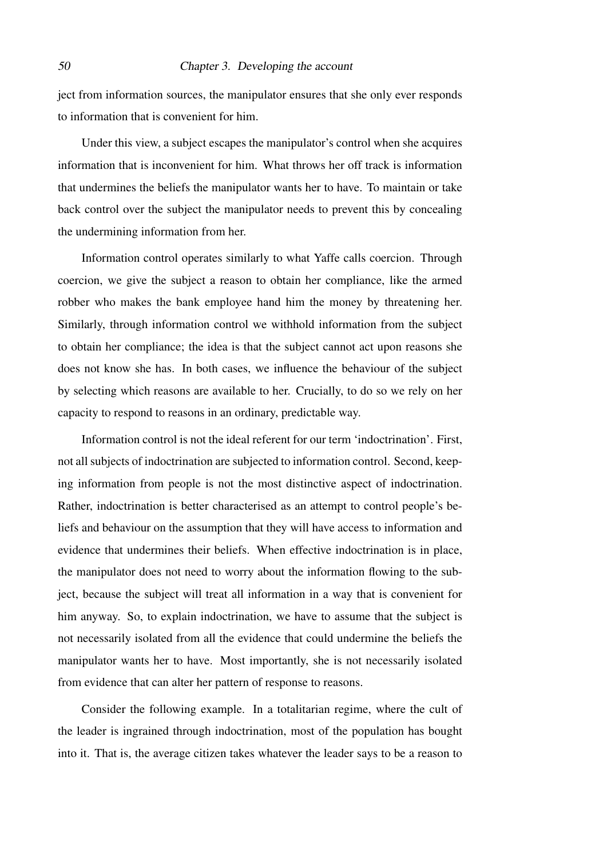ject from information sources, the manipulator ensures that she only ever responds to information that is convenient for him.

Under this view, a subject escapes the manipulator's control when she acquires information that is inconvenient for him. What throws her off track is information that undermines the beliefs the manipulator wants her to have. To maintain or take back control over the subject the manipulator needs to prevent this by concealing the undermining information from her.

Information control operates similarly to what Yaffe calls coercion. Through coercion, we give the subject a reason to obtain her compliance, like the armed robber who makes the bank employee hand him the money by threatening her. Similarly, through information control we withhold information from the subject to obtain her compliance; the idea is that the subject cannot act upon reasons she does not know she has. In both cases, we influence the behaviour of the subject by selecting which reasons are available to her. Crucially, to do so we rely on her capacity to respond to reasons in an ordinary, predictable way.

Information control is not the ideal referent for our term 'indoctrination'. First, not all subjects of indoctrination are subjected to information control. Second, keeping information from people is not the most distinctive aspect of indoctrination. Rather, indoctrination is better characterised as an attempt to control people's beliefs and behaviour on the assumption that they will have access to information and evidence that undermines their beliefs. When effective indoctrination is in place, the manipulator does not need to worry about the information flowing to the subject, because the subject will treat all information in a way that is convenient for him anyway. So, to explain indoctrination, we have to assume that the subject is not necessarily isolated from all the evidence that could undermine the beliefs the manipulator wants her to have. Most importantly, she is not necessarily isolated from evidence that can alter her pattern of response to reasons.

Consider the following example. In a totalitarian regime, where the cult of the leader is ingrained through indoctrination, most of the population has bought into it. That is, the average citizen takes whatever the leader says to be a reason to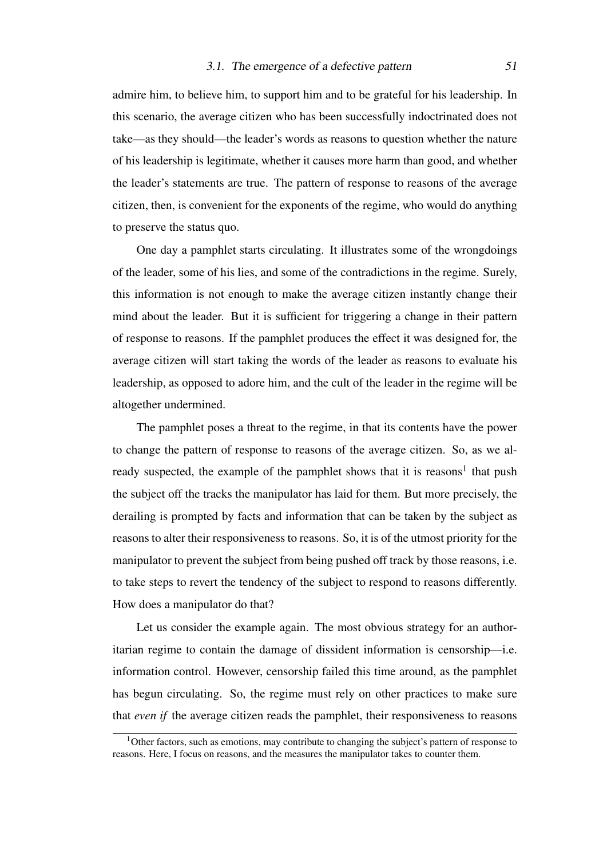admire him, to believe him, to support him and to be grateful for his leadership. In this scenario, the average citizen who has been successfully indoctrinated does not take—as they should—the leader's words as reasons to question whether the nature of his leadership is legitimate, whether it causes more harm than good, and whether the leader's statements are true. The pattern of response to reasons of the average citizen, then, is convenient for the exponents of the regime, who would do anything to preserve the status quo.

One day a pamphlet starts circulating. It illustrates some of the wrongdoings of the leader, some of his lies, and some of the contradictions in the regime. Surely, this information is not enough to make the average citizen instantly change their mind about the leader. But it is sufficient for triggering a change in their pattern of response to reasons. If the pamphlet produces the effect it was designed for, the average citizen will start taking the words of the leader as reasons to evaluate his leadership, as opposed to adore him, and the cult of the leader in the regime will be altogether undermined.

The pamphlet poses a threat to the regime, in that its contents have the power to change the pattern of response to reasons of the average citizen. So, as we al-ready suspected, the example of the pamphlet shows that it is reasons<sup>[1](#page-50-0)</sup> that push the subject off the tracks the manipulator has laid for them. But more precisely, the derailing is prompted by facts and information that can be taken by the subject as reasons to alter their responsiveness to reasons. So, it is of the utmost priority for the manipulator to prevent the subject from being pushed off track by those reasons, i.e. to take steps to revert the tendency of the subject to respond to reasons differently. How does a manipulator do that?

Let us consider the example again. The most obvious strategy for an authoritarian regime to contain the damage of dissident information is censorship—i.e. information control. However, censorship failed this time around, as the pamphlet has begun circulating. So, the regime must rely on other practices to make sure that *even if* the average citizen reads the pamphlet, their responsiveness to reasons

<span id="page-50-0"></span> $1$ Other factors, such as emotions, may contribute to changing the subject's pattern of response to reasons. Here, I focus on reasons, and the measures the manipulator takes to counter them.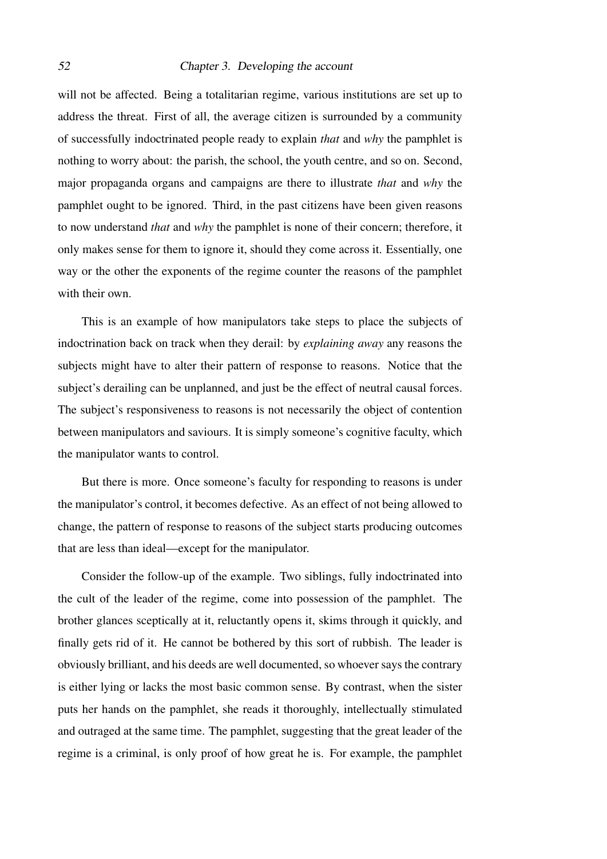will not be affected. Being a totalitarian regime, various institutions are set up to address the threat. First of all, the average citizen is surrounded by a community of successfully indoctrinated people ready to explain *that* and *why* the pamphlet is nothing to worry about: the parish, the school, the youth centre, and so on. Second, major propaganda organs and campaigns are there to illustrate *that* and *why* the pamphlet ought to be ignored. Third, in the past citizens have been given reasons to now understand *that* and *why* the pamphlet is none of their concern; therefore, it only makes sense for them to ignore it, should they come across it. Essentially, one way or the other the exponents of the regime counter the reasons of the pamphlet with their own.

This is an example of how manipulators take steps to place the subjects of indoctrination back on track when they derail: by *explaining away* any reasons the subjects might have to alter their pattern of response to reasons. Notice that the subject's derailing can be unplanned, and just be the effect of neutral causal forces. The subject's responsiveness to reasons is not necessarily the object of contention between manipulators and saviours. It is simply someone's cognitive faculty, which the manipulator wants to control.

But there is more. Once someone's faculty for responding to reasons is under the manipulator's control, it becomes defective. As an effect of not being allowed to change, the pattern of response to reasons of the subject starts producing outcomes that are less than ideal—except for the manipulator.

Consider the follow-up of the example. Two siblings, fully indoctrinated into the cult of the leader of the regime, come into possession of the pamphlet. The brother glances sceptically at it, reluctantly opens it, skims through it quickly, and finally gets rid of it. He cannot be bothered by this sort of rubbish. The leader is obviously brilliant, and his deeds are well documented, so whoever says the contrary is either lying or lacks the most basic common sense. By contrast, when the sister puts her hands on the pamphlet, she reads it thoroughly, intellectually stimulated and outraged at the same time. The pamphlet, suggesting that the great leader of the regime is a criminal, is only proof of how great he is. For example, the pamphlet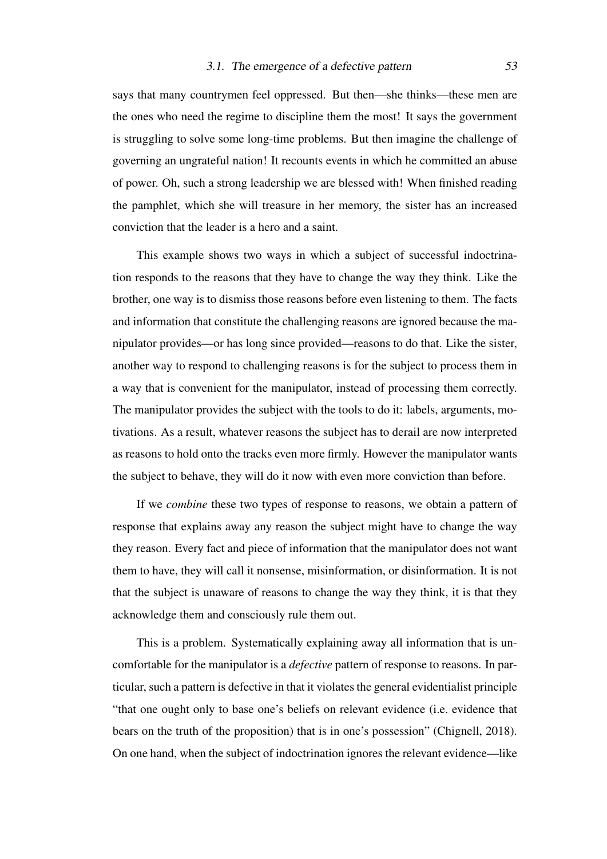### 3.1. The emergence of a defective pattern 53

says that many countrymen feel oppressed. But then—she thinks—these men are the ones who need the regime to discipline them the most! It says the government is struggling to solve some long-time problems. But then imagine the challenge of governing an ungrateful nation! It recounts events in which he committed an abuse of power. Oh, such a strong leadership we are blessed with! When finished reading the pamphlet, which she will treasure in her memory, the sister has an increased conviction that the leader is a hero and a saint.

This example shows two ways in which a subject of successful indoctrination responds to the reasons that they have to change the way they think. Like the brother, one way is to dismiss those reasons before even listening to them. The facts and information that constitute the challenging reasons are ignored because the manipulator provides—or has long since provided—reasons to do that. Like the sister, another way to respond to challenging reasons is for the subject to process them in a way that is convenient for the manipulator, instead of processing them correctly. The manipulator provides the subject with the tools to do it: labels, arguments, motivations. As a result, whatever reasons the subject has to derail are now interpreted as reasons to hold onto the tracks even more firmly. However the manipulator wants the subject to behave, they will do it now with even more conviction than before.

If we *combine* these two types of response to reasons, we obtain a pattern of response that explains away any reason the subject might have to change the way they reason. Every fact and piece of information that the manipulator does not want them to have, they will call it nonsense, misinformation, or disinformation. It is not that the subject is unaware of reasons to change the way they think, it is that they acknowledge them and consciously rule them out.

This is a problem. Systematically explaining away all information that is uncomfortable for the manipulator is a *defective* pattern of response to reasons. In particular, such a pattern is defective in that it violates the general evidentialist principle "that one ought only to base one's beliefs on relevant evidence (i.e. evidence that bears on the truth of the proposition) that is in one's possession" [\(Chignell, 2018\)](#page-104-1). On one hand, when the subject of indoctrination ignores the relevant evidence—like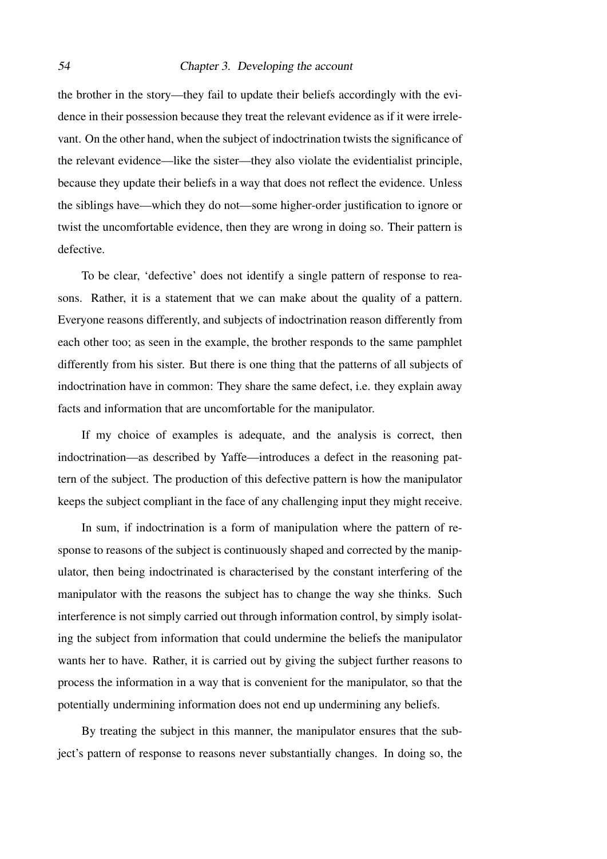the brother in the story—they fail to update their beliefs accordingly with the evidence in their possession because they treat the relevant evidence as if it were irrelevant. On the other hand, when the subject of indoctrination twists the significance of the relevant evidence—like the sister—they also violate the evidentialist principle, because they update their beliefs in a way that does not reflect the evidence. Unless the siblings have—which they do not—some higher-order justification to ignore or twist the uncomfortable evidence, then they are wrong in doing so. Their pattern is defective.

To be clear, 'defective' does not identify a single pattern of response to reasons. Rather, it is a statement that we can make about the quality of a pattern. Everyone reasons differently, and subjects of indoctrination reason differently from each other too; as seen in the example, the brother responds to the same pamphlet differently from his sister. But there is one thing that the patterns of all subjects of indoctrination have in common: They share the same defect, i.e. they explain away facts and information that are uncomfortable for the manipulator.

If my choice of examples is adequate, and the analysis is correct, then indoctrination—as described by Yaffe—introduces a defect in the reasoning pattern of the subject. The production of this defective pattern is how the manipulator keeps the subject compliant in the face of any challenging input they might receive.

In sum, if indoctrination is a form of manipulation where the pattern of response to reasons of the subject is continuously shaped and corrected by the manipulator, then being indoctrinated is characterised by the constant interfering of the manipulator with the reasons the subject has to change the way she thinks. Such interference is not simply carried out through information control, by simply isolating the subject from information that could undermine the beliefs the manipulator wants her to have. Rather, it is carried out by giving the subject further reasons to process the information in a way that is convenient for the manipulator, so that the potentially undermining information does not end up undermining any beliefs.

By treating the subject in this manner, the manipulator ensures that the subject's pattern of response to reasons never substantially changes. In doing so, the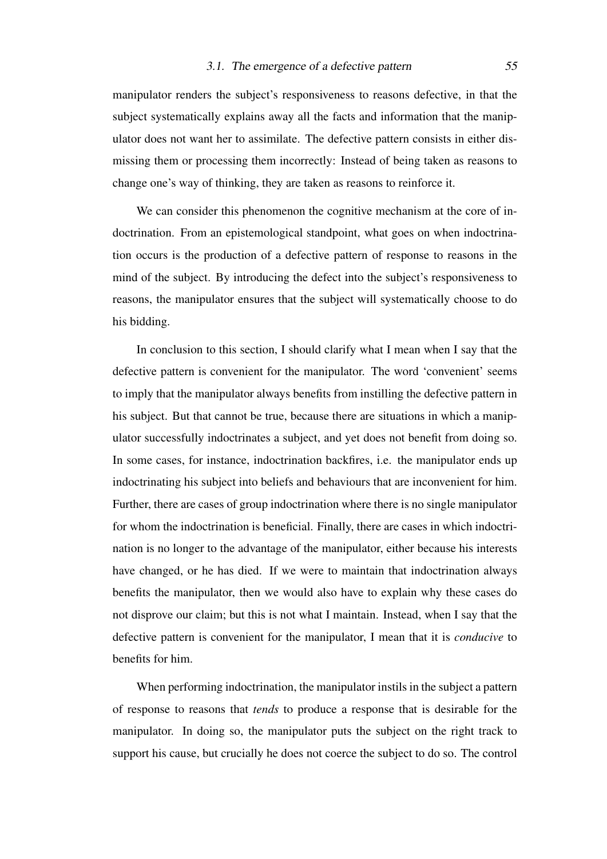manipulator renders the subject's responsiveness to reasons defective, in that the subject systematically explains away all the facts and information that the manipulator does not want her to assimilate. The defective pattern consists in either dismissing them or processing them incorrectly: Instead of being taken as reasons to change one's way of thinking, they are taken as reasons to reinforce it.

We can consider this phenomenon the cognitive mechanism at the core of indoctrination. From an epistemological standpoint, what goes on when indoctrination occurs is the production of a defective pattern of response to reasons in the mind of the subject. By introducing the defect into the subject's responsiveness to reasons, the manipulator ensures that the subject will systematically choose to do his bidding.

In conclusion to this section, I should clarify what I mean when I say that the defective pattern is convenient for the manipulator. The word 'convenient' seems to imply that the manipulator always benefits from instilling the defective pattern in his subject. But that cannot be true, because there are situations in which a manipulator successfully indoctrinates a subject, and yet does not benefit from doing so. In some cases, for instance, indoctrination backfires, i.e. the manipulator ends up indoctrinating his subject into beliefs and behaviours that are inconvenient for him. Further, there are cases of group indoctrination where there is no single manipulator for whom the indoctrination is beneficial. Finally, there are cases in which indoctrination is no longer to the advantage of the manipulator, either because his interests have changed, or he has died. If we were to maintain that indoctrination always benefits the manipulator, then we would also have to explain why these cases do not disprove our claim; but this is not what I maintain. Instead, when I say that the defective pattern is convenient for the manipulator, I mean that it is *conducive* to benefits for him.

When performing indoctrination, the manipulator instils in the subject a pattern of response to reasons that *tends* to produce a response that is desirable for the manipulator. In doing so, the manipulator puts the subject on the right track to support his cause, but crucially he does not coerce the subject to do so. The control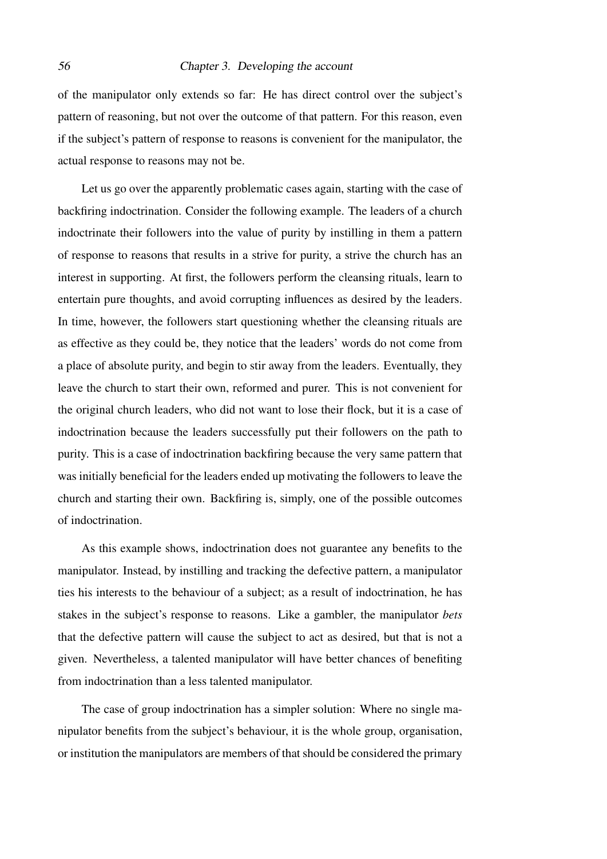of the manipulator only extends so far: He has direct control over the subject's pattern of reasoning, but not over the outcome of that pattern. For this reason, even if the subject's pattern of response to reasons is convenient for the manipulator, the actual response to reasons may not be.

Let us go over the apparently problematic cases again, starting with the case of backfiring indoctrination. Consider the following example. The leaders of a church indoctrinate their followers into the value of purity by instilling in them a pattern of response to reasons that results in a strive for purity, a strive the church has an interest in supporting. At first, the followers perform the cleansing rituals, learn to entertain pure thoughts, and avoid corrupting influences as desired by the leaders. In time, however, the followers start questioning whether the cleansing rituals are as effective as they could be, they notice that the leaders' words do not come from a place of absolute purity, and begin to stir away from the leaders. Eventually, they leave the church to start their own, reformed and purer. This is not convenient for the original church leaders, who did not want to lose their flock, but it is a case of indoctrination because the leaders successfully put their followers on the path to purity. This is a case of indoctrination backfiring because the very same pattern that was initially beneficial for the leaders ended up motivating the followers to leave the church and starting their own. Backfiring is, simply, one of the possible outcomes of indoctrination.

As this example shows, indoctrination does not guarantee any benefits to the manipulator. Instead, by instilling and tracking the defective pattern, a manipulator ties his interests to the behaviour of a subject; as a result of indoctrination, he has stakes in the subject's response to reasons. Like a gambler, the manipulator *bets* that the defective pattern will cause the subject to act as desired, but that is not a given. Nevertheless, a talented manipulator will have better chances of benefiting from indoctrination than a less talented manipulator.

The case of group indoctrination has a simpler solution: Where no single manipulator benefits from the subject's behaviour, it is the whole group, organisation, or institution the manipulators are members of that should be considered the primary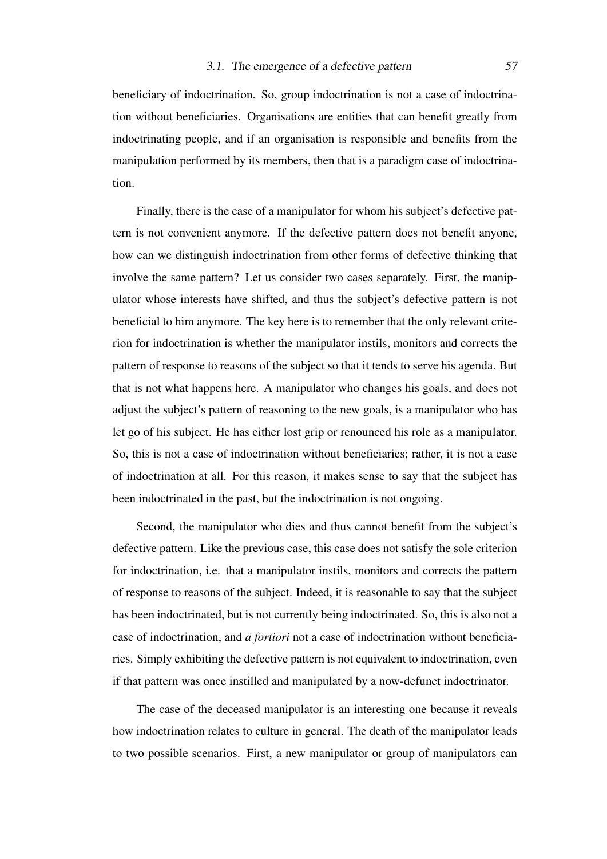beneficiary of indoctrination. So, group indoctrination is not a case of indoctrination without beneficiaries. Organisations are entities that can benefit greatly from indoctrinating people, and if an organisation is responsible and benefits from the manipulation performed by its members, then that is a paradigm case of indoctrination.

Finally, there is the case of a manipulator for whom his subject's defective pattern is not convenient anymore. If the defective pattern does not benefit anyone, how can we distinguish indoctrination from other forms of defective thinking that involve the same pattern? Let us consider two cases separately. First, the manipulator whose interests have shifted, and thus the subject's defective pattern is not beneficial to him anymore. The key here is to remember that the only relevant criterion for indoctrination is whether the manipulator instils, monitors and corrects the pattern of response to reasons of the subject so that it tends to serve his agenda. But that is not what happens here. A manipulator who changes his goals, and does not adjust the subject's pattern of reasoning to the new goals, is a manipulator who has let go of his subject. He has either lost grip or renounced his role as a manipulator. So, this is not a case of indoctrination without beneficiaries; rather, it is not a case of indoctrination at all. For this reason, it makes sense to say that the subject has been indoctrinated in the past, but the indoctrination is not ongoing.

Second, the manipulator who dies and thus cannot benefit from the subject's defective pattern. Like the previous case, this case does not satisfy the sole criterion for indoctrination, i.e. that a manipulator instils, monitors and corrects the pattern of response to reasons of the subject. Indeed, it is reasonable to say that the subject has been indoctrinated, but is not currently being indoctrinated. So, this is also not a case of indoctrination, and *a fortiori* not a case of indoctrination without beneficiaries. Simply exhibiting the defective pattern is not equivalent to indoctrination, even if that pattern was once instilled and manipulated by a now-defunct indoctrinator.

The case of the deceased manipulator is an interesting one because it reveals how indoctrination relates to culture in general. The death of the manipulator leads to two possible scenarios. First, a new manipulator or group of manipulators can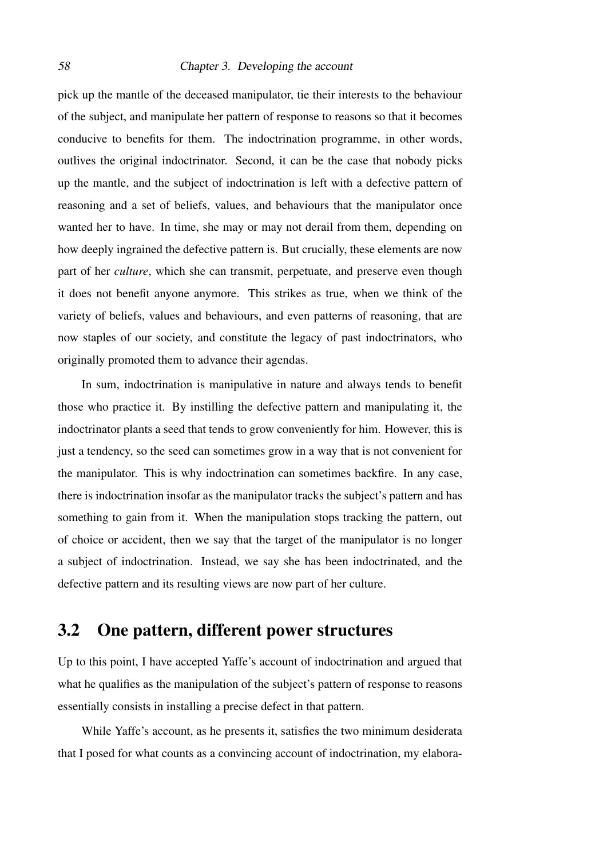pick up the mantle of the deceased manipulator, tie their interests to the behaviour of the subject, and manipulate her pattern of response to reasons so that it becomes conducive to benefits for them. The indoctrination programme, in other words, outlives the original indoctrinator. Second, it can be the case that nobody picks up the mantle, and the subject of indoctrination is left with a defective pattern of reasoning and a set of beliefs, values, and behaviours that the manipulator once wanted her to have. In time, she may or may not derail from them, depending on how deeply ingrained the defective pattern is. But crucially, these elements are now part of her *culture*, which she can transmit, perpetuate, and preserve even though it does not benefit anyone anymore. This strikes as true, when we think of the variety of beliefs, values and behaviours, and even patterns of reasoning, that are now staples of our society, and constitute the legacy of past indoctrinators, who originally promoted them to advance their agendas.

In sum, indoctrination is manipulative in nature and always tends to benefit those who practice it. By instilling the defective pattern and manipulating it, the indoctrinator plants a seed that tends to grow conveniently for him. However, this is just a tendency, so the seed can sometimes grow in a way that is not convenient for the manipulator. This is why indoctrination can sometimes backfire. In any case, there is indoctrination insofar as the manipulator tracks the subject's pattern and has something to gain from it. When the manipulation stops tracking the pattern, out of choice or accident, then we say that the target of the manipulator is no longer a subject of indoctrination. Instead, we say she has been indoctrinated, and the defective pattern and its resulting views are now part of her culture.

### 3.2 One pattern, different power structures

Up to this point, I have accepted Yaffe's account of indoctrination and argued that what he qualifies as the manipulation of the subject's pattern of response to reasons essentially consists in installing a precise defect in that pattern.

While Yaffe's account, as he presents it, satisfies the two minimum desiderata that I posed for what counts as a convincing account of indoctrination, my elabora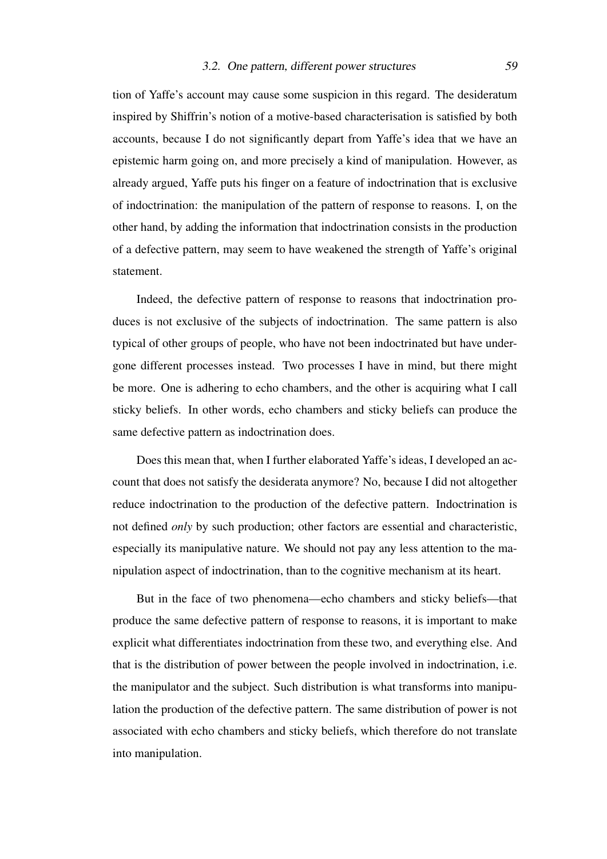tion of Yaffe's account may cause some suspicion in this regard. The desideratum inspired by Shiffrin's notion of a motive-based characterisation is satisfied by both accounts, because I do not significantly depart from Yaffe's idea that we have an epistemic harm going on, and more precisely a kind of manipulation. However, as already argued, Yaffe puts his finger on a feature of indoctrination that is exclusive of indoctrination: the manipulation of the pattern of response to reasons. I, on the other hand, by adding the information that indoctrination consists in the production of a defective pattern, may seem to have weakened the strength of Yaffe's original statement.

Indeed, the defective pattern of response to reasons that indoctrination produces is not exclusive of the subjects of indoctrination. The same pattern is also typical of other groups of people, who have not been indoctrinated but have undergone different processes instead. Two processes I have in mind, but there might be more. One is adhering to echo chambers, and the other is acquiring what I call sticky beliefs. In other words, echo chambers and sticky beliefs can produce the same defective pattern as indoctrination does.

Does this mean that, when I further elaborated Yaffe's ideas, I developed an account that does not satisfy the desiderata anymore? No, because I did not altogether reduce indoctrination to the production of the defective pattern. Indoctrination is not defined *only* by such production; other factors are essential and characteristic, especially its manipulative nature. We should not pay any less attention to the manipulation aspect of indoctrination, than to the cognitive mechanism at its heart.

But in the face of two phenomena—echo chambers and sticky beliefs—that produce the same defective pattern of response to reasons, it is important to make explicit what differentiates indoctrination from these two, and everything else. And that is the distribution of power between the people involved in indoctrination, i.e. the manipulator and the subject. Such distribution is what transforms into manipulation the production of the defective pattern. The same distribution of power is not associated with echo chambers and sticky beliefs, which therefore do not translate into manipulation.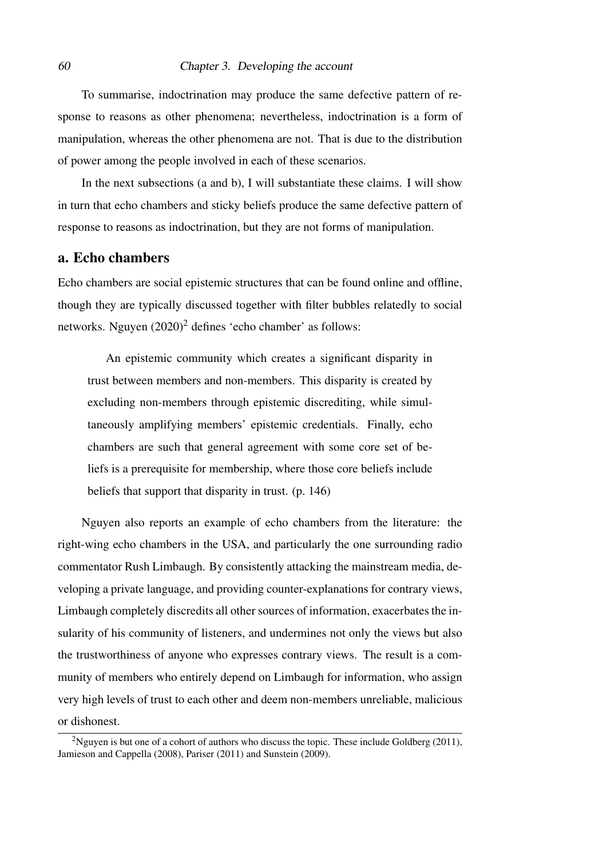To summarise, indoctrination may produce the same defective pattern of response to reasons as other phenomena; nevertheless, indoctrination is a form of manipulation, whereas the other phenomena are not. That is due to the distribution of power among the people involved in each of these scenarios.

In the next subsections (a and b), I will substantiate these claims. I will show in turn that echo chambers and sticky beliefs produce the same defective pattern of response to reasons as indoctrination, but they are not forms of manipulation.

### a. Echo chambers

Echo chambers are social epistemic structures that can be found online and offline, though they are typically discussed together with filter bubbles relatedly to social networks. [Nguyen](#page-106-0)  $(2020)^2$  $(2020)^2$  $(2020)^2$  defines 'echo chamber' as follows:

An epistemic community which creates a significant disparity in trust between members and non-members. This disparity is created by excluding non-members through epistemic discrediting, while simultaneously amplifying members' epistemic credentials. Finally, echo chambers are such that general agreement with some core set of beliefs is a prerequisite for membership, where those core beliefs include beliefs that support that disparity in trust. (p. 146)

Nguyen also reports an example of echo chambers from the literature: the right-wing echo chambers in the USA, and particularly the one surrounding radio commentator Rush Limbaugh. By consistently attacking the mainstream media, developing a private language, and providing counter-explanations for contrary views, Limbaugh completely discredits all other sources of information, exacerbates the insularity of his community of listeners, and undermines not only the views but also the trustworthiness of anyone who expresses contrary views. The result is a community of members who entirely depend on Limbaugh for information, who assign very high levels of trust to each other and deem non-members unreliable, malicious or dishonest.

<span id="page-59-0"></span><sup>&</sup>lt;sup>2</sup>Nguyen is but one of a cohort of authors who discuss the topic. These include Goldberg (2011), Jamieson and Cappella (2008), Pariser (2011) and Sunstein (2009).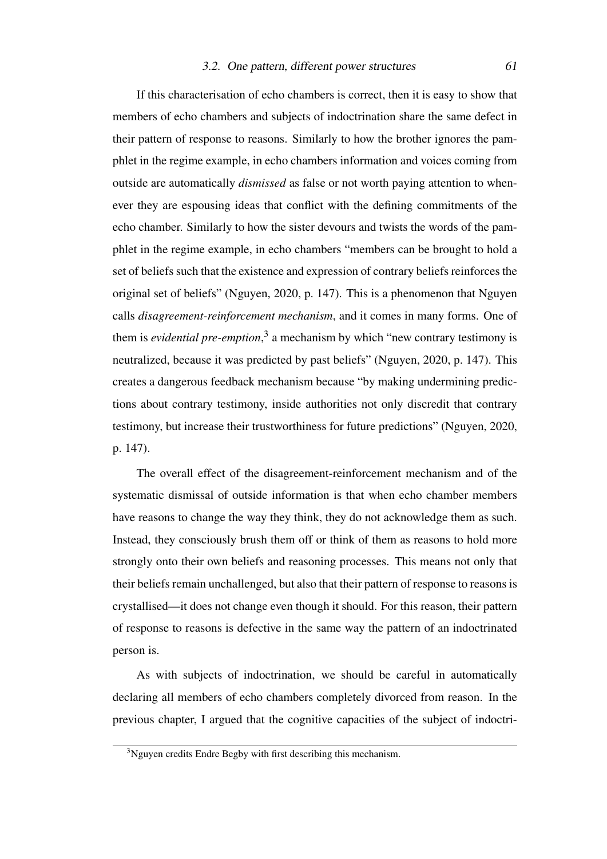### 3.2. One pattern, different power structures 61

If this characterisation of echo chambers is correct, then it is easy to show that members of echo chambers and subjects of indoctrination share the same defect in their pattern of response to reasons. Similarly to how the brother ignores the pamphlet in the regime example, in echo chambers information and voices coming from outside are automatically *dismissed* as false or not worth paying attention to whenever they are espousing ideas that conflict with the defining commitments of the echo chamber. Similarly to how the sister devours and twists the words of the pamphlet in the regime example, in echo chambers "members can be brought to hold a set of beliefs such that the existence and expression of contrary beliefs reinforces the original set of beliefs" [\(Nguyen, 2020,](#page-106-0) p. 147). This is a phenomenon that Nguyen calls *disagreement-reinforcement mechanism*, and it comes in many forms. One of them is *evidential pre-emption*, [3](#page-60-0) a mechanism by which "new contrary testimony is neutralized, because it was predicted by past beliefs" [\(Nguyen, 2020,](#page-106-0) p. 147). This creates a dangerous feedback mechanism because "by making undermining predictions about contrary testimony, inside authorities not only discredit that contrary testimony, but increase their trustworthiness for future predictions" [\(Nguyen, 2020,](#page-106-0) p. 147).

The overall effect of the disagreement-reinforcement mechanism and of the systematic dismissal of outside information is that when echo chamber members have reasons to change the way they think, they do not acknowledge them as such. Instead, they consciously brush them off or think of them as reasons to hold more strongly onto their own beliefs and reasoning processes. This means not only that their beliefs remain unchallenged, but also that their pattern of response to reasons is crystallised—it does not change even though it should. For this reason, their pattern of response to reasons is defective in the same way the pattern of an indoctrinated person is.

As with subjects of indoctrination, we should be careful in automatically declaring all members of echo chambers completely divorced from reason. In the previous chapter, I argued that the cognitive capacities of the subject of indoctri-

<span id="page-60-0"></span><sup>&</sup>lt;sup>3</sup>Nguyen credits Endre Begby with first describing this mechanism.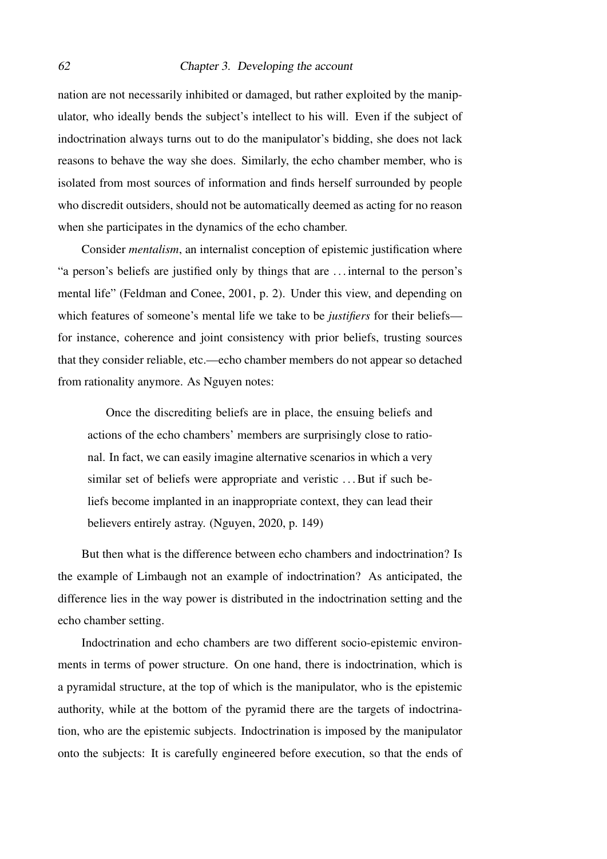nation are not necessarily inhibited or damaged, but rather exploited by the manipulator, who ideally bends the subject's intellect to his will. Even if the subject of indoctrination always turns out to do the manipulator's bidding, she does not lack reasons to behave the way she does. Similarly, the echo chamber member, who is isolated from most sources of information and finds herself surrounded by people who discredit outsiders, should not be automatically deemed as acting for no reason when she participates in the dynamics of the echo chamber.

Consider *mentalism*, an internalist conception of epistemic justification where "a person's beliefs are justified only by things that are . . . internal to the person's mental life" [\(Feldman and Conee, 2001,](#page-105-1) p. 2). Under this view, and depending on which features of someone's mental life we take to be *justifiers* for their beliefs for instance, coherence and joint consistency with prior beliefs, trusting sources that they consider reliable, etc.—echo chamber members do not appear so detached from rationality anymore. As Nguyen notes:

Once the discrediting beliefs are in place, the ensuing beliefs and actions of the echo chambers' members are surprisingly close to rational. In fact, we can easily imagine alternative scenarios in which a very similar set of beliefs were appropriate and veristic ... But if such beliefs become implanted in an inappropriate context, they can lead their believers entirely astray. [\(Nguyen, 2020,](#page-106-0) p. 149)

But then what is the difference between echo chambers and indoctrination? Is the example of Limbaugh not an example of indoctrination? As anticipated, the difference lies in the way power is distributed in the indoctrination setting and the echo chamber setting.

Indoctrination and echo chambers are two different socio-epistemic environments in terms of power structure. On one hand, there is indoctrination, which is a pyramidal structure, at the top of which is the manipulator, who is the epistemic authority, while at the bottom of the pyramid there are the targets of indoctrination, who are the epistemic subjects. Indoctrination is imposed by the manipulator onto the subjects: It is carefully engineered before execution, so that the ends of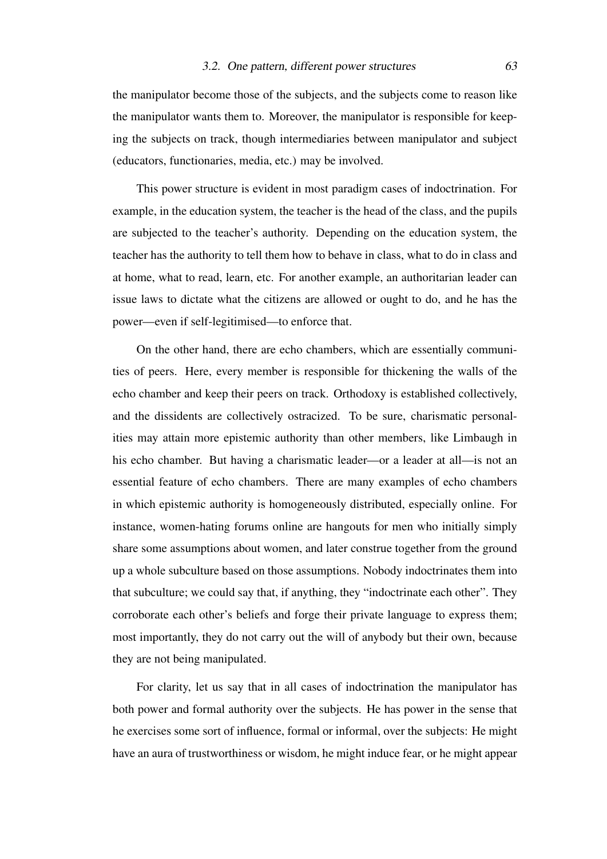the manipulator become those of the subjects, and the subjects come to reason like the manipulator wants them to. Moreover, the manipulator is responsible for keeping the subjects on track, though intermediaries between manipulator and subject (educators, functionaries, media, etc.) may be involved.

This power structure is evident in most paradigm cases of indoctrination. For example, in the education system, the teacher is the head of the class, and the pupils are subjected to the teacher's authority. Depending on the education system, the teacher has the authority to tell them how to behave in class, what to do in class and at home, what to read, learn, etc. For another example, an authoritarian leader can issue laws to dictate what the citizens are allowed or ought to do, and he has the power—even if self-legitimised—to enforce that.

On the other hand, there are echo chambers, which are essentially communities of peers. Here, every member is responsible for thickening the walls of the echo chamber and keep their peers on track. Orthodoxy is established collectively, and the dissidents are collectively ostracized. To be sure, charismatic personalities may attain more epistemic authority than other members, like Limbaugh in his echo chamber. But having a charismatic leader—or a leader at all—is not an essential feature of echo chambers. There are many examples of echo chambers in which epistemic authority is homogeneously distributed, especially online. For instance, women-hating forums online are hangouts for men who initially simply share some assumptions about women, and later construe together from the ground up a whole subculture based on those assumptions. Nobody indoctrinates them into that subculture; we could say that, if anything, they "indoctrinate each other". They corroborate each other's beliefs and forge their private language to express them; most importantly, they do not carry out the will of anybody but their own, because they are not being manipulated.

For clarity, let us say that in all cases of indoctrination the manipulator has both power and formal authority over the subjects. He has power in the sense that he exercises some sort of influence, formal or informal, over the subjects: He might have an aura of trustworthiness or wisdom, he might induce fear, or he might appear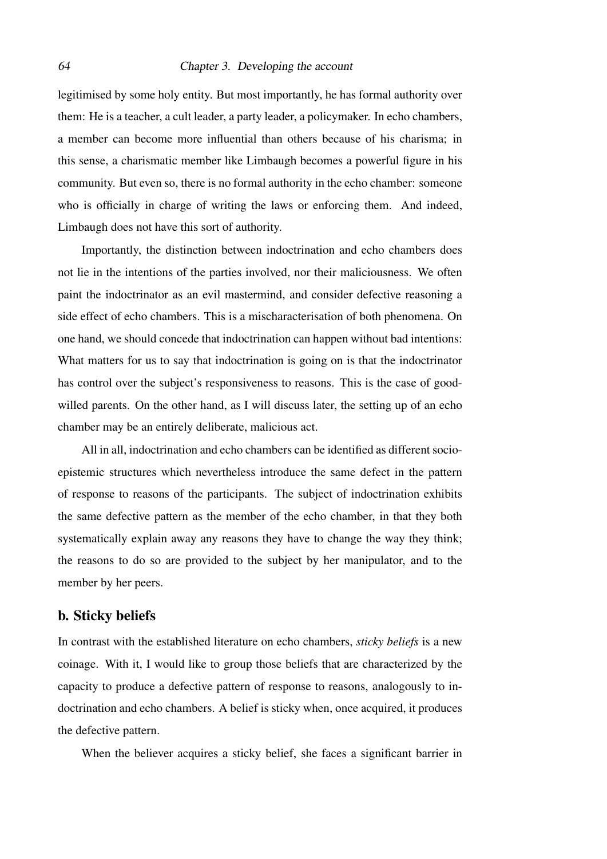legitimised by some holy entity. But most importantly, he has formal authority over them: He is a teacher, a cult leader, a party leader, a policymaker. In echo chambers, a member can become more influential than others because of his charisma; in this sense, a charismatic member like Limbaugh becomes a powerful figure in his community. But even so, there is no formal authority in the echo chamber: someone who is officially in charge of writing the laws or enforcing them. And indeed, Limbaugh does not have this sort of authority.

Importantly, the distinction between indoctrination and echo chambers does not lie in the intentions of the parties involved, nor their maliciousness. We often paint the indoctrinator as an evil mastermind, and consider defective reasoning a side effect of echo chambers. This is a mischaracterisation of both phenomena. On one hand, we should concede that indoctrination can happen without bad intentions: What matters for us to say that indoctrination is going on is that the indoctrinator has control over the subject's responsiveness to reasons. This is the case of goodwilled parents. On the other hand, as I will discuss later, the setting up of an echo chamber may be an entirely deliberate, malicious act.

All in all, indoctrination and echo chambers can be identified as different socioepistemic structures which nevertheless introduce the same defect in the pattern of response to reasons of the participants. The subject of indoctrination exhibits the same defective pattern as the member of the echo chamber, in that they both systematically explain away any reasons they have to change the way they think; the reasons to do so are provided to the subject by her manipulator, and to the member by her peers.

### b. Sticky beliefs

In contrast with the established literature on echo chambers, *sticky beliefs* is a new coinage. With it, I would like to group those beliefs that are characterized by the capacity to produce a defective pattern of response to reasons, analogously to indoctrination and echo chambers. A belief is sticky when, once acquired, it produces the defective pattern.

When the believer acquires a sticky belief, she faces a significant barrier in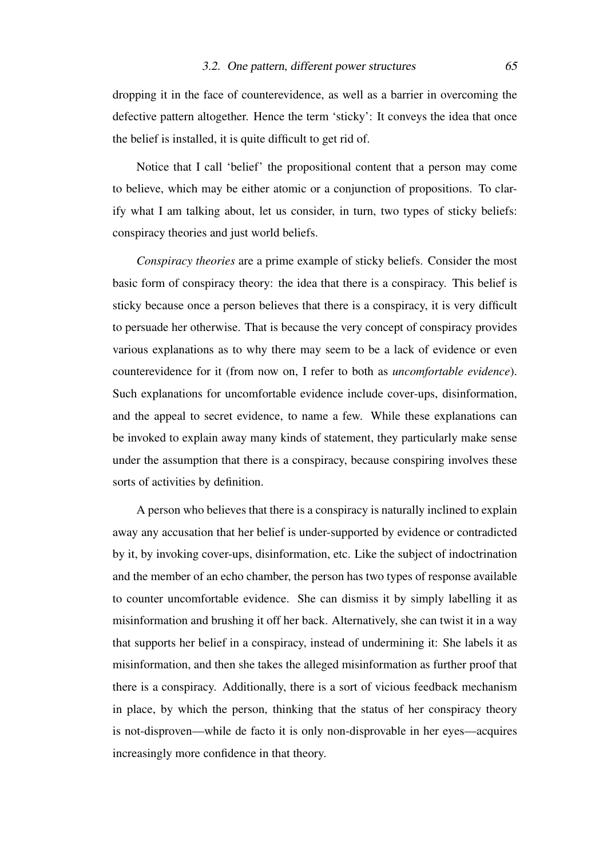dropping it in the face of counterevidence, as well as a barrier in overcoming the defective pattern altogether. Hence the term 'sticky': It conveys the idea that once the belief is installed, it is quite difficult to get rid of.

Notice that I call 'belief' the propositional content that a person may come to believe, which may be either atomic or a conjunction of propositions. To clarify what I am talking about, let us consider, in turn, two types of sticky beliefs: conspiracy theories and just world beliefs.

*Conspiracy theories* are a prime example of sticky beliefs. Consider the most basic form of conspiracy theory: the idea that there is a conspiracy. This belief is sticky because once a person believes that there is a conspiracy, it is very difficult to persuade her otherwise. That is because the very concept of conspiracy provides various explanations as to why there may seem to be a lack of evidence or even counterevidence for it (from now on, I refer to both as *uncomfortable evidence*). Such explanations for uncomfortable evidence include cover-ups, disinformation, and the appeal to secret evidence, to name a few. While these explanations can be invoked to explain away many kinds of statement, they particularly make sense under the assumption that there is a conspiracy, because conspiring involves these sorts of activities by definition.

A person who believes that there is a conspiracy is naturally inclined to explain away any accusation that her belief is under-supported by evidence or contradicted by it, by invoking cover-ups, disinformation, etc. Like the subject of indoctrination and the member of an echo chamber, the person has two types of response available to counter uncomfortable evidence. She can dismiss it by simply labelling it as misinformation and brushing it off her back. Alternatively, she can twist it in a way that supports her belief in a conspiracy, instead of undermining it: She labels it as misinformation, and then she takes the alleged misinformation as further proof that there is a conspiracy. Additionally, there is a sort of vicious feedback mechanism in place, by which the person, thinking that the status of her conspiracy theory is not-disproven—while de facto it is only non-disprovable in her eyes—acquires increasingly more confidence in that theory.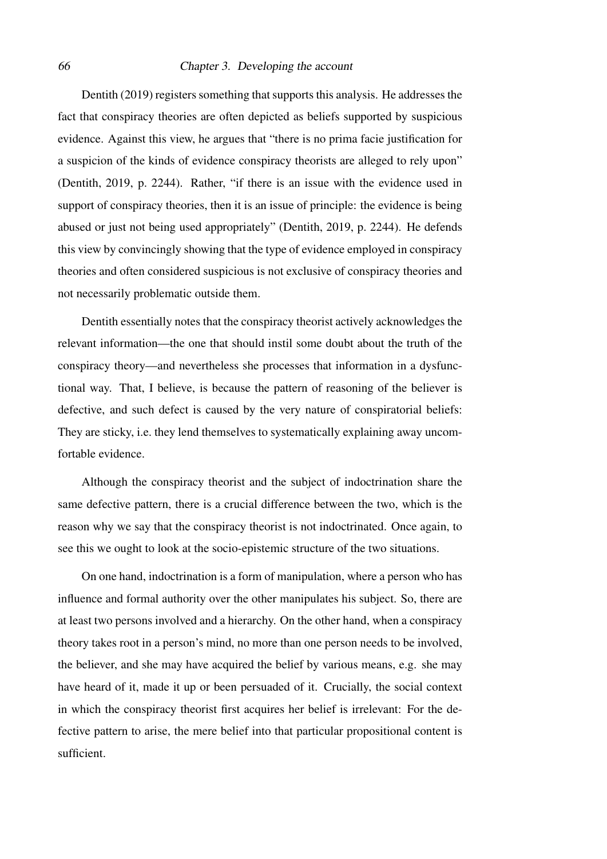[Dentith](#page-104-2) [\(2019\)](#page-104-2) registers something that supports this analysis. He addresses the fact that conspiracy theories are often depicted as beliefs supported by suspicious evidence. Against this view, he argues that "there is no prima facie justification for a suspicion of the kinds of evidence conspiracy theorists are alleged to rely upon" [\(Dentith, 2019,](#page-104-2) p. 2244). Rather, "if there is an issue with the evidence used in support of conspiracy theories, then it is an issue of principle: the evidence is being abused or just not being used appropriately" [\(Dentith, 2019,](#page-104-2) p. 2244). He defends this view by convincingly showing that the type of evidence employed in conspiracy theories and often considered suspicious is not exclusive of conspiracy theories and not necessarily problematic outside them.

Dentith essentially notes that the conspiracy theorist actively acknowledges the relevant information—the one that should instil some doubt about the truth of the conspiracy theory—and nevertheless she processes that information in a dysfunctional way. That, I believe, is because the pattern of reasoning of the believer is defective, and such defect is caused by the very nature of conspiratorial beliefs: They are sticky, i.e. they lend themselves to systematically explaining away uncomfortable evidence.

Although the conspiracy theorist and the subject of indoctrination share the same defective pattern, there is a crucial difference between the two, which is the reason why we say that the conspiracy theorist is not indoctrinated. Once again, to see this we ought to look at the socio-epistemic structure of the two situations.

On one hand, indoctrination is a form of manipulation, where a person who has influence and formal authority over the other manipulates his subject. So, there are at least two persons involved and a hierarchy. On the other hand, when a conspiracy theory takes root in a person's mind, no more than one person needs to be involved, the believer, and she may have acquired the belief by various means, e.g. she may have heard of it, made it up or been persuaded of it. Crucially, the social context in which the conspiracy theorist first acquires her belief is irrelevant: For the defective pattern to arise, the mere belief into that particular propositional content is sufficient.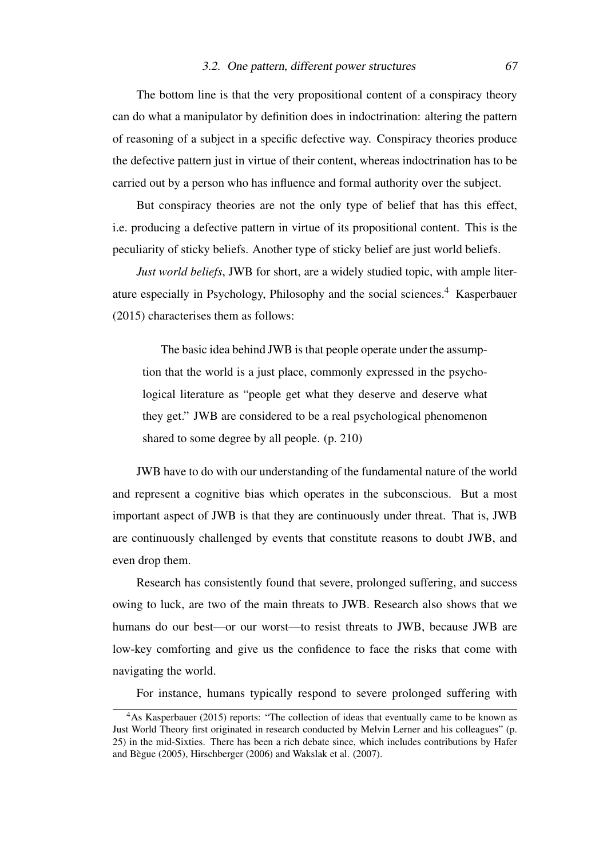### 3.2. One pattern, different power structures 67

The bottom line is that the very propositional content of a conspiracy theory can do what a manipulator by definition does in indoctrination: altering the pattern of reasoning of a subject in a specific defective way. Conspiracy theories produce the defective pattern just in virtue of their content, whereas indoctrination has to be carried out by a person who has influence and formal authority over the subject.

But conspiracy theories are not the only type of belief that has this effect, i.e. producing a defective pattern in virtue of its propositional content. This is the peculiarity of sticky beliefs. Another type of sticky belief are just world beliefs.

*Just world beliefs*, JWB for short, are a widely studied topic, with ample literature especially in Psychology, Philosophy and the social sciences.[4](#page-66-0) [Kasperbauer](#page-106-1) [\(2015\)](#page-106-1) characterises them as follows:

The basic idea behind JWB is that people operate under the assumption that the world is a just place, commonly expressed in the psychological literature as "people get what they deserve and deserve what they get." JWB are considered to be a real psychological phenomenon shared to some degree by all people. (p. 210)

JWB have to do with our understanding of the fundamental nature of the world and represent a cognitive bias which operates in the subconscious. But a most important aspect of JWB is that they are continuously under threat. That is, JWB are continuously challenged by events that constitute reasons to doubt JWB, and even drop them.

Research has consistently found that severe, prolonged suffering, and success owing to luck, are two of the main threats to JWB. Research also shows that we humans do our best—or our worst—to resist threats to JWB, because JWB are low-key comforting and give us the confidence to face the risks that come with navigating the world.

For instance, humans typically respond to severe prolonged suffering with

<span id="page-66-0"></span><sup>&</sup>lt;sup>4</sup>As [Kasperbauer](#page-106-1) [\(2015\)](#page-106-1) reports: "The collection of ideas that eventually came to be known as Just World Theory first originated in research conducted by Melvin Lerner and his colleagues" (p. 25) in the mid-Sixties. There has been a rich debate since, which includes contributions by Hafer and Begue (2005), Hirschberger (2006) and Wakslak et al. (2007). `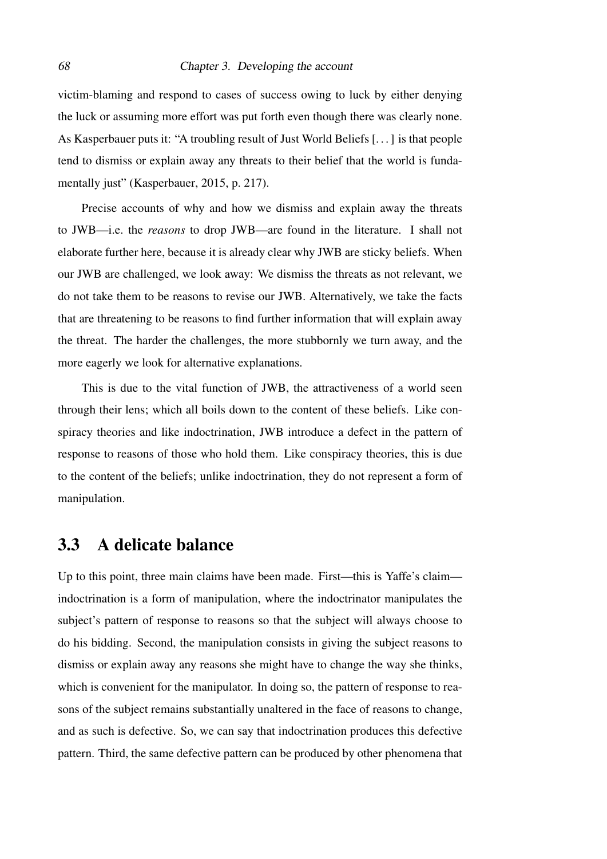victim-blaming and respond to cases of success owing to luck by either denying the luck or assuming more effort was put forth even though there was clearly none. As Kasperbauer puts it: "A troubling result of Just World Beliefs [. . . ] is that people tend to dismiss or explain away any threats to their belief that the world is funda-mentally just" [\(Kasperbauer, 2015,](#page-106-1) p. 217).

Precise accounts of why and how we dismiss and explain away the threats to JWB—i.e. the *reasons* to drop JWB—are found in the literature. I shall not elaborate further here, because it is already clear why JWB are sticky beliefs. When our JWB are challenged, we look away: We dismiss the threats as not relevant, we do not take them to be reasons to revise our JWB. Alternatively, we take the facts that are threatening to be reasons to find further information that will explain away the threat. The harder the challenges, the more stubbornly we turn away, and the more eagerly we look for alternative explanations.

This is due to the vital function of JWB, the attractiveness of a world seen through their lens; which all boils down to the content of these beliefs. Like conspiracy theories and like indoctrination, JWB introduce a defect in the pattern of response to reasons of those who hold them. Like conspiracy theories, this is due to the content of the beliefs; unlike indoctrination, they do not represent a form of manipulation.

# 3.3 A delicate balance

Up to this point, three main claims have been made. First—this is Yaffe's claim indoctrination is a form of manipulation, where the indoctrinator manipulates the subject's pattern of response to reasons so that the subject will always choose to do his bidding. Second, the manipulation consists in giving the subject reasons to dismiss or explain away any reasons she might have to change the way she thinks, which is convenient for the manipulator. In doing so, the pattern of response to reasons of the subject remains substantially unaltered in the face of reasons to change, and as such is defective. So, we can say that indoctrination produces this defective pattern. Third, the same defective pattern can be produced by other phenomena that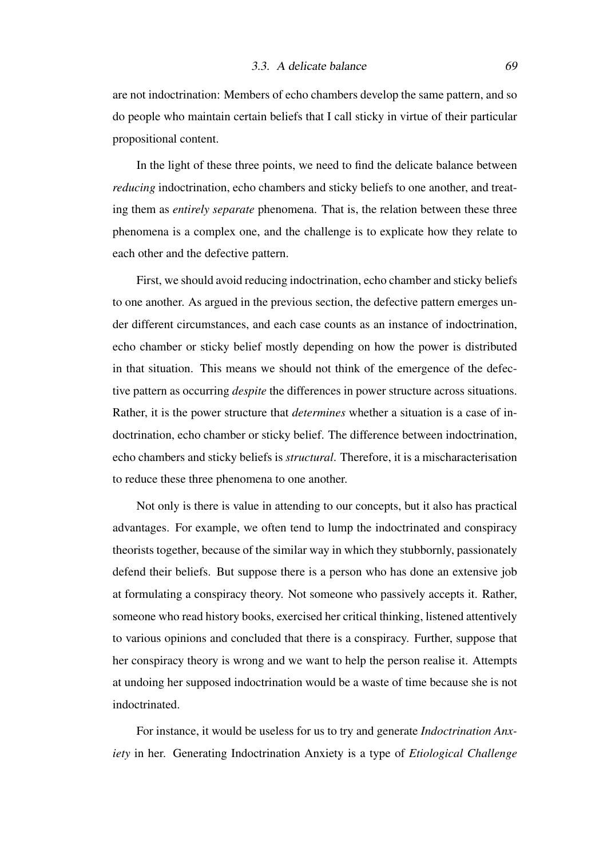are not indoctrination: Members of echo chambers develop the same pattern, and so do people who maintain certain beliefs that I call sticky in virtue of their particular propositional content.

In the light of these three points, we need to find the delicate balance between *reducing* indoctrination, echo chambers and sticky beliefs to one another, and treating them as *entirely separate* phenomena. That is, the relation between these three phenomena is a complex one, and the challenge is to explicate how they relate to each other and the defective pattern.

First, we should avoid reducing indoctrination, echo chamber and sticky beliefs to one another. As argued in the previous section, the defective pattern emerges under different circumstances, and each case counts as an instance of indoctrination, echo chamber or sticky belief mostly depending on how the power is distributed in that situation. This means we should not think of the emergence of the defective pattern as occurring *despite* the differences in power structure across situations. Rather, it is the power structure that *determines* whether a situation is a case of indoctrination, echo chamber or sticky belief. The difference between indoctrination, echo chambers and sticky beliefs is *structural*. Therefore, it is a mischaracterisation to reduce these three phenomena to one another.

Not only is there is value in attending to our concepts, but it also has practical advantages. For example, we often tend to lump the indoctrinated and conspiracy theorists together, because of the similar way in which they stubbornly, passionately defend their beliefs. But suppose there is a person who has done an extensive job at formulating a conspiracy theory. Not someone who passively accepts it. Rather, someone who read history books, exercised her critical thinking, listened attentively to various opinions and concluded that there is a conspiracy. Further, suppose that her conspiracy theory is wrong and we want to help the person realise it. Attempts at undoing her supposed indoctrination would be a waste of time because she is not indoctrinated.

For instance, it would be useless for us to try and generate *Indoctrination Anxiety* in her. Generating Indoctrination Anxiety is a type of *Etiological Challenge*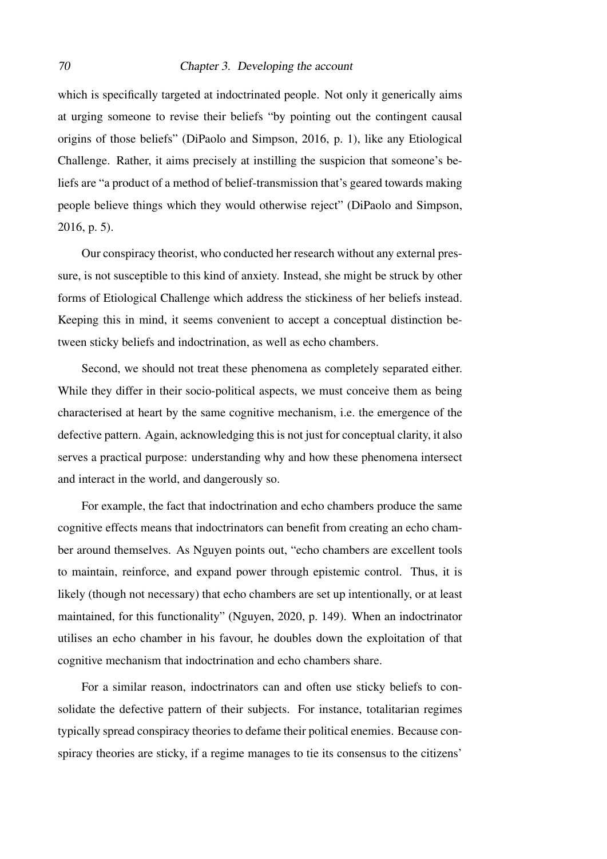which is specifically targeted at indoctrinated people. Not only it generically aims at urging someone to revise their beliefs "by pointing out the contingent causal origins of those beliefs" [\(DiPaolo and Simpson, 2016,](#page-104-3) p. 1), like any Etiological Challenge. Rather, it aims precisely at instilling the suspicion that someone's beliefs are "a product of a method of belief-transmission that's geared towards making people believe things which they would otherwise reject" [\(DiPaolo and Simpson,](#page-104-3) [2016,](#page-104-3) p. 5).

Our conspiracy theorist, who conducted her research without any external pressure, is not susceptible to this kind of anxiety. Instead, she might be struck by other forms of Etiological Challenge which address the stickiness of her beliefs instead. Keeping this in mind, it seems convenient to accept a conceptual distinction between sticky beliefs and indoctrination, as well as echo chambers.

Second, we should not treat these phenomena as completely separated either. While they differ in their socio-political aspects, we must conceive them as being characterised at heart by the same cognitive mechanism, i.e. the emergence of the defective pattern. Again, acknowledging this is not just for conceptual clarity, it also serves a practical purpose: understanding why and how these phenomena intersect and interact in the world, and dangerously so.

For example, the fact that indoctrination and echo chambers produce the same cognitive effects means that indoctrinators can benefit from creating an echo chamber around themselves. As Nguyen points out, "echo chambers are excellent tools to maintain, reinforce, and expand power through epistemic control. Thus, it is likely (though not necessary) that echo chambers are set up intentionally, or at least maintained, for this functionality" [\(Nguyen, 2020,](#page-106-0) p. 149). When an indoctrinator utilises an echo chamber in his favour, he doubles down the exploitation of that cognitive mechanism that indoctrination and echo chambers share.

For a similar reason, indoctrinators can and often use sticky beliefs to consolidate the defective pattern of their subjects. For instance, totalitarian regimes typically spread conspiracy theories to defame their political enemies. Because conspiracy theories are sticky, if a regime manages to tie its consensus to the citizens'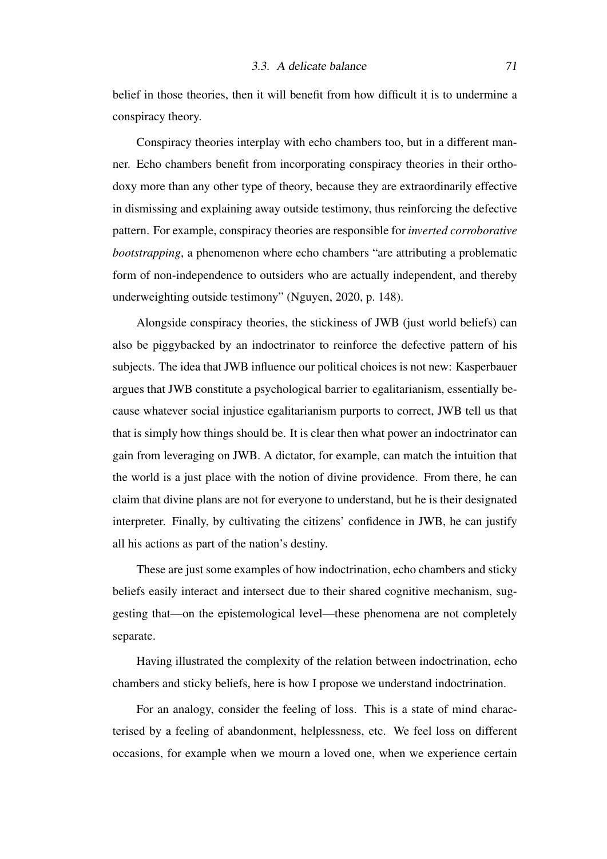belief in those theories, then it will benefit from how difficult it is to undermine a conspiracy theory.

Conspiracy theories interplay with echo chambers too, but in a different manner. Echo chambers benefit from incorporating conspiracy theories in their orthodoxy more than any other type of theory, because they are extraordinarily effective in dismissing and explaining away outside testimony, thus reinforcing the defective pattern. For example, conspiracy theories are responsible for *inverted corroborative bootstrapping*, a phenomenon where echo chambers "are attributing a problematic form of non-independence to outsiders who are actually independent, and thereby underweighting outside testimony" [\(Nguyen, 2020,](#page-106-0) p. 148).

Alongside conspiracy theories, the stickiness of JWB (just world beliefs) can also be piggybacked by an indoctrinator to reinforce the defective pattern of his subjects. The idea that JWB influence our political choices is not new: Kasperbauer argues that JWB constitute a psychological barrier to egalitarianism, essentially because whatever social injustice egalitarianism purports to correct, JWB tell us that that is simply how things should be. It is clear then what power an indoctrinator can gain from leveraging on JWB. A dictator, for example, can match the intuition that the world is a just place with the notion of divine providence. From there, he can claim that divine plans are not for everyone to understand, but he is their designated interpreter. Finally, by cultivating the citizens' confidence in JWB, he can justify all his actions as part of the nation's destiny.

These are just some examples of how indoctrination, echo chambers and sticky beliefs easily interact and intersect due to their shared cognitive mechanism, suggesting that—on the epistemological level—these phenomena are not completely separate.

Having illustrated the complexity of the relation between indoctrination, echo chambers and sticky beliefs, here is how I propose we understand indoctrination.

For an analogy, consider the feeling of loss. This is a state of mind characterised by a feeling of abandonment, helplessness, etc. We feel loss on different occasions, for example when we mourn a loved one, when we experience certain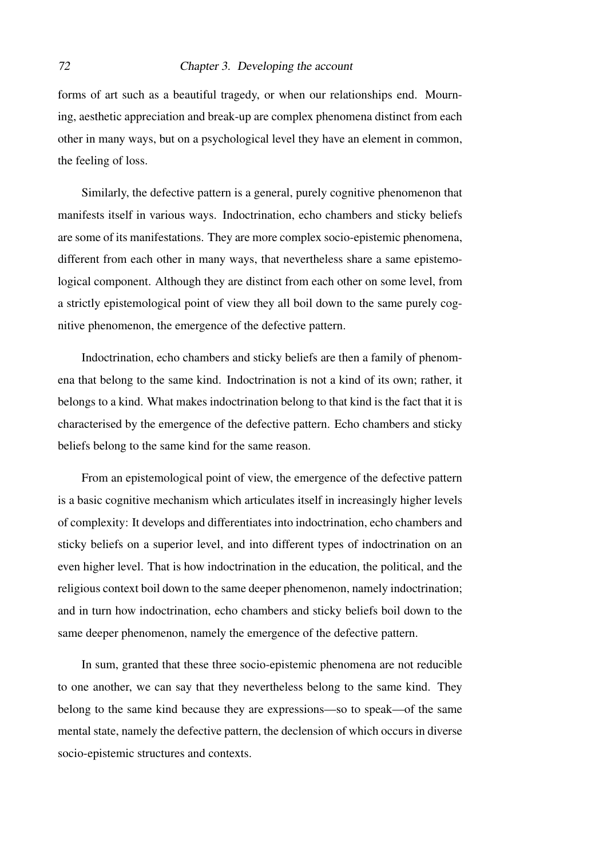forms of art such as a beautiful tragedy, or when our relationships end. Mourning, aesthetic appreciation and break-up are complex phenomena distinct from each other in many ways, but on a psychological level they have an element in common, the feeling of loss.

Similarly, the defective pattern is a general, purely cognitive phenomenon that manifests itself in various ways. Indoctrination, echo chambers and sticky beliefs are some of its manifestations. They are more complex socio-epistemic phenomena, different from each other in many ways, that nevertheless share a same epistemological component. Although they are distinct from each other on some level, from a strictly epistemological point of view they all boil down to the same purely cognitive phenomenon, the emergence of the defective pattern.

Indoctrination, echo chambers and sticky beliefs are then a family of phenomena that belong to the same kind. Indoctrination is not a kind of its own; rather, it belongs to a kind. What makes indoctrination belong to that kind is the fact that it is characterised by the emergence of the defective pattern. Echo chambers and sticky beliefs belong to the same kind for the same reason.

From an epistemological point of view, the emergence of the defective pattern is a basic cognitive mechanism which articulates itself in increasingly higher levels of complexity: It develops and differentiates into indoctrination, echo chambers and sticky beliefs on a superior level, and into different types of indoctrination on an even higher level. That is how indoctrination in the education, the political, and the religious context boil down to the same deeper phenomenon, namely indoctrination; and in turn how indoctrination, echo chambers and sticky beliefs boil down to the same deeper phenomenon, namely the emergence of the defective pattern.

In sum, granted that these three socio-epistemic phenomena are not reducible to one another, we can say that they nevertheless belong to the same kind. They belong to the same kind because they are expressions—so to speak—of the same mental state, namely the defective pattern, the declension of which occurs in diverse socio-epistemic structures and contexts.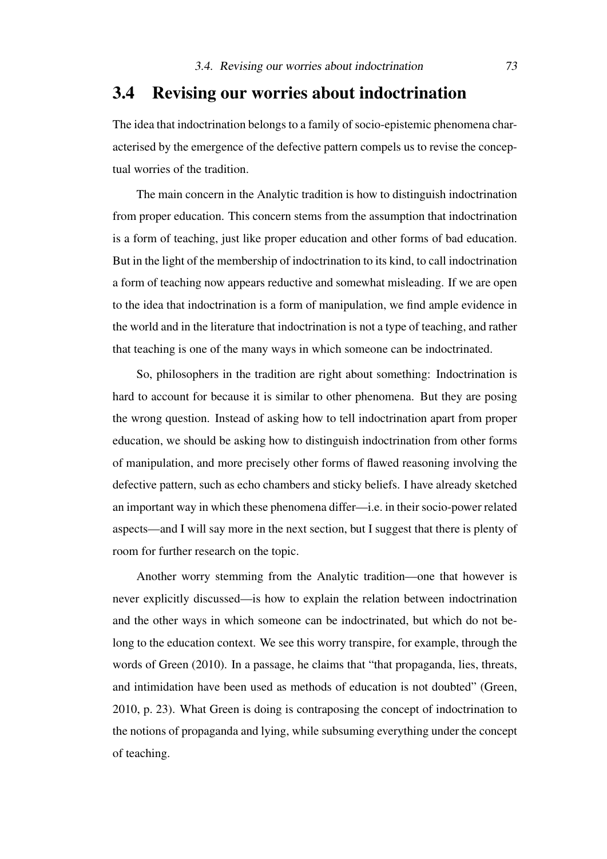## 3.4 Revising our worries about indoctrination

The idea that indoctrination belongs to a family of socio-epistemic phenomena characterised by the emergence of the defective pattern compels us to revise the conceptual worries of the tradition.

The main concern in the Analytic tradition is how to distinguish indoctrination from proper education. This concern stems from the assumption that indoctrination is a form of teaching, just like proper education and other forms of bad education. But in the light of the membership of indoctrination to its kind, to call indoctrination a form of teaching now appears reductive and somewhat misleading. If we are open to the idea that indoctrination is a form of manipulation, we find ample evidence in the world and in the literature that indoctrination is not a type of teaching, and rather that teaching is one of the many ways in which someone can be indoctrinated.

So, philosophers in the tradition are right about something: Indoctrination is hard to account for because it is similar to other phenomena. But they are posing the wrong question. Instead of asking how to tell indoctrination apart from proper education, we should be asking how to distinguish indoctrination from other forms of manipulation, and more precisely other forms of flawed reasoning involving the defective pattern, such as echo chambers and sticky beliefs. I have already sketched an important way in which these phenomena differ—i.e. in their socio-power related aspects—and I will say more in the next section, but I suggest that there is plenty of room for further research on the topic.

Another worry stemming from the Analytic tradition—one that however is never explicitly discussed—is how to explain the relation between indoctrination and the other ways in which someone can be indoctrinated, but which do not belong to the education context. We see this worry transpire, for example, through the words of [Green](#page-105-0) [\(2010\)](#page-105-0). In a passage, he claims that "that propaganda, lies, threats, and intimidation have been used as methods of education is not doubted" [\(Green,](#page-105-0) [2010,](#page-105-0) p. 23). What Green is doing is contraposing the concept of indoctrination to the notions of propaganda and lying, while subsuming everything under the concept of teaching.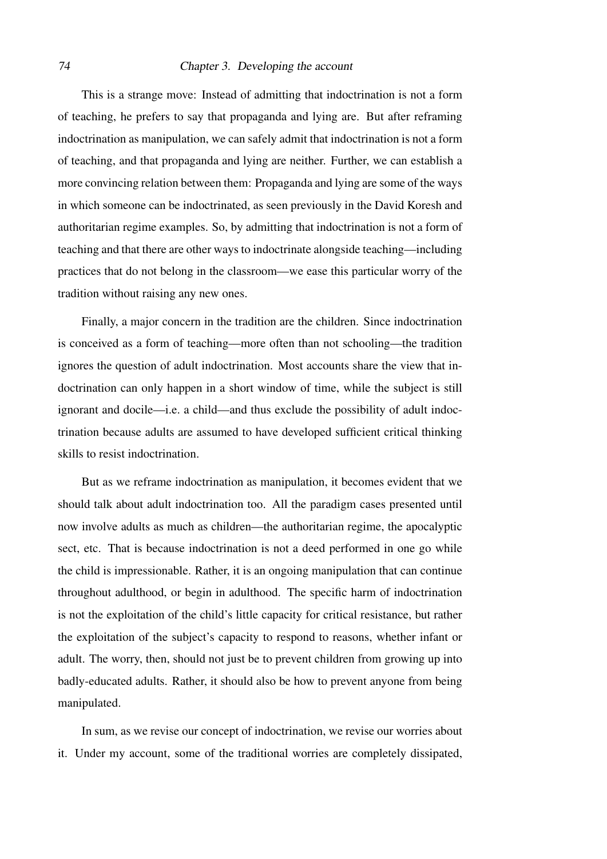#### 74 Chapter 3. Developing the account

This is a strange move: Instead of admitting that indoctrination is not a form of teaching, he prefers to say that propaganda and lying are. But after reframing indoctrination as manipulation, we can safely admit that indoctrination is not a form of teaching, and that propaganda and lying are neither. Further, we can establish a more convincing relation between them: Propaganda and lying are some of the ways in which someone can be indoctrinated, as seen previously in the David Koresh and authoritarian regime examples. So, by admitting that indoctrination is not a form of teaching and that there are other ways to indoctrinate alongside teaching—including practices that do not belong in the classroom—we ease this particular worry of the tradition without raising any new ones.

Finally, a major concern in the tradition are the children. Since indoctrination is conceived as a form of teaching—more often than not schooling—the tradition ignores the question of adult indoctrination. Most accounts share the view that indoctrination can only happen in a short window of time, while the subject is still ignorant and docile—i.e. a child—and thus exclude the possibility of adult indoctrination because adults are assumed to have developed sufficient critical thinking skills to resist indoctrination.

But as we reframe indoctrination as manipulation, it becomes evident that we should talk about adult indoctrination too. All the paradigm cases presented until now involve adults as much as children—the authoritarian regime, the apocalyptic sect, etc. That is because indoctrination is not a deed performed in one go while the child is impressionable. Rather, it is an ongoing manipulation that can continue throughout adulthood, or begin in adulthood. The specific harm of indoctrination is not the exploitation of the child's little capacity for critical resistance, but rather the exploitation of the subject's capacity to respond to reasons, whether infant or adult. The worry, then, should not just be to prevent children from growing up into badly-educated adults. Rather, it should also be how to prevent anyone from being manipulated.

In sum, as we revise our concept of indoctrination, we revise our worries about it. Under my account, some of the traditional worries are completely dissipated,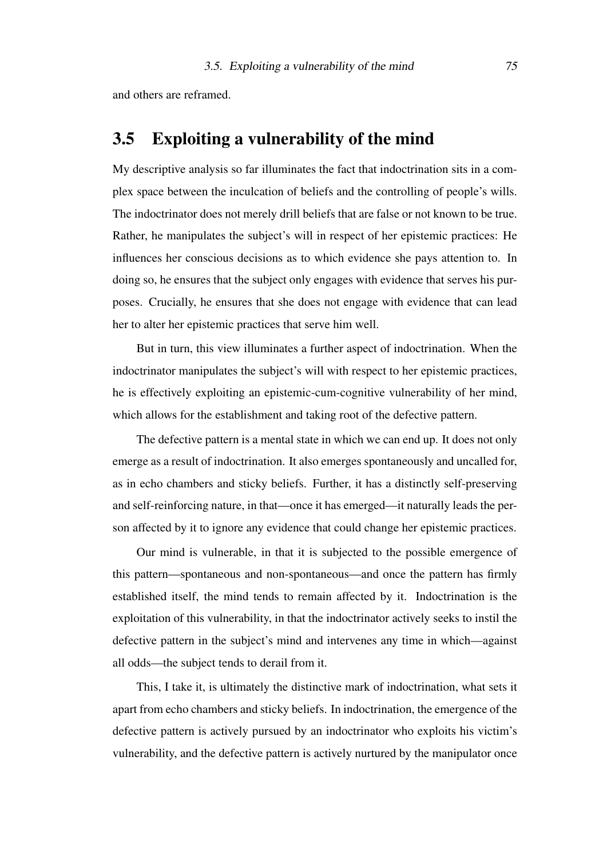and others are reframed.

### 3.5 Exploiting a vulnerability of the mind

My descriptive analysis so far illuminates the fact that indoctrination sits in a complex space between the inculcation of beliefs and the controlling of people's wills. The indoctrinator does not merely drill beliefs that are false or not known to be true. Rather, he manipulates the subject's will in respect of her epistemic practices: He influences her conscious decisions as to which evidence she pays attention to. In doing so, he ensures that the subject only engages with evidence that serves his purposes. Crucially, he ensures that she does not engage with evidence that can lead her to alter her epistemic practices that serve him well.

But in turn, this view illuminates a further aspect of indoctrination. When the indoctrinator manipulates the subject's will with respect to her epistemic practices, he is effectively exploiting an epistemic-cum-cognitive vulnerability of her mind, which allows for the establishment and taking root of the defective pattern.

The defective pattern is a mental state in which we can end up. It does not only emerge as a result of indoctrination. It also emerges spontaneously and uncalled for, as in echo chambers and sticky beliefs. Further, it has a distinctly self-preserving and self-reinforcing nature, in that—once it has emerged—it naturally leads the person affected by it to ignore any evidence that could change her epistemic practices.

Our mind is vulnerable, in that it is subjected to the possible emergence of this pattern—spontaneous and non-spontaneous—and once the pattern has firmly established itself, the mind tends to remain affected by it. Indoctrination is the exploitation of this vulnerability, in that the indoctrinator actively seeks to instil the defective pattern in the subject's mind and intervenes any time in which—against all odds—the subject tends to derail from it.

This, I take it, is ultimately the distinctive mark of indoctrination, what sets it apart from echo chambers and sticky beliefs. In indoctrination, the emergence of the defective pattern is actively pursued by an indoctrinator who exploits his victim's vulnerability, and the defective pattern is actively nurtured by the manipulator once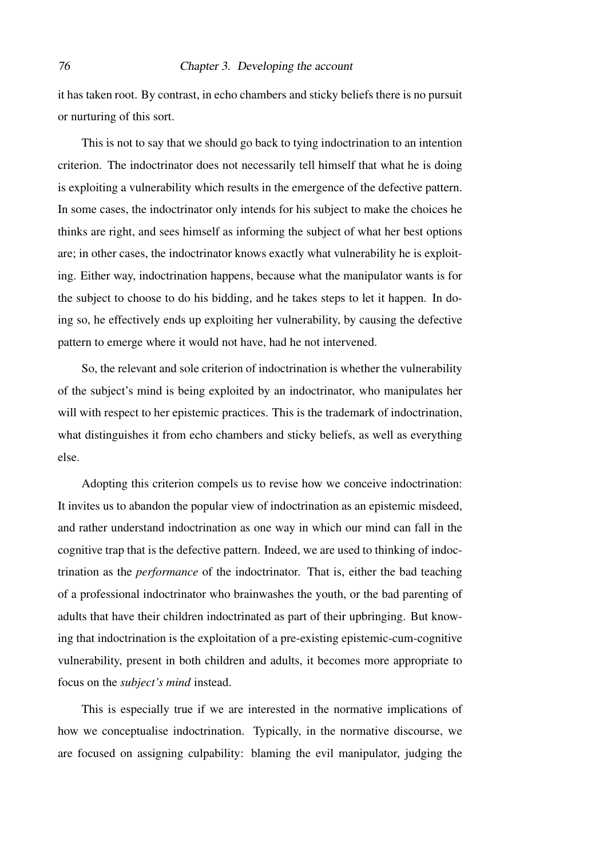#### 76 Chapter 3. Developing the account

it has taken root. By contrast, in echo chambers and sticky beliefs there is no pursuit or nurturing of this sort.

This is not to say that we should go back to tying indoctrination to an intention criterion. The indoctrinator does not necessarily tell himself that what he is doing is exploiting a vulnerability which results in the emergence of the defective pattern. In some cases, the indoctrinator only intends for his subject to make the choices he thinks are right, and sees himself as informing the subject of what her best options are; in other cases, the indoctrinator knows exactly what vulnerability he is exploiting. Either way, indoctrination happens, because what the manipulator wants is for the subject to choose to do his bidding, and he takes steps to let it happen. In doing so, he effectively ends up exploiting her vulnerability, by causing the defective pattern to emerge where it would not have, had he not intervened.

So, the relevant and sole criterion of indoctrination is whether the vulnerability of the subject's mind is being exploited by an indoctrinator, who manipulates her will with respect to her epistemic practices. This is the trademark of indoctrination, what distinguishes it from echo chambers and sticky beliefs, as well as everything else.

Adopting this criterion compels us to revise how we conceive indoctrination: It invites us to abandon the popular view of indoctrination as an epistemic misdeed, and rather understand indoctrination as one way in which our mind can fall in the cognitive trap that is the defective pattern. Indeed, we are used to thinking of indoctrination as the *performance* of the indoctrinator. That is, either the bad teaching of a professional indoctrinator who brainwashes the youth, or the bad parenting of adults that have their children indoctrinated as part of their upbringing. But knowing that indoctrination is the exploitation of a pre-existing epistemic-cum-cognitive vulnerability, present in both children and adults, it becomes more appropriate to focus on the *subject's mind* instead.

This is especially true if we are interested in the normative implications of how we conceptualise indoctrination. Typically, in the normative discourse, we are focused on assigning culpability: blaming the evil manipulator, judging the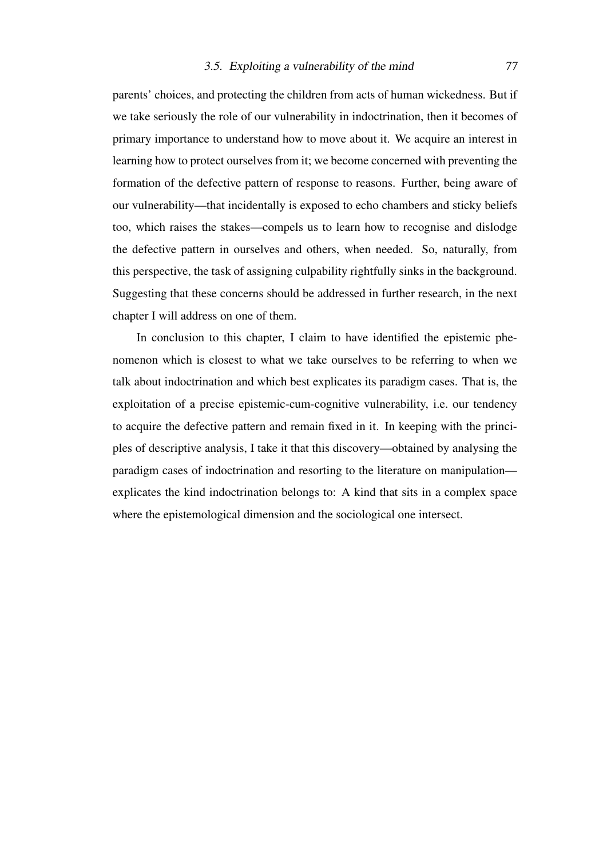parents' choices, and protecting the children from acts of human wickedness. But if we take seriously the role of our vulnerability in indoctrination, then it becomes of primary importance to understand how to move about it. We acquire an interest in learning how to protect ourselves from it; we become concerned with preventing the formation of the defective pattern of response to reasons. Further, being aware of our vulnerability—that incidentally is exposed to echo chambers and sticky beliefs too, which raises the stakes—compels us to learn how to recognise and dislodge the defective pattern in ourselves and others, when needed. So, naturally, from this perspective, the task of assigning culpability rightfully sinks in the background. Suggesting that these concerns should be addressed in further research, in the next chapter I will address on one of them.

In conclusion to this chapter, I claim to have identified the epistemic phenomenon which is closest to what we take ourselves to be referring to when we talk about indoctrination and which best explicates its paradigm cases. That is, the exploitation of a precise epistemic-cum-cognitive vulnerability, i.e. our tendency to acquire the defective pattern and remain fixed in it. In keeping with the principles of descriptive analysis, I take it that this discovery—obtained by analysing the paradigm cases of indoctrination and resorting to the literature on manipulation explicates the kind indoctrination belongs to: A kind that sits in a complex space where the epistemological dimension and the sociological one intersect.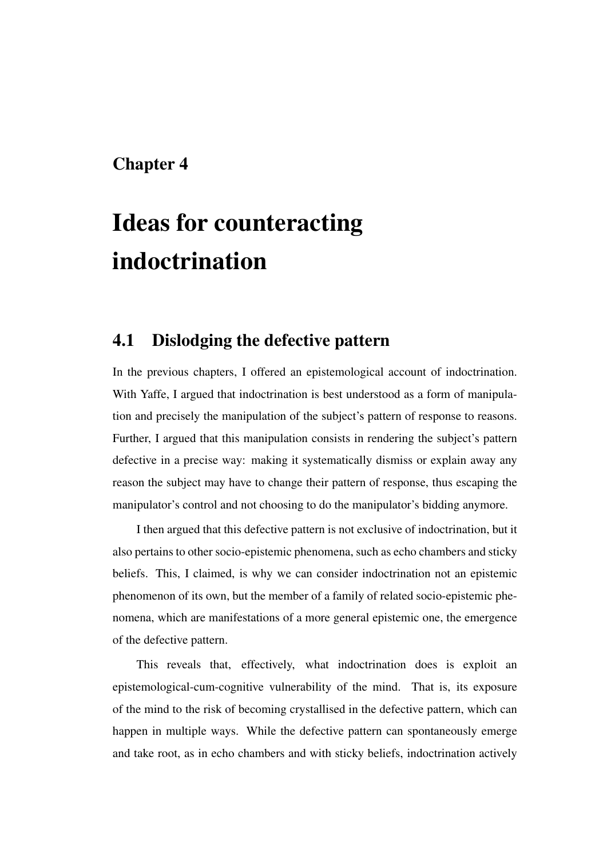# Chapter 4

# Ideas for counteracting indoctrination

## 4.1 Dislodging the defective pattern

In the previous chapters, I offered an epistemological account of indoctrination. With Yaffe, I argued that indoctrination is best understood as a form of manipulation and precisely the manipulation of the subject's pattern of response to reasons. Further, I argued that this manipulation consists in rendering the subject's pattern defective in a precise way: making it systematically dismiss or explain away any reason the subject may have to change their pattern of response, thus escaping the manipulator's control and not choosing to do the manipulator's bidding anymore.

I then argued that this defective pattern is not exclusive of indoctrination, but it also pertains to other socio-epistemic phenomena, such as echo chambers and sticky beliefs. This, I claimed, is why we can consider indoctrination not an epistemic phenomenon of its own, but the member of a family of related socio-epistemic phenomena, which are manifestations of a more general epistemic one, the emergence of the defective pattern.

This reveals that, effectively, what indoctrination does is exploit an epistemological-cum-cognitive vulnerability of the mind. That is, its exposure of the mind to the risk of becoming crystallised in the defective pattern, which can happen in multiple ways. While the defective pattern can spontaneously emerge and take root, as in echo chambers and with sticky beliefs, indoctrination actively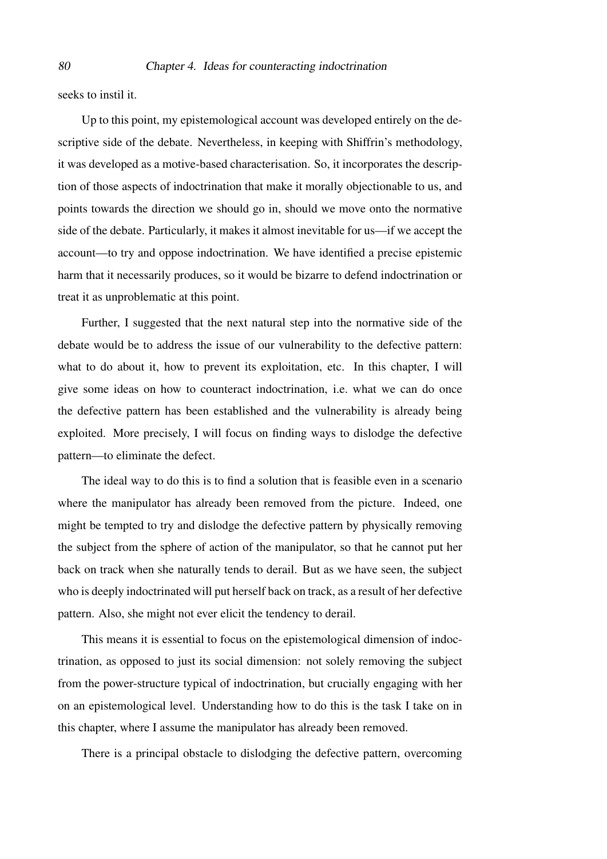seeks to instil it.

Up to this point, my epistemological account was developed entirely on the descriptive side of the debate. Nevertheless, in keeping with Shiffrin's methodology, it was developed as a motive-based characterisation. So, it incorporates the description of those aspects of indoctrination that make it morally objectionable to us, and points towards the direction we should go in, should we move onto the normative side of the debate. Particularly, it makes it almost inevitable for us—if we accept the account—to try and oppose indoctrination. We have identified a precise epistemic harm that it necessarily produces, so it would be bizarre to defend indoctrination or treat it as unproblematic at this point.

Further, I suggested that the next natural step into the normative side of the debate would be to address the issue of our vulnerability to the defective pattern: what to do about it, how to prevent its exploitation, etc. In this chapter, I will give some ideas on how to counteract indoctrination, i.e. what we can do once the defective pattern has been established and the vulnerability is already being exploited. More precisely, I will focus on finding ways to dislodge the defective pattern—to eliminate the defect.

The ideal way to do this is to find a solution that is feasible even in a scenario where the manipulator has already been removed from the picture. Indeed, one might be tempted to try and dislodge the defective pattern by physically removing the subject from the sphere of action of the manipulator, so that he cannot put her back on track when she naturally tends to derail. But as we have seen, the subject who is deeply indoctrinated will put herself back on track, as a result of her defective pattern. Also, she might not ever elicit the tendency to derail.

This means it is essential to focus on the epistemological dimension of indoctrination, as opposed to just its social dimension: not solely removing the subject from the power-structure typical of indoctrination, but crucially engaging with her on an epistemological level. Understanding how to do this is the task I take on in this chapter, where I assume the manipulator has already been removed.

There is a principal obstacle to dislodging the defective pattern, overcoming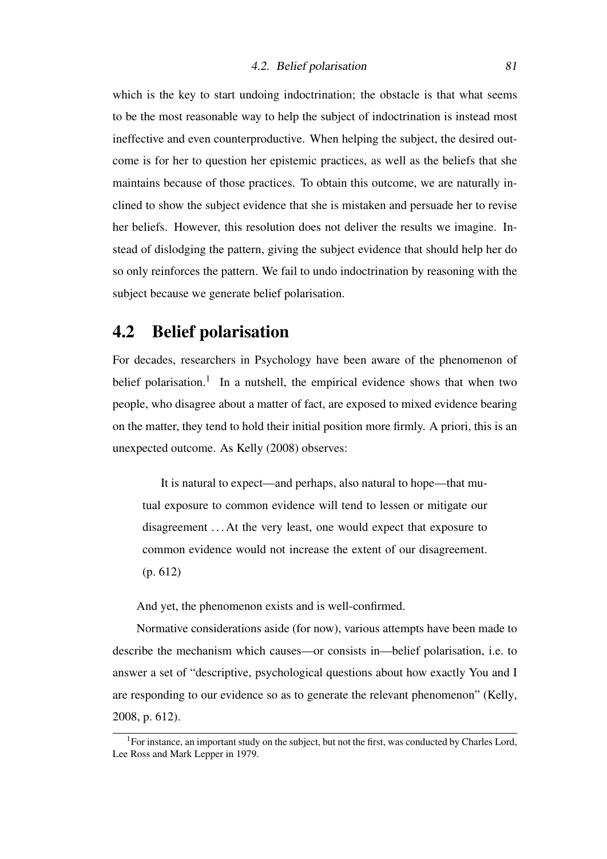which is the key to start undoing indoctrination; the obstacle is that what seems to be the most reasonable way to help the subject of indoctrination is instead most ineffective and even counterproductive. When helping the subject, the desired outcome is for her to question her epistemic practices, as well as the beliefs that she maintains because of those practices. To obtain this outcome, we are naturally inclined to show the subject evidence that she is mistaken and persuade her to revise her beliefs. However, this resolution does not deliver the results we imagine. Instead of dislodging the pattern, giving the subject evidence that should help her do so only reinforces the pattern. We fail to undo indoctrination by reasoning with the subject because we generate belief polarisation.

# 4.2 Belief polarisation

For decades, researchers in Psychology have been aware of the phenomenon of belief polarisation.<sup>[1](#page-80-0)</sup> In a nutshell, the empirical evidence shows that when two people, who disagree about a matter of fact, are exposed to mixed evidence bearing on the matter, they tend to hold their initial position more firmly. A priori, this is an unexpected outcome. As [Kelly](#page-106-0) [\(2008\)](#page-106-0) observes:

It is natural to expect—and perhaps, also natural to hope—that mutual exposure to common evidence will tend to lessen or mitigate our disagreement . . . At the very least, one would expect that exposure to common evidence would not increase the extent of our disagreement. (p. 612)

And yet, the phenomenon exists and is well-confirmed.

Normative considerations aside (for now), various attempts have been made to describe the mechanism which causes—or consists in—belief polarisation, i.e. to answer a set of "descriptive, psychological questions about how exactly You and I are responding to our evidence so as to generate the relevant phenomenon" [\(Kelly,](#page-106-0) [2008,](#page-106-0) p. 612).

<span id="page-80-0"></span> $1$ For instance, an important study on the subject, but not the first, was conducted by Charles Lord, Lee Ross and Mark Lepper in 1979.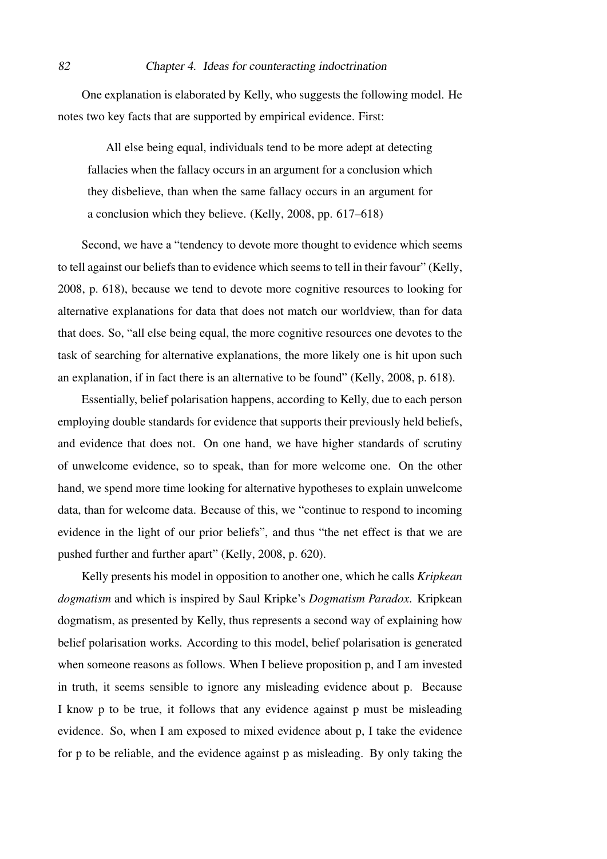One explanation is elaborated by Kelly, who suggests the following model. He notes two key facts that are supported by empirical evidence. First:

All else being equal, individuals tend to be more adept at detecting fallacies when the fallacy occurs in an argument for a conclusion which they disbelieve, than when the same fallacy occurs in an argument for a conclusion which they believe. [\(Kelly, 2008,](#page-106-0) pp. 617–618)

Second, we have a "tendency to devote more thought to evidence which seems to tell against our beliefs than to evidence which seems to tell in their favour" [\(Kelly,](#page-106-0) [2008,](#page-106-0) p. 618), because we tend to devote more cognitive resources to looking for alternative explanations for data that does not match our worldview, than for data that does. So, "all else being equal, the more cognitive resources one devotes to the task of searching for alternative explanations, the more likely one is hit upon such an explanation, if in fact there is an alternative to be found" [\(Kelly, 2008,](#page-106-0) p. 618).

Essentially, belief polarisation happens, according to Kelly, due to each person employing double standards for evidence that supports their previously held beliefs, and evidence that does not. On one hand, we have higher standards of scrutiny of unwelcome evidence, so to speak, than for more welcome one. On the other hand, we spend more time looking for alternative hypotheses to explain unwelcome data, than for welcome data. Because of this, we "continue to respond to incoming evidence in the light of our prior beliefs", and thus "the net effect is that we are pushed further and further apart" [\(Kelly, 2008,](#page-106-0) p. 620).

Kelly presents his model in opposition to another one, which he calls *Kripkean dogmatism* and which is inspired by Saul Kripke's *Dogmatism Paradox*. Kripkean dogmatism, as presented by Kelly, thus represents a second way of explaining how belief polarisation works. According to this model, belief polarisation is generated when someone reasons as follows. When I believe proposition p, and I am invested in truth, it seems sensible to ignore any misleading evidence about p. Because I know p to be true, it follows that any evidence against p must be misleading evidence. So, when I am exposed to mixed evidence about p, I take the evidence for p to be reliable, and the evidence against p as misleading. By only taking the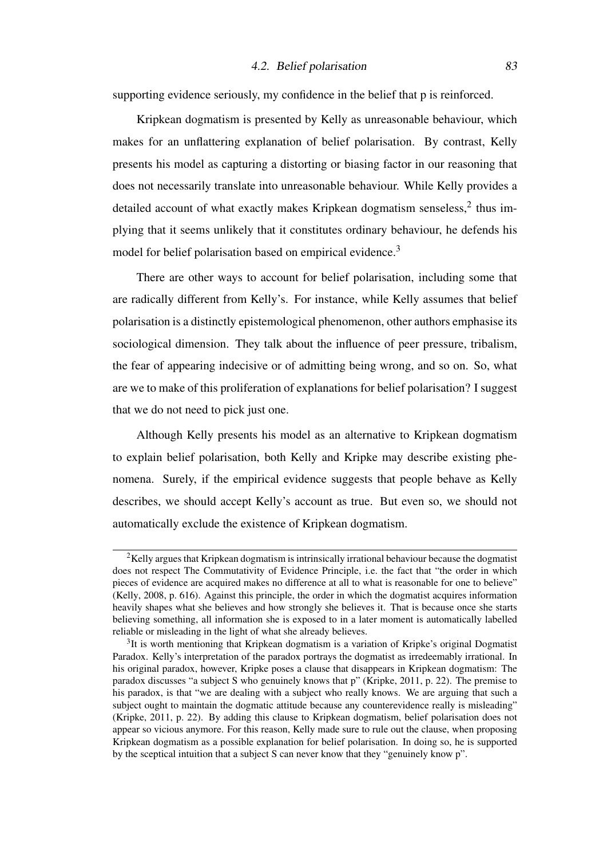supporting evidence seriously, my confidence in the belief that p is reinforced.

Kripkean dogmatism is presented by Kelly as unreasonable behaviour, which makes for an unflattering explanation of belief polarisation. By contrast, Kelly presents his model as capturing a distorting or biasing factor in our reasoning that does not necessarily translate into unreasonable behaviour. While Kelly provides a detailed account of what exactly makes Kripkean dogmatism senseless,<sup>[2](#page-82-0)</sup> thus implying that it seems unlikely that it constitutes ordinary behaviour, he defends his model for belief polarisation based on empirical evidence.<sup>[3](#page-82-1)</sup>

There are other ways to account for belief polarisation, including some that are radically different from Kelly's. For instance, while Kelly assumes that belief polarisation is a distinctly epistemological phenomenon, other authors emphasise its sociological dimension. They talk about the influence of peer pressure, tribalism, the fear of appearing indecisive or of admitting being wrong, and so on. So, what are we to make of this proliferation of explanations for belief polarisation? I suggest that we do not need to pick just one.

Although Kelly presents his model as an alternative to Kripkean dogmatism to explain belief polarisation, both Kelly and Kripke may describe existing phenomena. Surely, if the empirical evidence suggests that people behave as Kelly describes, we should accept Kelly's account as true. But even so, we should not automatically exclude the existence of Kripkean dogmatism.

<span id="page-82-0"></span><sup>&</sup>lt;sup>2</sup>Kelly argues that Kripkean dogmatism is intrinsically irrational behaviour because the dogmatist does not respect The Commutativity of Evidence Principle, i.e. the fact that "the order in which pieces of evidence are acquired makes no difference at all to what is reasonable for one to believe" [\(Kelly, 2008,](#page-106-0) p. 616). Against this principle, the order in which the dogmatist acquires information heavily shapes what she believes and how strongly she believes it. That is because once she starts believing something, all information she is exposed to in a later moment is automatically labelled reliable or misleading in the light of what she already believes.

<span id="page-82-1"></span> $3$ It is worth mentioning that Kripkean dogmatism is a variation of Kripke's original Dogmatist Paradox. Kelly's interpretation of the paradox portrays the dogmatist as irredeemably irrational. In his original paradox, however, Kripke poses a clause that disappears in Kripkean dogmatism: The paradox discusses "a subject S who genuinely knows that p" [\(Kripke, 2011,](#page-106-1) p. 22). The premise to his paradox, is that "we are dealing with a subject who really knows. We are arguing that such a subject ought to maintain the dogmatic attitude because any counterevidence really is misleading" [\(Kripke, 2011,](#page-106-1) p. 22). By adding this clause to Kripkean dogmatism, belief polarisation does not appear so vicious anymore. For this reason, Kelly made sure to rule out the clause, when proposing Kripkean dogmatism as a possible explanation for belief polarisation. In doing so, he is supported by the sceptical intuition that a subject S can never know that they "genuinely know p".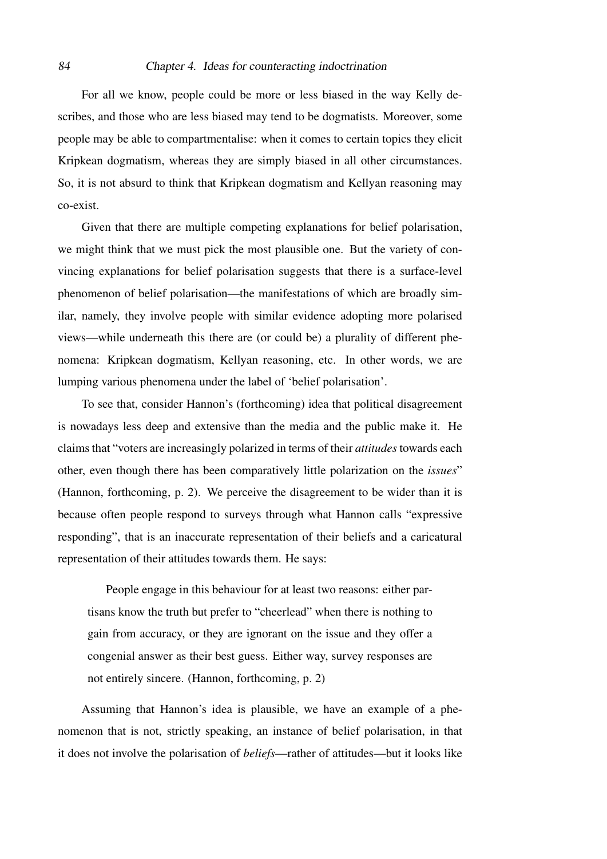For all we know, people could be more or less biased in the way Kelly describes, and those who are less biased may tend to be dogmatists. Moreover, some people may be able to compartmentalise: when it comes to certain topics they elicit Kripkean dogmatism, whereas they are simply biased in all other circumstances. So, it is not absurd to think that Kripkean dogmatism and Kellyan reasoning may co-exist.

Given that there are multiple competing explanations for belief polarisation, we might think that we must pick the most plausible one. But the variety of convincing explanations for belief polarisation suggests that there is a surface-level phenomenon of belief polarisation—the manifestations of which are broadly similar, namely, they involve people with similar evidence adopting more polarised views—while underneath this there are (or could be) a plurality of different phenomena: Kripkean dogmatism, Kellyan reasoning, etc. In other words, we are lumping various phenomena under the label of 'belief polarisation'.

To see that, consider [Hannon'](#page-105-1)s (forthcoming) idea that political disagreement is nowadays less deep and extensive than the media and the public make it. He claims that "voters are increasingly polarized in terms of their *attitudes*towards each other, even though there has been comparatively little polarization on the *issues*" [\(Hannon,](#page-105-1) forthcoming, p. 2). We perceive the disagreement to be wider than it is because often people respond to surveys through what Hannon calls "expressive responding", that is an inaccurate representation of their beliefs and a caricatural representation of their attitudes towards them. He says:

People engage in this behaviour for at least two reasons: either partisans know the truth but prefer to "cheerlead" when there is nothing to gain from accuracy, or they are ignorant on the issue and they offer a congenial answer as their best guess. Either way, survey responses are not entirely sincere. [\(Hannon,](#page-105-1) forthcoming, p. 2)

Assuming that Hannon's idea is plausible, we have an example of a phenomenon that is not, strictly speaking, an instance of belief polarisation, in that it does not involve the polarisation of *beliefs*—rather of attitudes—but it looks like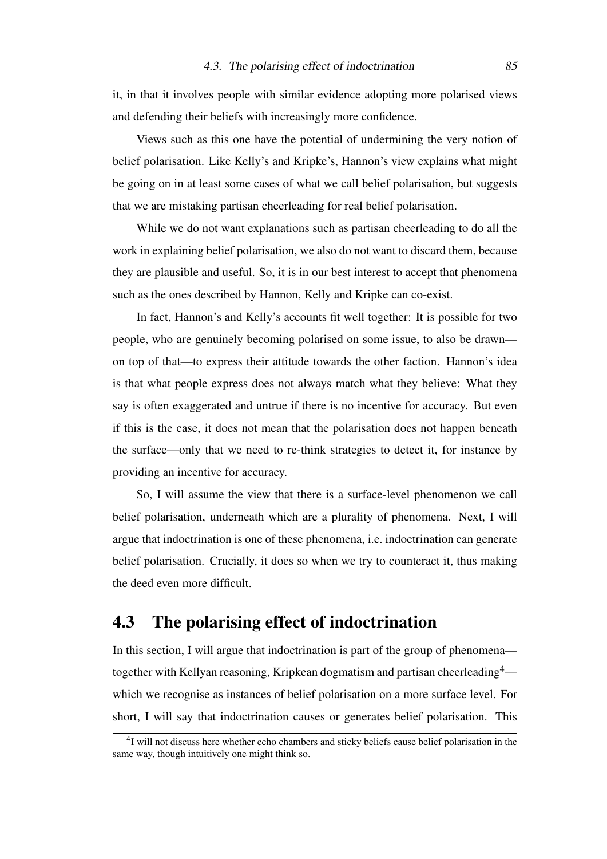it, in that it involves people with similar evidence adopting more polarised views and defending their beliefs with increasingly more confidence.

Views such as this one have the potential of undermining the very notion of belief polarisation. Like Kelly's and Kripke's, Hannon's view explains what might be going on in at least some cases of what we call belief polarisation, but suggests that we are mistaking partisan cheerleading for real belief polarisation.

While we do not want explanations such as partisan cheerleading to do all the work in explaining belief polarisation, we also do not want to discard them, because they are plausible and useful. So, it is in our best interest to accept that phenomena such as the ones described by Hannon, Kelly and Kripke can co-exist.

In fact, Hannon's and Kelly's accounts fit well together: It is possible for two people, who are genuinely becoming polarised on some issue, to also be drawn on top of that—to express their attitude towards the other faction. Hannon's idea is that what people express does not always match what they believe: What they say is often exaggerated and untrue if there is no incentive for accuracy. But even if this is the case, it does not mean that the polarisation does not happen beneath the surface—only that we need to re-think strategies to detect it, for instance by providing an incentive for accuracy.

So, I will assume the view that there is a surface-level phenomenon we call belief polarisation, underneath which are a plurality of phenomena. Next, I will argue that indoctrination is one of these phenomena, i.e. indoctrination can generate belief polarisation. Crucially, it does so when we try to counteract it, thus making the deed even more difficult.

# 4.3 The polarising effect of indoctrination

In this section, I will argue that indoctrination is part of the group of phenomena— together with Kellyan reasoning, Kripkean dogmatism and partisan cheerleading<sup>[4](#page-84-0)</sup> which we recognise as instances of belief polarisation on a more surface level. For short, I will say that indoctrination causes or generates belief polarisation. This

<span id="page-84-0"></span><sup>&</sup>lt;sup>4</sup>I will not discuss here whether echo chambers and sticky beliefs cause belief polarisation in the same way, though intuitively one might think so.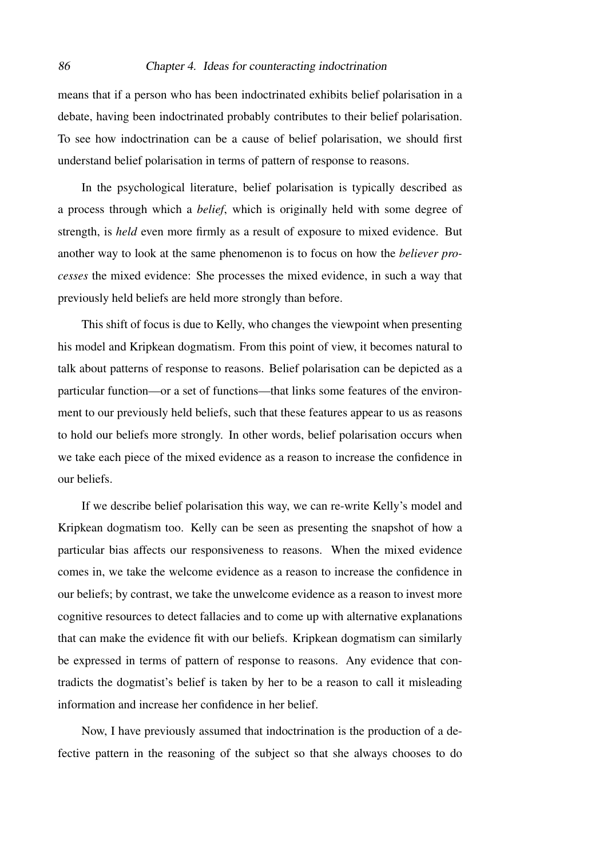means that if a person who has been indoctrinated exhibits belief polarisation in a debate, having been indoctrinated probably contributes to their belief polarisation. To see how indoctrination can be a cause of belief polarisation, we should first understand belief polarisation in terms of pattern of response to reasons.

In the psychological literature, belief polarisation is typically described as a process through which a *belief*, which is originally held with some degree of strength, is *held* even more firmly as a result of exposure to mixed evidence. But another way to look at the same phenomenon is to focus on how the *believer processes* the mixed evidence: She processes the mixed evidence, in such a way that previously held beliefs are held more strongly than before.

This shift of focus is due to Kelly, who changes the viewpoint when presenting his model and Kripkean dogmatism. From this point of view, it becomes natural to talk about patterns of response to reasons. Belief polarisation can be depicted as a particular function—or a set of functions—that links some features of the environment to our previously held beliefs, such that these features appear to us as reasons to hold our beliefs more strongly. In other words, belief polarisation occurs when we take each piece of the mixed evidence as a reason to increase the confidence in our beliefs.

If we describe belief polarisation this way, we can re-write Kelly's model and Kripkean dogmatism too. Kelly can be seen as presenting the snapshot of how a particular bias affects our responsiveness to reasons. When the mixed evidence comes in, we take the welcome evidence as a reason to increase the confidence in our beliefs; by contrast, we take the unwelcome evidence as a reason to invest more cognitive resources to detect fallacies and to come up with alternative explanations that can make the evidence fit with our beliefs. Kripkean dogmatism can similarly be expressed in terms of pattern of response to reasons. Any evidence that contradicts the dogmatist's belief is taken by her to be a reason to call it misleading information and increase her confidence in her belief.

Now, I have previously assumed that indoctrination is the production of a defective pattern in the reasoning of the subject so that she always chooses to do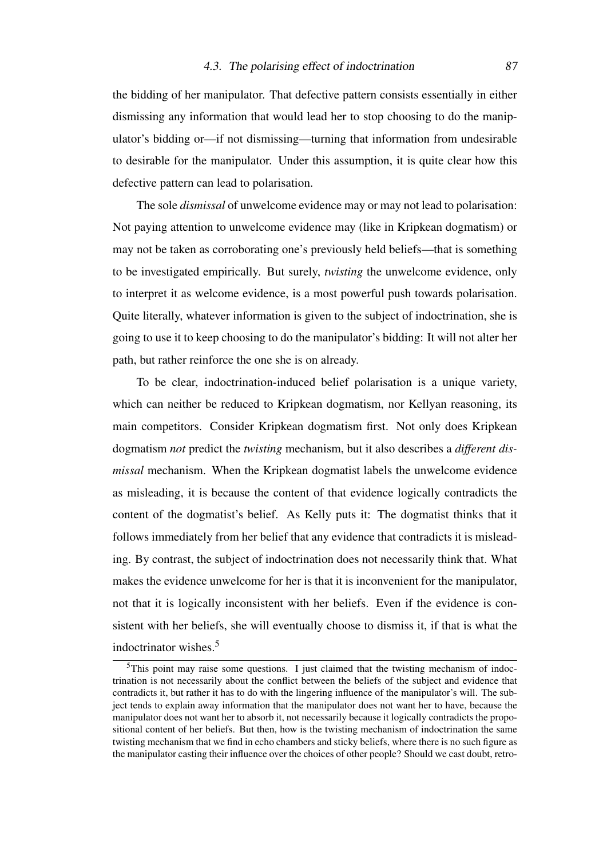the bidding of her manipulator. That defective pattern consists essentially in either dismissing any information that would lead her to stop choosing to do the manipulator's bidding or—if not dismissing—turning that information from undesirable to desirable for the manipulator. Under this assumption, it is quite clear how this defective pattern can lead to polarisation.

The sole *dismissal* of unwelcome evidence may or may not lead to polarisation: Not paying attention to unwelcome evidence may (like in Kripkean dogmatism) or may not be taken as corroborating one's previously held beliefs—that is something to be investigated empirically. But surely, *twisting* the unwelcome evidence, only to interpret it as welcome evidence, is a most powerful push towards polarisation. Quite literally, whatever information is given to the subject of indoctrination, she is going to use it to keep choosing to do the manipulator's bidding: It will not alter her path, but rather reinforce the one she is on already.

To be clear, indoctrination-induced belief polarisation is a unique variety, which can neither be reduced to Kripkean dogmatism, nor Kellyan reasoning, its main competitors. Consider Kripkean dogmatism first. Not only does Kripkean dogmatism *not* predict the *twisting* mechanism, but it also describes a *different dismissal* mechanism. When the Kripkean dogmatist labels the unwelcome evidence as misleading, it is because the content of that evidence logically contradicts the content of the dogmatist's belief. As Kelly puts it: The dogmatist thinks that it follows immediately from her belief that any evidence that contradicts it is misleading. By contrast, the subject of indoctrination does not necessarily think that. What makes the evidence unwelcome for her is that it is inconvenient for the manipulator, not that it is logically inconsistent with her beliefs. Even if the evidence is consistent with her beliefs, she will eventually choose to dismiss it, if that is what the indoctrinator wishes.[5](#page-86-0)

<span id="page-86-0"></span><sup>&</sup>lt;sup>5</sup>This point may raise some questions. I just claimed that the twisting mechanism of indoctrination is not necessarily about the conflict between the beliefs of the subject and evidence that contradicts it, but rather it has to do with the lingering influence of the manipulator's will. The subject tends to explain away information that the manipulator does not want her to have, because the manipulator does not want her to absorb it, not necessarily because it logically contradicts the propositional content of her beliefs. But then, how is the twisting mechanism of indoctrination the same twisting mechanism that we find in echo chambers and sticky beliefs, where there is no such figure as the manipulator casting their influence over the choices of other people? Should we cast doubt, retro-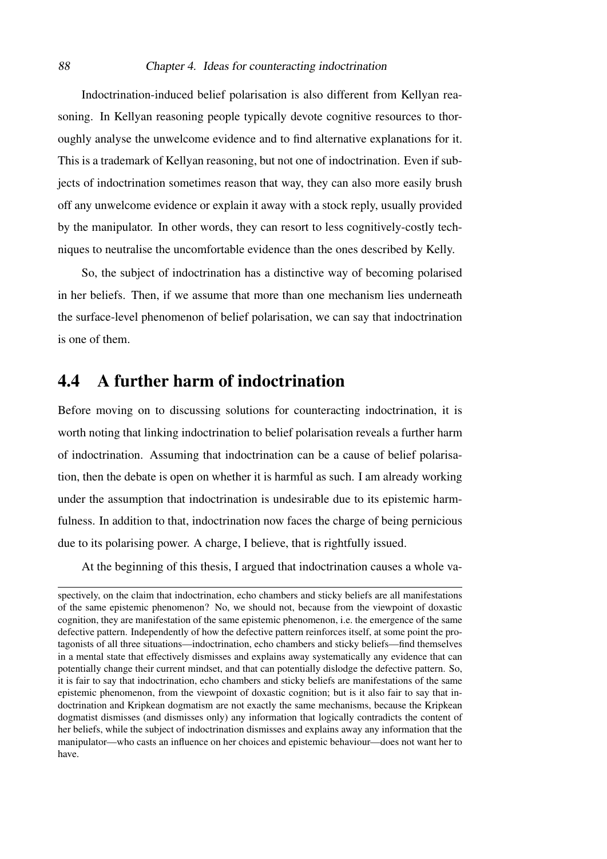#### 88 Chapter 4. Ideas for counteracting indoctrination

Indoctrination-induced belief polarisation is also different from Kellyan reasoning. In Kellyan reasoning people typically devote cognitive resources to thoroughly analyse the unwelcome evidence and to find alternative explanations for it. This is a trademark of Kellyan reasoning, but not one of indoctrination. Even if subjects of indoctrination sometimes reason that way, they can also more easily brush off any unwelcome evidence or explain it away with a stock reply, usually provided by the manipulator. In other words, they can resort to less cognitively-costly techniques to neutralise the uncomfortable evidence than the ones described by Kelly.

So, the subject of indoctrination has a distinctive way of becoming polarised in her beliefs. Then, if we assume that more than one mechanism lies underneath the surface-level phenomenon of belief polarisation, we can say that indoctrination is one of them.

## 4.4 A further harm of indoctrination

Before moving on to discussing solutions for counteracting indoctrination, it is worth noting that linking indoctrination to belief polarisation reveals a further harm of indoctrination. Assuming that indoctrination can be a cause of belief polarisation, then the debate is open on whether it is harmful as such. I am already working under the assumption that indoctrination is undesirable due to its epistemic harmfulness. In addition to that, indoctrination now faces the charge of being pernicious due to its polarising power. A charge, I believe, that is rightfully issued.

At the beginning of this thesis, I argued that indoctrination causes a whole va-

spectively, on the claim that indoctrination, echo chambers and sticky beliefs are all manifestations of the same epistemic phenomenon? No, we should not, because from the viewpoint of doxastic cognition, they are manifestation of the same epistemic phenomenon, i.e. the emergence of the same defective pattern. Independently of how the defective pattern reinforces itself, at some point the protagonists of all three situations—indoctrination, echo chambers and sticky beliefs—find themselves in a mental state that effectively dismisses and explains away systematically any evidence that can potentially change their current mindset, and that can potentially dislodge the defective pattern. So, it is fair to say that indoctrination, echo chambers and sticky beliefs are manifestations of the same epistemic phenomenon, from the viewpoint of doxastic cognition; but is it also fair to say that indoctrination and Kripkean dogmatism are not exactly the same mechanisms, because the Kripkean dogmatist dismisses (and dismisses only) any information that logically contradicts the content of her beliefs, while the subject of indoctrination dismisses and explains away any information that the manipulator—who casts an influence on her choices and epistemic behaviour—does not want her to have.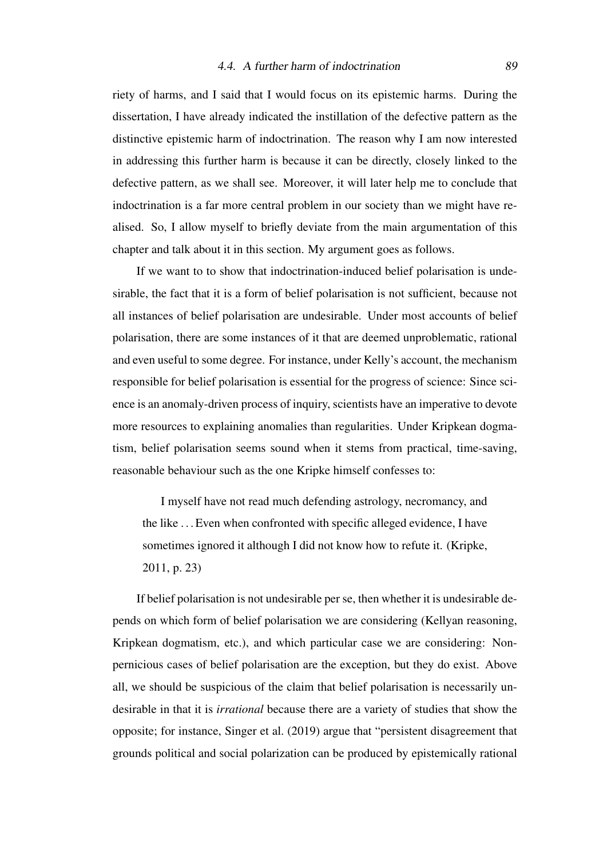riety of harms, and I said that I would focus on its epistemic harms. During the dissertation, I have already indicated the instillation of the defective pattern as the distinctive epistemic harm of indoctrination. The reason why I am now interested in addressing this further harm is because it can be directly, closely linked to the defective pattern, as we shall see. Moreover, it will later help me to conclude that indoctrination is a far more central problem in our society than we might have realised. So, I allow myself to briefly deviate from the main argumentation of this chapter and talk about it in this section. My argument goes as follows.

If we want to to show that indoctrination-induced belief polarisation is undesirable, the fact that it is a form of belief polarisation is not sufficient, because not all instances of belief polarisation are undesirable. Under most accounts of belief polarisation, there are some instances of it that are deemed unproblematic, rational and even useful to some degree. For instance, under Kelly's account, the mechanism responsible for belief polarisation is essential for the progress of science: Since science is an anomaly-driven process of inquiry, scientists have an imperative to devote more resources to explaining anomalies than regularities. Under Kripkean dogmatism, belief polarisation seems sound when it stems from practical, time-saving, reasonable behaviour such as the one Kripke himself confesses to:

I myself have not read much defending astrology, necromancy, and the like . . . Even when confronted with specific alleged evidence, I have sometimes ignored it although I did not know how to refute it. [\(Kripke,](#page-106-1) [2011,](#page-106-1) p. 23)

If belief polarisation is not undesirable per se, then whether it is undesirable depends on which form of belief polarisation we are considering (Kellyan reasoning, Kripkean dogmatism, etc.), and which particular case we are considering: Nonpernicious cases of belief polarisation are the exception, but they do exist. Above all, we should be suspicious of the claim that belief polarisation is necessarily undesirable in that it is *irrational* because there are a variety of studies that show the opposite; for instance, [Singer et al.](#page-107-0) [\(2019\)](#page-107-0) argue that "persistent disagreement that grounds political and social polarization can be produced by epistemically rational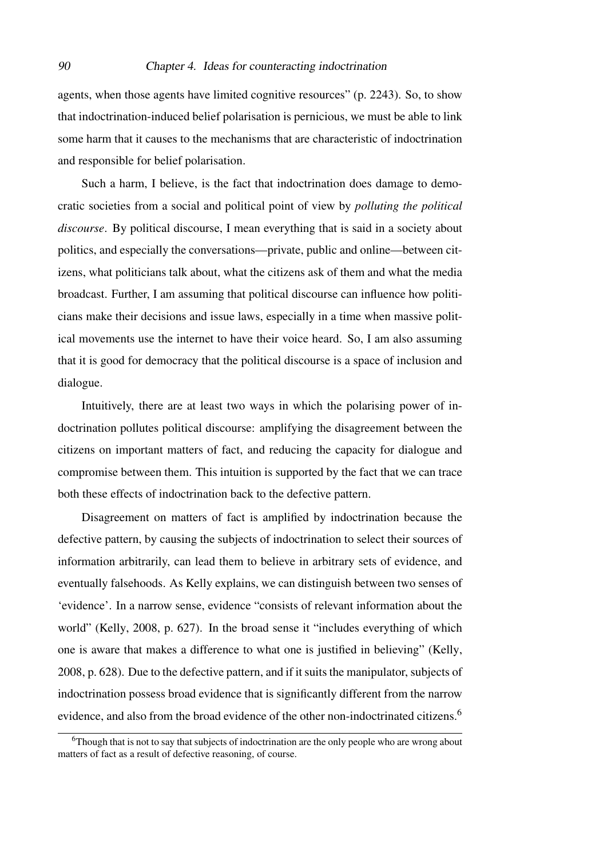agents, when those agents have limited cognitive resources" (p. 2243). So, to show that indoctrination-induced belief polarisation is pernicious, we must be able to link some harm that it causes to the mechanisms that are characteristic of indoctrination and responsible for belief polarisation.

Such a harm, I believe, is the fact that indoctrination does damage to democratic societies from a social and political point of view by *polluting the political discourse*. By political discourse, I mean everything that is said in a society about politics, and especially the conversations—private, public and online—between citizens, what politicians talk about, what the citizens ask of them and what the media broadcast. Further, I am assuming that political discourse can influence how politicians make their decisions and issue laws, especially in a time when massive political movements use the internet to have their voice heard. So, I am also assuming that it is good for democracy that the political discourse is a space of inclusion and dialogue.

Intuitively, there are at least two ways in which the polarising power of indoctrination pollutes political discourse: amplifying the disagreement between the citizens on important matters of fact, and reducing the capacity for dialogue and compromise between them. This intuition is supported by the fact that we can trace both these effects of indoctrination back to the defective pattern.

Disagreement on matters of fact is amplified by indoctrination because the defective pattern, by causing the subjects of indoctrination to select their sources of information arbitrarily, can lead them to believe in arbitrary sets of evidence, and eventually falsehoods. As Kelly explains, we can distinguish between two senses of 'evidence'. In a narrow sense, evidence "consists of relevant information about the world" [\(Kelly, 2008,](#page-106-0) p. 627). In the broad sense it "includes everything of which one is aware that makes a difference to what one is justified in believing" [\(Kelly,](#page-106-0) [2008,](#page-106-0) p. 628). Due to the defective pattern, and if it suits the manipulator, subjects of indoctrination possess broad evidence that is significantly different from the narrow evidence, and also from the broad evidence of the other non-indoctrinated citizens.<sup>[6](#page-89-0)</sup>

<span id="page-89-0"></span><sup>&</sup>lt;sup>6</sup>Though that is not to say that subjects of indoctrination are the only people who are wrong about matters of fact as a result of defective reasoning, of course.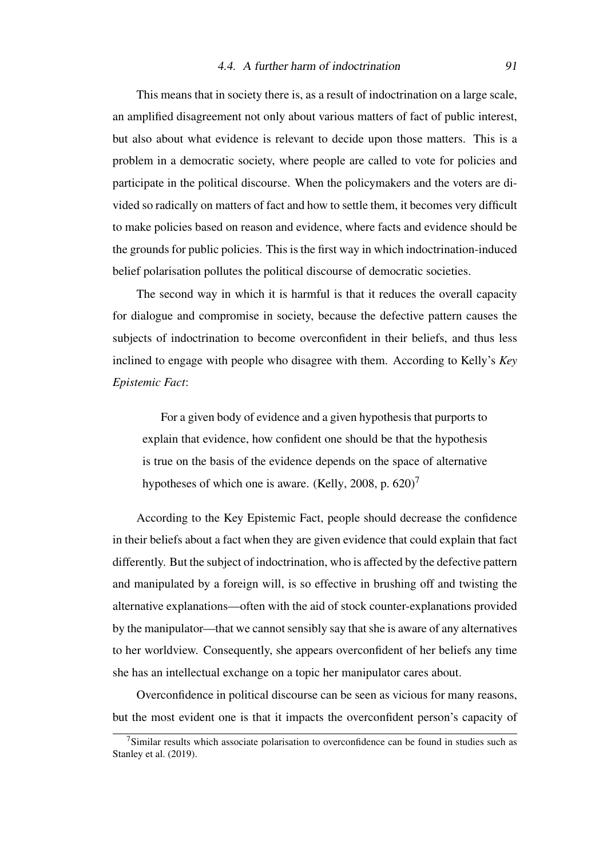#### 4.4. A further harm of indoctrination 91

This means that in society there is, as a result of indoctrination on a large scale, an amplified disagreement not only about various matters of fact of public interest, but also about what evidence is relevant to decide upon those matters. This is a problem in a democratic society, where people are called to vote for policies and participate in the political discourse. When the policymakers and the voters are divided so radically on matters of fact and how to settle them, it becomes very difficult to make policies based on reason and evidence, where facts and evidence should be the grounds for public policies. This is the first way in which indoctrination-induced belief polarisation pollutes the political discourse of democratic societies.

The second way in which it is harmful is that it reduces the overall capacity for dialogue and compromise in society, because the defective pattern causes the subjects of indoctrination to become overconfident in their beliefs, and thus less inclined to engage with people who disagree with them. According to Kelly's *Key Epistemic Fact*:

For a given body of evidence and a given hypothesis that purports to explain that evidence, how confident one should be that the hypothesis is true on the basis of the evidence depends on the space of alternative hypotheses of which one is aware. [\(Kelly, 2008,](#page-106-0) p.  $620$ )<sup>[7](#page-90-0)</sup>

According to the Key Epistemic Fact, people should decrease the confidence in their beliefs about a fact when they are given evidence that could explain that fact differently. But the subject of indoctrination, who is affected by the defective pattern and manipulated by a foreign will, is so effective in brushing off and twisting the alternative explanations—often with the aid of stock counter-explanations provided by the manipulator—that we cannot sensibly say that she is aware of any alternatives to her worldview. Consequently, she appears overconfident of her beliefs any time she has an intellectual exchange on a topic her manipulator cares about.

Overconfidence in political discourse can be seen as vicious for many reasons, but the most evident one is that it impacts the overconfident person's capacity of

<span id="page-90-0"></span> $7$ Similar results which associate polarisation to overconfidence can be found in studies such as Stanley et al. (2019).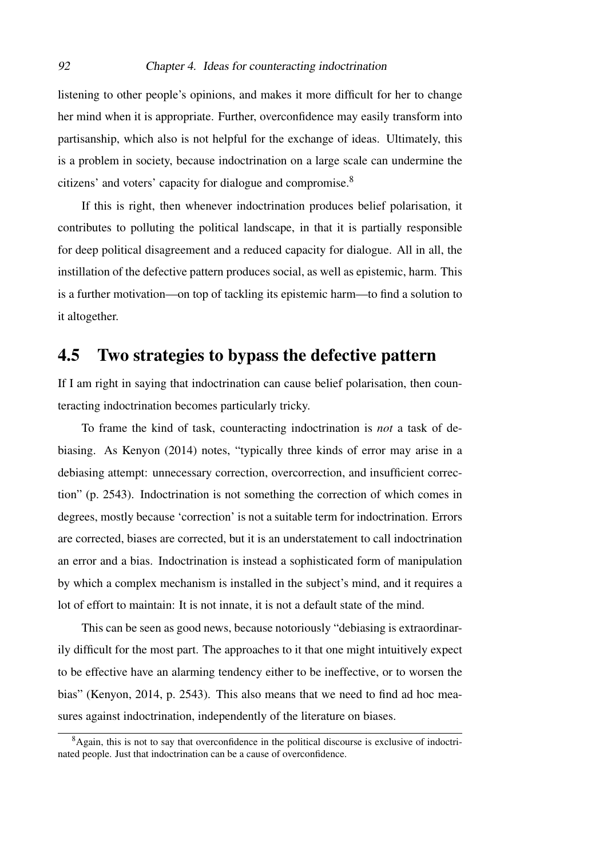listening to other people's opinions, and makes it more difficult for her to change her mind when it is appropriate. Further, overconfidence may easily transform into partisanship, which also is not helpful for the exchange of ideas. Ultimately, this is a problem in society, because indoctrination on a large scale can undermine the citizens' and voters' capacity for dialogue and compromise.[8](#page-91-0)

If this is right, then whenever indoctrination produces belief polarisation, it contributes to polluting the political landscape, in that it is partially responsible for deep political disagreement and a reduced capacity for dialogue. All in all, the instillation of the defective pattern produces social, as well as epistemic, harm. This is a further motivation—on top of tackling its epistemic harm—to find a solution to it altogether.

# 4.5 Two strategies to bypass the defective pattern

If I am right in saying that indoctrination can cause belief polarisation, then counteracting indoctrination becomes particularly tricky.

To frame the kind of task, counteracting indoctrination is *not* a task of debiasing. As [Kenyon](#page-106-2) [\(2014\)](#page-106-2) notes, "typically three kinds of error may arise in a debiasing attempt: unnecessary correction, overcorrection, and insufficient correction" (p. 2543). Indoctrination is not something the correction of which comes in degrees, mostly because 'correction' is not a suitable term for indoctrination. Errors are corrected, biases are corrected, but it is an understatement to call indoctrination an error and a bias. Indoctrination is instead a sophisticated form of manipulation by which a complex mechanism is installed in the subject's mind, and it requires a lot of effort to maintain: It is not innate, it is not a default state of the mind.

This can be seen as good news, because notoriously "debiasing is extraordinarily difficult for the most part. The approaches to it that one might intuitively expect to be effective have an alarming tendency either to be ineffective, or to worsen the bias" [\(Kenyon, 2014,](#page-106-2) p. 2543). This also means that we need to find ad hoc measures against indoctrination, independently of the literature on biases.

<span id="page-91-0"></span><sup>&</sup>lt;sup>8</sup>Again, this is not to say that overconfidence in the political discourse is exclusive of indoctrinated people. Just that indoctrination can be a cause of overconfidence.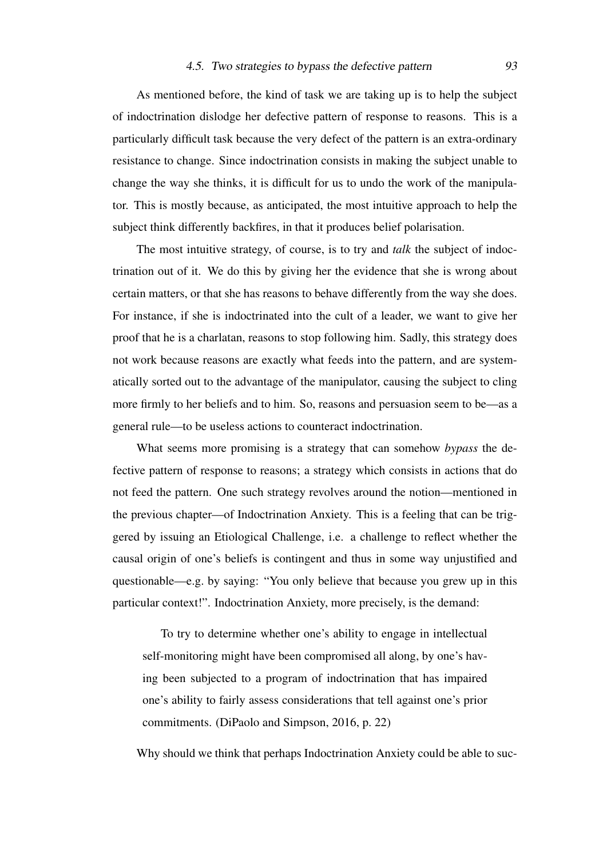#### 4.5. Two strategies to bypass the defective pattern 93

As mentioned before, the kind of task we are taking up is to help the subject of indoctrination dislodge her defective pattern of response to reasons. This is a particularly difficult task because the very defect of the pattern is an extra-ordinary resistance to change. Since indoctrination consists in making the subject unable to change the way she thinks, it is difficult for us to undo the work of the manipulator. This is mostly because, as anticipated, the most intuitive approach to help the subject think differently backfires, in that it produces belief polarisation.

The most intuitive strategy, of course, is to try and *talk* the subject of indoctrination out of it. We do this by giving her the evidence that she is wrong about certain matters, or that she has reasons to behave differently from the way she does. For instance, if she is indoctrinated into the cult of a leader, we want to give her proof that he is a charlatan, reasons to stop following him. Sadly, this strategy does not work because reasons are exactly what feeds into the pattern, and are systematically sorted out to the advantage of the manipulator, causing the subject to cling more firmly to her beliefs and to him. So, reasons and persuasion seem to be—as a general rule—to be useless actions to counteract indoctrination.

What seems more promising is a strategy that can somehow *bypass* the defective pattern of response to reasons; a strategy which consists in actions that do not feed the pattern. One such strategy revolves around the notion—mentioned in the previous chapter—of Indoctrination Anxiety. This is a feeling that can be triggered by issuing an Etiological Challenge, i.e. a challenge to reflect whether the causal origin of one's beliefs is contingent and thus in some way unjustified and questionable—e.g. by saying: "You only believe that because you grew up in this particular context!". Indoctrination Anxiety, more precisely, is the demand:

To try to determine whether one's ability to engage in intellectual self-monitoring might have been compromised all along, by one's having been subjected to a program of indoctrination that has impaired one's ability to fairly assess considerations that tell against one's prior commitments. [\(DiPaolo and Simpson, 2016,](#page-104-0) p. 22)

Why should we think that perhaps Indoctrination Anxiety could be able to suc-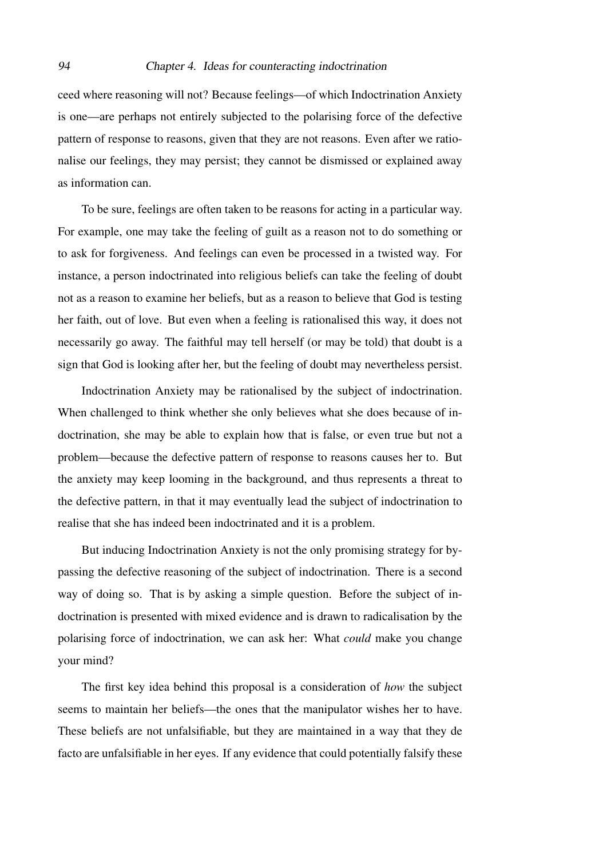ceed where reasoning will not? Because feelings—of which Indoctrination Anxiety is one—are perhaps not entirely subjected to the polarising force of the defective pattern of response to reasons, given that they are not reasons. Even after we rationalise our feelings, they may persist; they cannot be dismissed or explained away as information can.

To be sure, feelings are often taken to be reasons for acting in a particular way. For example, one may take the feeling of guilt as a reason not to do something or to ask for forgiveness. And feelings can even be processed in a twisted way. For instance, a person indoctrinated into religious beliefs can take the feeling of doubt not as a reason to examine her beliefs, but as a reason to believe that God is testing her faith, out of love. But even when a feeling is rationalised this way, it does not necessarily go away. The faithful may tell herself (or may be told) that doubt is a sign that God is looking after her, but the feeling of doubt may nevertheless persist.

Indoctrination Anxiety may be rationalised by the subject of indoctrination. When challenged to think whether she only believes what she does because of indoctrination, she may be able to explain how that is false, or even true but not a problem—because the defective pattern of response to reasons causes her to. But the anxiety may keep looming in the background, and thus represents a threat to the defective pattern, in that it may eventually lead the subject of indoctrination to realise that she has indeed been indoctrinated and it is a problem.

But inducing Indoctrination Anxiety is not the only promising strategy for bypassing the defective reasoning of the subject of indoctrination. There is a second way of doing so. That is by asking a simple question. Before the subject of indoctrination is presented with mixed evidence and is drawn to radicalisation by the polarising force of indoctrination, we can ask her: What *could* make you change your mind?

The first key idea behind this proposal is a consideration of *how* the subject seems to maintain her beliefs—the ones that the manipulator wishes her to have. These beliefs are not unfalsifiable, but they are maintained in a way that they de facto are unfalsifiable in her eyes. If any evidence that could potentially falsify these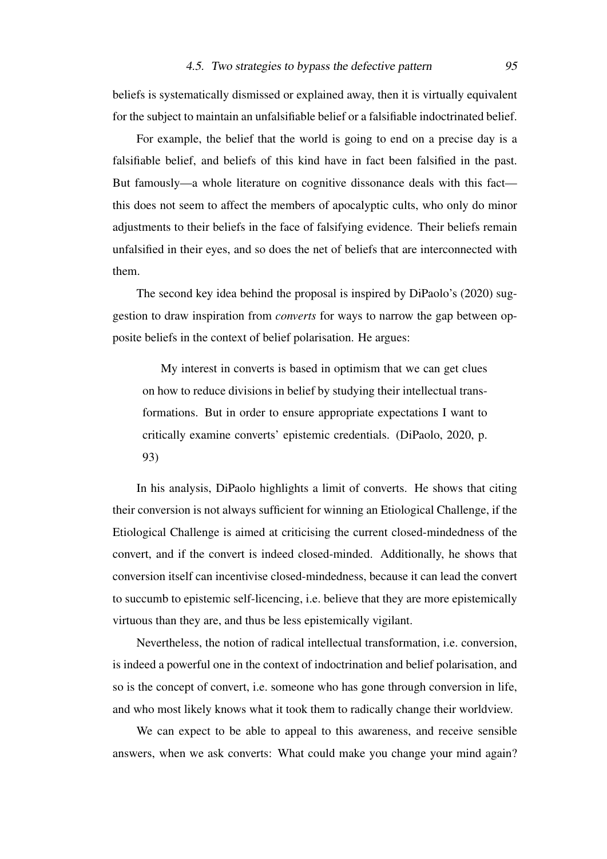beliefs is systematically dismissed or explained away, then it is virtually equivalent for the subject to maintain an unfalsifiable belief or a falsifiable indoctrinated belief.

For example, the belief that the world is going to end on a precise day is a falsifiable belief, and beliefs of this kind have in fact been falsified in the past. But famously—a whole literature on cognitive dissonance deals with this fact this does not seem to affect the members of apocalyptic cults, who only do minor adjustments to their beliefs in the face of falsifying evidence. Their beliefs remain unfalsified in their eyes, and so does the net of beliefs that are interconnected with them.

The second key idea behind the proposal is inspired by [DiPaolo'](#page-104-1)s [\(2020\)](#page-104-1) suggestion to draw inspiration from *converts* for ways to narrow the gap between opposite beliefs in the context of belief polarisation. He argues:

My interest in converts is based in optimism that we can get clues on how to reduce divisions in belief by studying their intellectual transformations. But in order to ensure appropriate expectations I want to critically examine converts' epistemic credentials. [\(DiPaolo, 2020,](#page-104-1) p. 93)

In his analysis, DiPaolo highlights a limit of converts. He shows that citing their conversion is not always sufficient for winning an Etiological Challenge, if the Etiological Challenge is aimed at criticising the current closed-mindedness of the convert, and if the convert is indeed closed-minded. Additionally, he shows that conversion itself can incentivise closed-mindedness, because it can lead the convert to succumb to epistemic self-licencing, i.e. believe that they are more epistemically virtuous than they are, and thus be less epistemically vigilant.

Nevertheless, the notion of radical intellectual transformation, i.e. conversion, is indeed a powerful one in the context of indoctrination and belief polarisation, and so is the concept of convert, i.e. someone who has gone through conversion in life, and who most likely knows what it took them to radically change their worldview.

We can expect to be able to appeal to this awareness, and receive sensible answers, when we ask converts: What could make you change your mind again?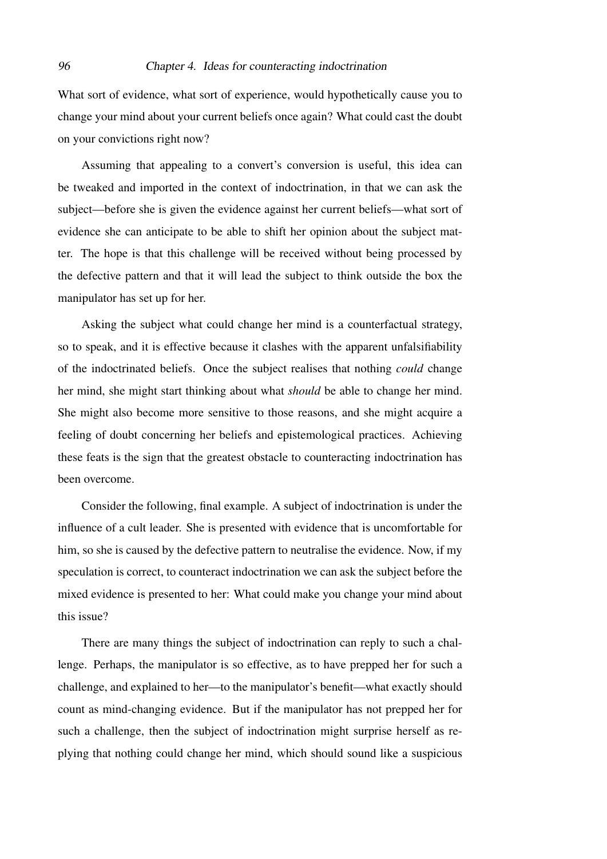What sort of evidence, what sort of experience, would hypothetically cause you to change your mind about your current beliefs once again? What could cast the doubt on your convictions right now?

Assuming that appealing to a convert's conversion is useful, this idea can be tweaked and imported in the context of indoctrination, in that we can ask the subject—before she is given the evidence against her current beliefs—what sort of evidence she can anticipate to be able to shift her opinion about the subject matter. The hope is that this challenge will be received without being processed by the defective pattern and that it will lead the subject to think outside the box the manipulator has set up for her.

Asking the subject what could change her mind is a counterfactual strategy, so to speak, and it is effective because it clashes with the apparent unfalsifiability of the indoctrinated beliefs. Once the subject realises that nothing *could* change her mind, she might start thinking about what *should* be able to change her mind. She might also become more sensitive to those reasons, and she might acquire a feeling of doubt concerning her beliefs and epistemological practices. Achieving these feats is the sign that the greatest obstacle to counteracting indoctrination has been overcome.

Consider the following, final example. A subject of indoctrination is under the influence of a cult leader. She is presented with evidence that is uncomfortable for him, so she is caused by the defective pattern to neutralise the evidence. Now, if my speculation is correct, to counteract indoctrination we can ask the subject before the mixed evidence is presented to her: What could make you change your mind about this issue?

There are many things the subject of indoctrination can reply to such a challenge. Perhaps, the manipulator is so effective, as to have prepped her for such a challenge, and explained to her—to the manipulator's benefit—what exactly should count as mind-changing evidence. But if the manipulator has not prepped her for such a challenge, then the subject of indoctrination might surprise herself as replying that nothing could change her mind, which should sound like a suspicious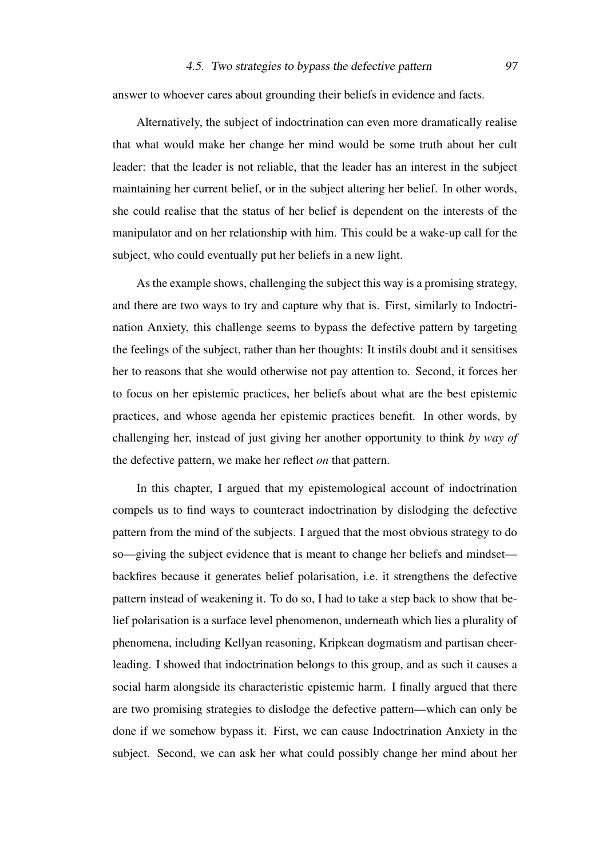answer to whoever cares about grounding their beliefs in evidence and facts.

Alternatively, the subject of indoctrination can even more dramatically realise that what would make her change her mind would be some truth about her cult leader: that the leader is not reliable, that the leader has an interest in the subject maintaining her current belief, or in the subject altering her belief. In other words, she could realise that the status of her belief is dependent on the interests of the manipulator and on her relationship with him. This could be a wake-up call for the subject, who could eventually put her beliefs in a new light.

As the example shows, challenging the subject this way is a promising strategy, and there are two ways to try and capture why that is. First, similarly to Indoctrination Anxiety, this challenge seems to bypass the defective pattern by targeting the feelings of the subject, rather than her thoughts: It instils doubt and it sensitises her to reasons that she would otherwise not pay attention to. Second, it forces her to focus on her epistemic practices, her beliefs about what are the best epistemic practices, and whose agenda her epistemic practices benefit. In other words, by challenging her, instead of just giving her another opportunity to think *by way of* the defective pattern, we make her reflect *on* that pattern.

In this chapter, I argued that my epistemological account of indoctrination compels us to find ways to counteract indoctrination by dislodging the defective pattern from the mind of the subjects. I argued that the most obvious strategy to do so—giving the subject evidence that is meant to change her beliefs and mindset backfires because it generates belief polarisation, i.e. it strengthens the defective pattern instead of weakening it. To do so, I had to take a step back to show that belief polarisation is a surface level phenomenon, underneath which lies a plurality of phenomena, including Kellyan reasoning, Kripkean dogmatism and partisan cheerleading. I showed that indoctrination belongs to this group, and as such it causes a social harm alongside its characteristic epistemic harm. I finally argued that there are two promising strategies to dislodge the defective pattern—which can only be done if we somehow bypass it. First, we can cause Indoctrination Anxiety in the subject. Second, we can ask her what could possibly change her mind about her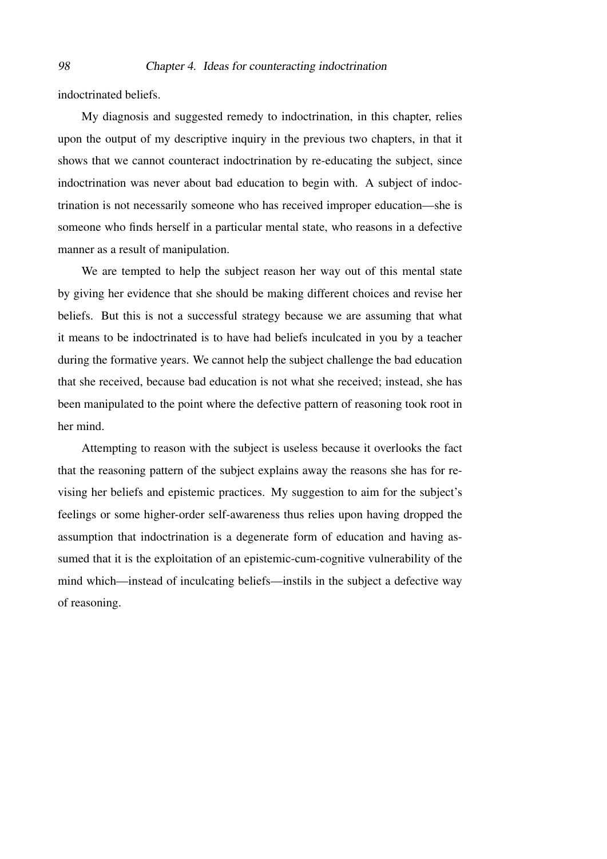indoctrinated beliefs.

My diagnosis and suggested remedy to indoctrination, in this chapter, relies upon the output of my descriptive inquiry in the previous two chapters, in that it shows that we cannot counteract indoctrination by re-educating the subject, since indoctrination was never about bad education to begin with. A subject of indoctrination is not necessarily someone who has received improper education—she is someone who finds herself in a particular mental state, who reasons in a defective manner as a result of manipulation.

We are tempted to help the subject reason her way out of this mental state by giving her evidence that she should be making different choices and revise her beliefs. But this is not a successful strategy because we are assuming that what it means to be indoctrinated is to have had beliefs inculcated in you by a teacher during the formative years. We cannot help the subject challenge the bad education that she received, because bad education is not what she received; instead, she has been manipulated to the point where the defective pattern of reasoning took root in her mind.

Attempting to reason with the subject is useless because it overlooks the fact that the reasoning pattern of the subject explains away the reasons she has for revising her beliefs and epistemic practices. My suggestion to aim for the subject's feelings or some higher-order self-awareness thus relies upon having dropped the assumption that indoctrination is a degenerate form of education and having assumed that it is the exploitation of an epistemic-cum-cognitive vulnerability of the mind which—instead of inculcating beliefs—instils in the subject a defective way of reasoning.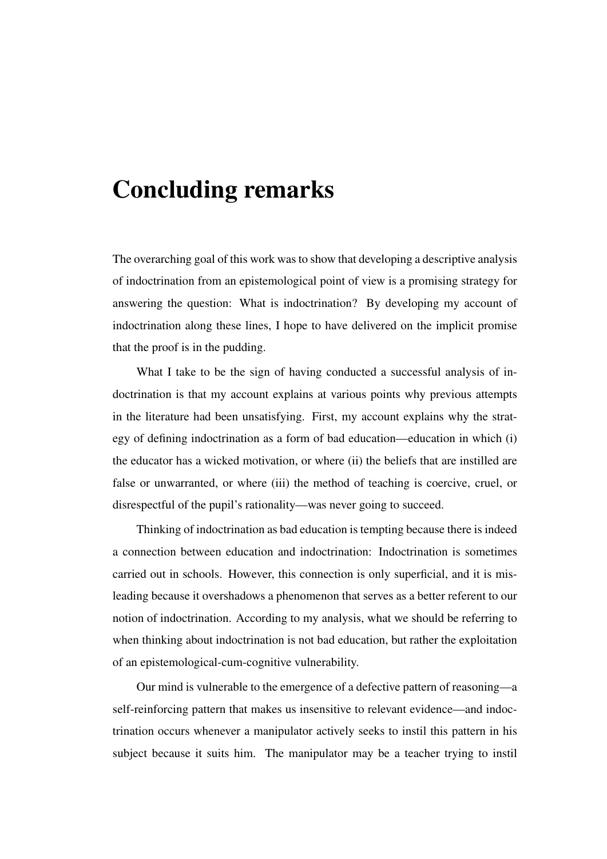# Concluding remarks

The overarching goal of this work was to show that developing a descriptive analysis of indoctrination from an epistemological point of view is a promising strategy for answering the question: What is indoctrination? By developing my account of indoctrination along these lines, I hope to have delivered on the implicit promise that the proof is in the pudding.

What I take to be the sign of having conducted a successful analysis of indoctrination is that my account explains at various points why previous attempts in the literature had been unsatisfying. First, my account explains why the strategy of defining indoctrination as a form of bad education—education in which (i) the educator has a wicked motivation, or where (ii) the beliefs that are instilled are false or unwarranted, or where (iii) the method of teaching is coercive, cruel, or disrespectful of the pupil's rationality—was never going to succeed.

Thinking of indoctrination as bad education is tempting because there is indeed a connection between education and indoctrination: Indoctrination is sometimes carried out in schools. However, this connection is only superficial, and it is misleading because it overshadows a phenomenon that serves as a better referent to our notion of indoctrination. According to my analysis, what we should be referring to when thinking about indoctrination is not bad education, but rather the exploitation of an epistemological-cum-cognitive vulnerability.

Our mind is vulnerable to the emergence of a defective pattern of reasoning—a self-reinforcing pattern that makes us insensitive to relevant evidence—and indoctrination occurs whenever a manipulator actively seeks to instil this pattern in his subject because it suits him. The manipulator may be a teacher trying to instil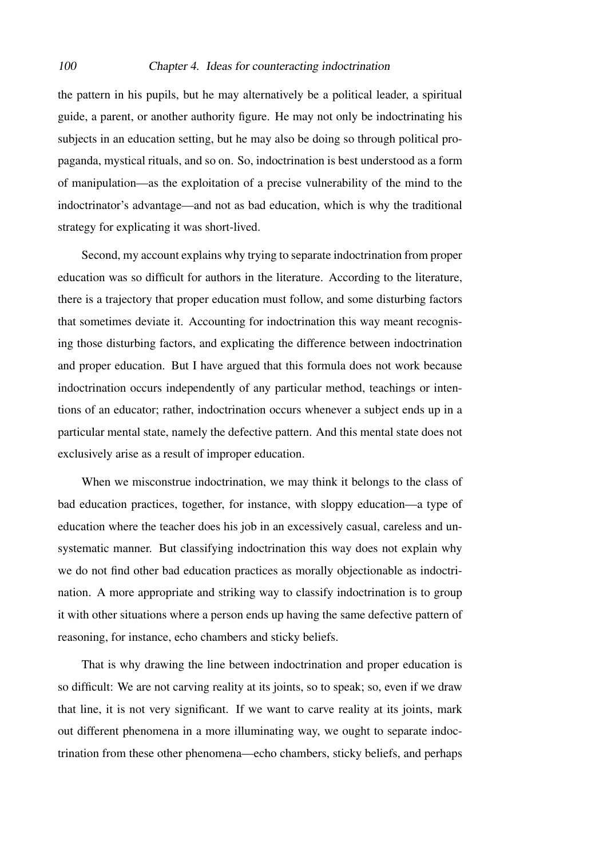#### 100 Chapter 4. Ideas for counteracting indoctrination

the pattern in his pupils, but he may alternatively be a political leader, a spiritual guide, a parent, or another authority figure. He may not only be indoctrinating his subjects in an education setting, but he may also be doing so through political propaganda, mystical rituals, and so on. So, indoctrination is best understood as a form of manipulation—as the exploitation of a precise vulnerability of the mind to the indoctrinator's advantage—and not as bad education, which is why the traditional strategy for explicating it was short-lived.

Second, my account explains why trying to separate indoctrination from proper education was so difficult for authors in the literature. According to the literature, there is a trajectory that proper education must follow, and some disturbing factors that sometimes deviate it. Accounting for indoctrination this way meant recognising those disturbing factors, and explicating the difference between indoctrination and proper education. But I have argued that this formula does not work because indoctrination occurs independently of any particular method, teachings or intentions of an educator; rather, indoctrination occurs whenever a subject ends up in a particular mental state, namely the defective pattern. And this mental state does not exclusively arise as a result of improper education.

When we misconstrue indoctrination, we may think it belongs to the class of bad education practices, together, for instance, with sloppy education—a type of education where the teacher does his job in an excessively casual, careless and unsystematic manner. But classifying indoctrination this way does not explain why we do not find other bad education practices as morally objectionable as indoctrination. A more appropriate and striking way to classify indoctrination is to group it with other situations where a person ends up having the same defective pattern of reasoning, for instance, echo chambers and sticky beliefs.

That is why drawing the line between indoctrination and proper education is so difficult: We are not carving reality at its joints, so to speak; so, even if we draw that line, it is not very significant. If we want to carve reality at its joints, mark out different phenomena in a more illuminating way, we ought to separate indoctrination from these other phenomena—echo chambers, sticky beliefs, and perhaps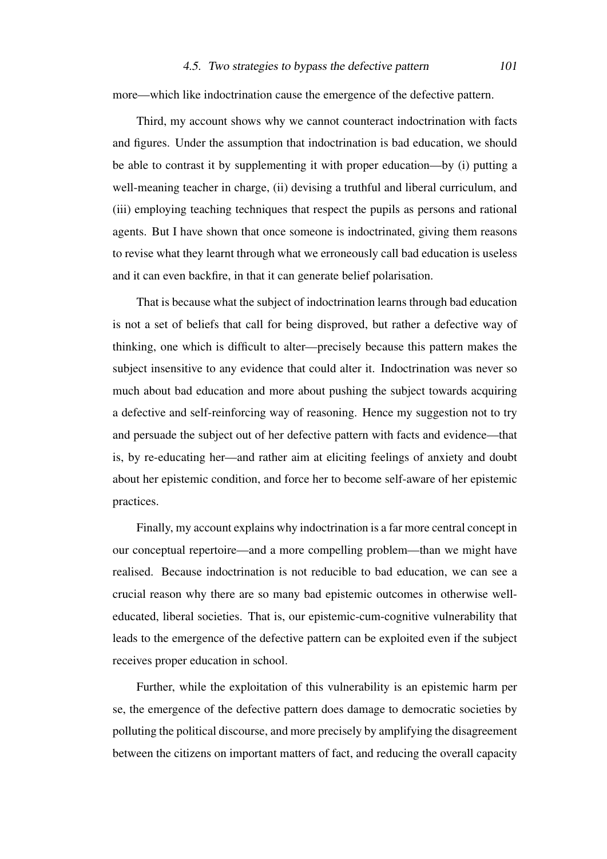#### 4.5. Two strategies to bypass the defective pattern 101

more—which like indoctrination cause the emergence of the defective pattern.

Third, my account shows why we cannot counteract indoctrination with facts and figures. Under the assumption that indoctrination is bad education, we should be able to contrast it by supplementing it with proper education—by (i) putting a well-meaning teacher in charge, (ii) devising a truthful and liberal curriculum, and (iii) employing teaching techniques that respect the pupils as persons and rational agents. But I have shown that once someone is indoctrinated, giving them reasons to revise what they learnt through what we erroneously call bad education is useless and it can even backfire, in that it can generate belief polarisation.

That is because what the subject of indoctrination learns through bad education is not a set of beliefs that call for being disproved, but rather a defective way of thinking, one which is difficult to alter—precisely because this pattern makes the subject insensitive to any evidence that could alter it. Indoctrination was never so much about bad education and more about pushing the subject towards acquiring a defective and self-reinforcing way of reasoning. Hence my suggestion not to try and persuade the subject out of her defective pattern with facts and evidence—that is, by re-educating her—and rather aim at eliciting feelings of anxiety and doubt about her epistemic condition, and force her to become self-aware of her epistemic practices.

Finally, my account explains why indoctrination is a far more central concept in our conceptual repertoire—and a more compelling problem—than we might have realised. Because indoctrination is not reducible to bad education, we can see a crucial reason why there are so many bad epistemic outcomes in otherwise welleducated, liberal societies. That is, our epistemic-cum-cognitive vulnerability that leads to the emergence of the defective pattern can be exploited even if the subject receives proper education in school.

Further, while the exploitation of this vulnerability is an epistemic harm per se, the emergence of the defective pattern does damage to democratic societies by polluting the political discourse, and more precisely by amplifying the disagreement between the citizens on important matters of fact, and reducing the overall capacity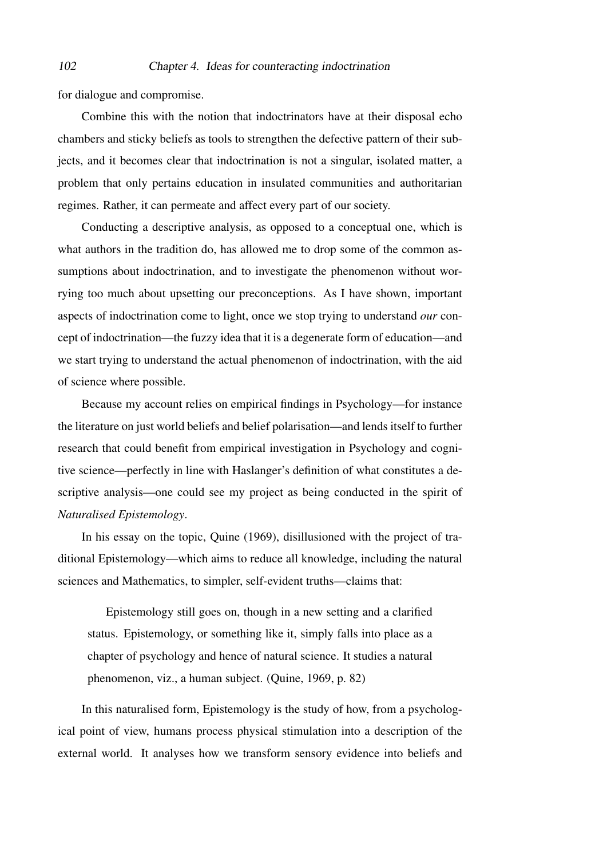for dialogue and compromise.

Combine this with the notion that indoctrinators have at their disposal echo chambers and sticky beliefs as tools to strengthen the defective pattern of their subjects, and it becomes clear that indoctrination is not a singular, isolated matter, a problem that only pertains education in insulated communities and authoritarian regimes. Rather, it can permeate and affect every part of our society.

Conducting a descriptive analysis, as opposed to a conceptual one, which is what authors in the tradition do, has allowed me to drop some of the common assumptions about indoctrination, and to investigate the phenomenon without worrying too much about upsetting our preconceptions. As I have shown, important aspects of indoctrination come to light, once we stop trying to understand *our* concept of indoctrination—the fuzzy idea that it is a degenerate form of education—and we start trying to understand the actual phenomenon of indoctrination, with the aid of science where possible.

Because my account relies on empirical findings in Psychology—for instance the literature on just world beliefs and belief polarisation—and lends itself to further research that could benefit from empirical investigation in Psychology and cognitive science—perfectly in line with Haslanger's definition of what constitutes a descriptive analysis—one could see my project as being conducted in the spirit of *Naturalised Epistemology*.

In his essay on the topic, [Quine](#page-107-1) [\(1969\)](#page-107-1), disillusioned with the project of traditional Epistemology—which aims to reduce all knowledge, including the natural sciences and Mathematics, to simpler, self-evident truths—claims that:

Epistemology still goes on, though in a new setting and a clarified status. Epistemology, or something like it, simply falls into place as a chapter of psychology and hence of natural science. It studies a natural phenomenon, viz., a human subject. [\(Quine, 1969,](#page-107-1) p. 82)

In this naturalised form, Epistemology is the study of how, from a psychological point of view, humans process physical stimulation into a description of the external world. It analyses how we transform sensory evidence into beliefs and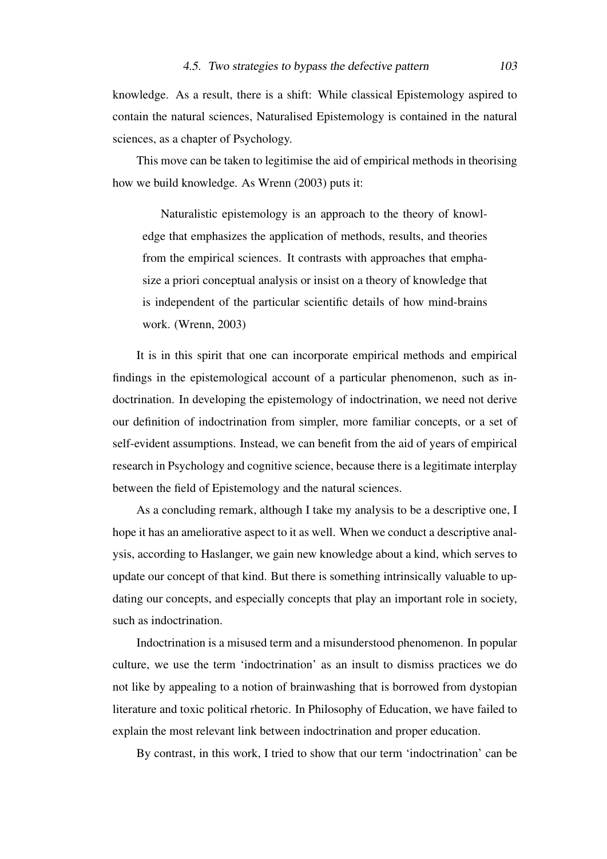knowledge. As a result, there is a shift: While classical Epistemology aspired to contain the natural sciences, Naturalised Epistemology is contained in the natural sciences, as a chapter of Psychology.

This move can be taken to legitimise the aid of empirical methods in theorising how we build knowledge. As [Wrenn](#page-107-2) [\(2003\)](#page-107-2) puts it:

Naturalistic epistemology is an approach to the theory of knowledge that emphasizes the application of methods, results, and theories from the empirical sciences. It contrasts with approaches that emphasize a priori conceptual analysis or insist on a theory of knowledge that is independent of the particular scientific details of how mind-brains work. [\(Wrenn, 2003\)](#page-107-2)

It is in this spirit that one can incorporate empirical methods and empirical findings in the epistemological account of a particular phenomenon, such as indoctrination. In developing the epistemology of indoctrination, we need not derive our definition of indoctrination from simpler, more familiar concepts, or a set of self-evident assumptions. Instead, we can benefit from the aid of years of empirical research in Psychology and cognitive science, because there is a legitimate interplay between the field of Epistemology and the natural sciences.

As a concluding remark, although I take my analysis to be a descriptive one, I hope it has an ameliorative aspect to it as well. When we conduct a descriptive analysis, according to Haslanger, we gain new knowledge about a kind, which serves to update our concept of that kind. But there is something intrinsically valuable to updating our concepts, and especially concepts that play an important role in society, such as indoctrination.

Indoctrination is a misused term and a misunderstood phenomenon. In popular culture, we use the term 'indoctrination' as an insult to dismiss practices we do not like by appealing to a notion of brainwashing that is borrowed from dystopian literature and toxic political rhetoric. In Philosophy of Education, we have failed to explain the most relevant link between indoctrination and proper education.

By contrast, in this work, I tried to show that our term 'indoctrination' can be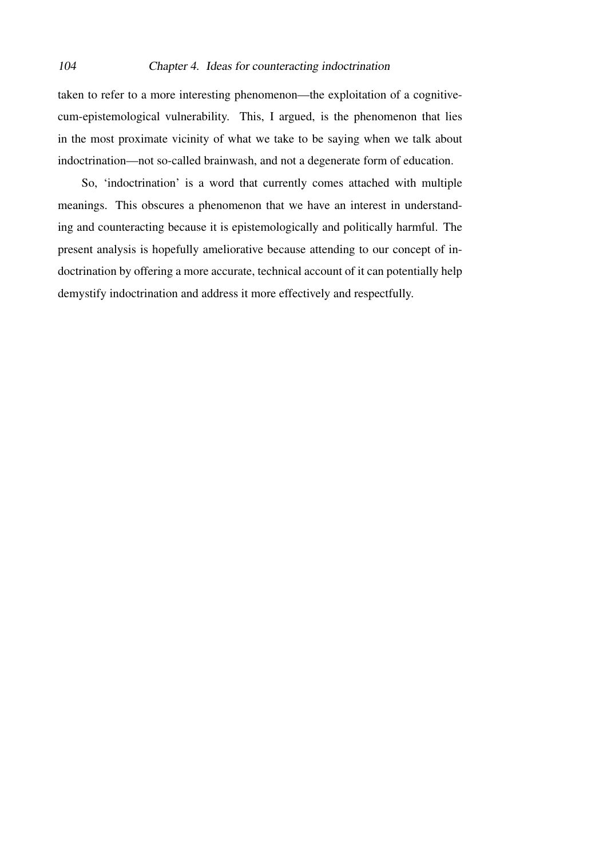taken to refer to a more interesting phenomenon—the exploitation of a cognitivecum-epistemological vulnerability. This, I argued, is the phenomenon that lies in the most proximate vicinity of what we take to be saying when we talk about indoctrination—not so-called brainwash, and not a degenerate form of education.

So, 'indoctrination' is a word that currently comes attached with multiple meanings. This obscures a phenomenon that we have an interest in understanding and counteracting because it is epistemologically and politically harmful. The present analysis is hopefully ameliorative because attending to our concept of indoctrination by offering a more accurate, technical account of it can potentially help demystify indoctrination and address it more effectively and respectfully.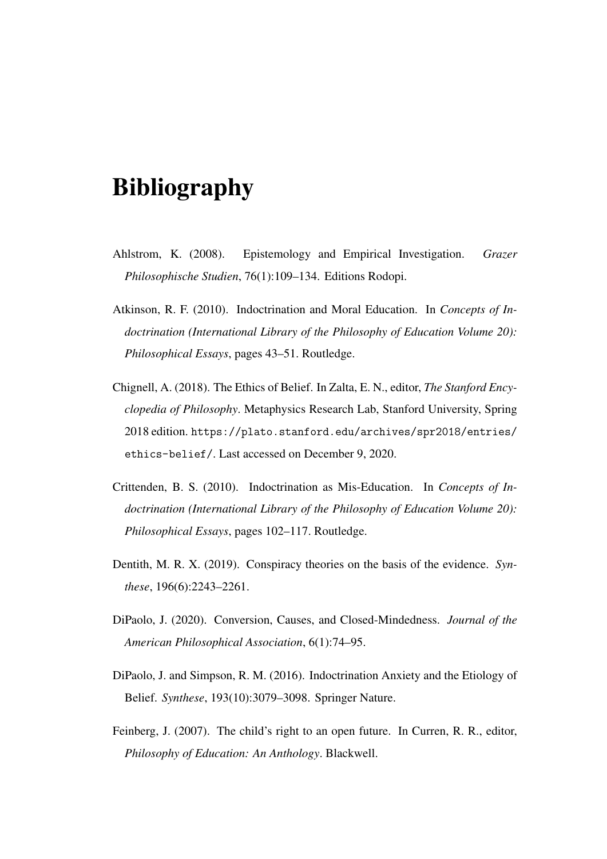# Bibliography

- Ahlstrom, K. (2008). Epistemology and Empirical Investigation. *Grazer Philosophische Studien*, 76(1):109–134. Editions Rodopi.
- Atkinson, R. F. (2010). Indoctrination and Moral Education. In *Concepts of Indoctrination (International Library of the Philosophy of Education Volume 20): Philosophical Essays*, pages 43–51. Routledge.
- Chignell, A. (2018). The Ethics of Belief. In Zalta, E. N., editor, *The Stanford Encyclopedia of Philosophy*. Metaphysics Research Lab, Stanford University, Spring 2018 edition. [https://plato.stanford.edu/archives/spr2018/entries/](https://plato.stanford.edu/archives/spr2018/entries/ethics-belief/) [ethics-belief/](https://plato.stanford.edu/archives/spr2018/entries/ethics-belief/). Last accessed on December 9, 2020.
- Crittenden, B. S. (2010). Indoctrination as Mis-Education. In *Concepts of Indoctrination (International Library of the Philosophy of Education Volume 20): Philosophical Essays*, pages 102–117. Routledge.
- Dentith, M. R. X. (2019). Conspiracy theories on the basis of the evidence. *Synthese*, 196(6):2243–2261.
- <span id="page-104-1"></span>DiPaolo, J. (2020). Conversion, Causes, and Closed-Mindedness. *Journal of the American Philosophical Association*, 6(1):74–95.
- <span id="page-104-0"></span>DiPaolo, J. and Simpson, R. M. (2016). Indoctrination Anxiety and the Etiology of Belief. *Synthese*, 193(10):3079–3098. Springer Nature.
- Feinberg, J. (2007). The child's right to an open future. In Curren, R. R., editor, *Philosophy of Education: An Anthology*. Blackwell.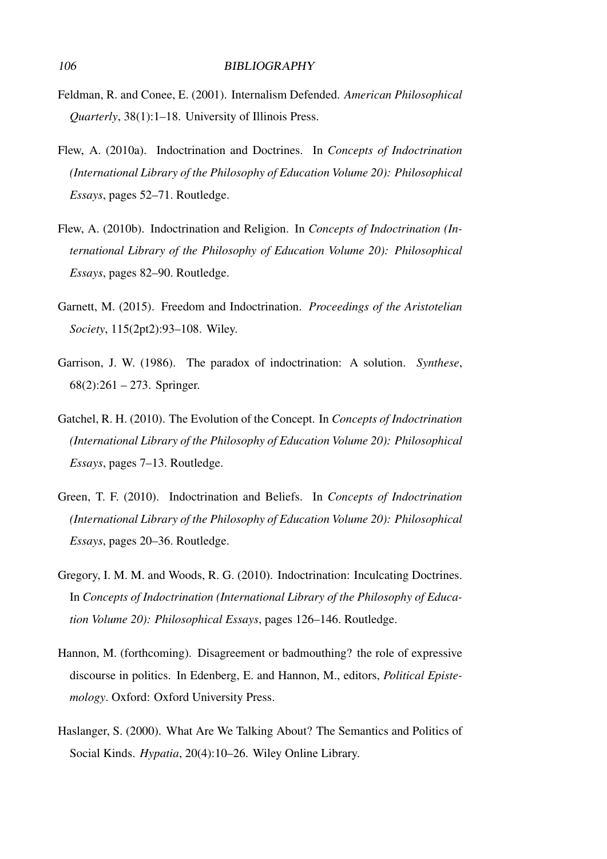- Feldman, R. and Conee, E. (2001). Internalism Defended. *American Philosophical Quarterly*, 38(1):1–18. University of Illinois Press.
- Flew, A. (2010a). Indoctrination and Doctrines. In *Concepts of Indoctrination (International Library of the Philosophy of Education Volume 20): Philosophical Essays*, pages 52–71. Routledge.
- Flew, A. (2010b). Indoctrination and Religion. In *Concepts of Indoctrination (International Library of the Philosophy of Education Volume 20): Philosophical Essays*, pages 82–90. Routledge.
- Garnett, M. (2015). Freedom and Indoctrination. *Proceedings of the Aristotelian Society*, 115(2pt2):93–108. Wiley.
- Garrison, J. W. (1986). The paradox of indoctrination: A solution. *Synthese*,  $68(2):261 - 273$ . Springer.
- Gatchel, R. H. (2010). The Evolution of the Concept. In *Concepts of Indoctrination (International Library of the Philosophy of Education Volume 20): Philosophical Essays*, pages 7–13. Routledge.
- <span id="page-105-0"></span>Green, T. F. (2010). Indoctrination and Beliefs. In *Concepts of Indoctrination (International Library of the Philosophy of Education Volume 20): Philosophical Essays*, pages 20–36. Routledge.
- Gregory, I. M. M. and Woods, R. G. (2010). Indoctrination: Inculcating Doctrines. In *Concepts of Indoctrination (International Library of the Philosophy of Education Volume 20): Philosophical Essays*, pages 126–146. Routledge.
- <span id="page-105-1"></span>Hannon, M. (forthcoming). Disagreement or badmouthing? the role of expressive discourse in politics. In Edenberg, E. and Hannon, M., editors, *Political Epistemology*. Oxford: Oxford University Press.
- Haslanger, S. (2000). What Are We Talking About? The Semantics and Politics of Social Kinds. *Hypatia*, 20(4):10–26. Wiley Online Library.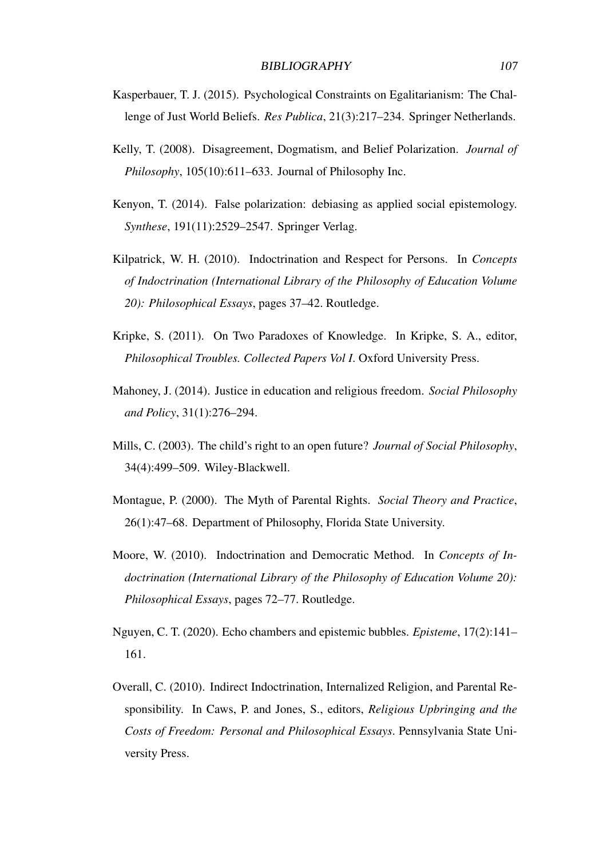- Kasperbauer, T. J. (2015). Psychological Constraints on Egalitarianism: The Challenge of Just World Beliefs. *Res Publica*, 21(3):217–234. Springer Netherlands.
- <span id="page-106-0"></span>Kelly, T. (2008). Disagreement, Dogmatism, and Belief Polarization. *Journal of Philosophy*, 105(10):611–633. Journal of Philosophy Inc.
- <span id="page-106-2"></span>Kenyon, T. (2014). False polarization: debiasing as applied social epistemology. *Synthese*, 191(11):2529–2547. Springer Verlag.
- Kilpatrick, W. H. (2010). Indoctrination and Respect for Persons. In *Concepts of Indoctrination (International Library of the Philosophy of Education Volume 20): Philosophical Essays*, pages 37–42. Routledge.
- <span id="page-106-1"></span>Kripke, S. (2011). On Two Paradoxes of Knowledge. In Kripke, S. A., editor, *Philosophical Troubles. Collected Papers Vol I*. Oxford University Press.
- Mahoney, J. (2014). Justice in education and religious freedom. *Social Philosophy and Policy*, 31(1):276–294.
- Mills, C. (2003). The child's right to an open future? *Journal of Social Philosophy*, 34(4):499–509. Wiley-Blackwell.
- Montague, P. (2000). The Myth of Parental Rights. *Social Theory and Practice*, 26(1):47–68. Department of Philosophy, Florida State University.
- Moore, W. (2010). Indoctrination and Democratic Method. In *Concepts of Indoctrination (International Library of the Philosophy of Education Volume 20): Philosophical Essays*, pages 72–77. Routledge.
- Nguyen, C. T. (2020). Echo chambers and epistemic bubbles. *Episteme*, 17(2):141– 161.
- Overall, C. (2010). Indirect Indoctrination, Internalized Religion, and Parental Responsibility. In Caws, P. and Jones, S., editors, *Religious Upbringing and the Costs of Freedom: Personal and Philosophical Essays*. Pennsylvania State University Press.